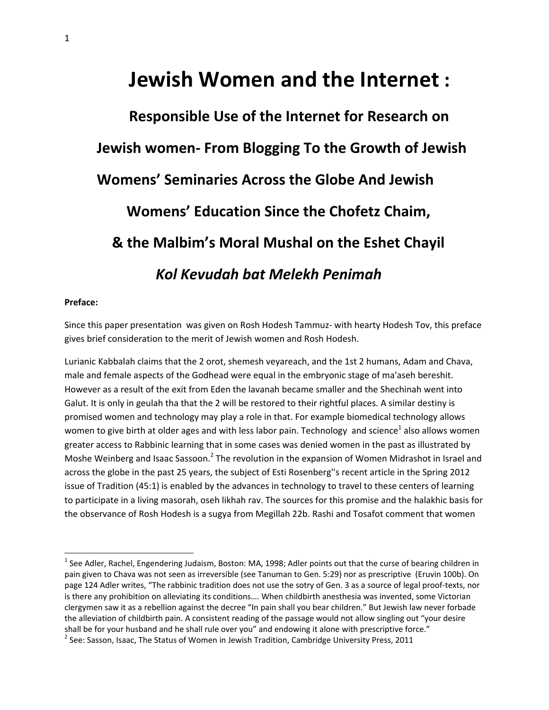# **Jewish Women and the Internet :**

**Responsible Use of the Internet for Research on Jewish women‐ From Blogging To the Growth of Jewish Womens' Seminaries Across the Globe And Jewish Womens' Education Since the Chofetz Chaim, & the Malbim's Moral Mushal on the Eshet Chayil** *Kol Kevudah bat Melekh Penimah* 

# **Preface:**

Since this paper presentation was given on Rosh Hodesh Tammuz‐ with hearty Hodesh Tov, this preface gives brief consideration to the merit of Jewish women and Rosh Hodesh.

Lurianic Kabbalah claims that the 2 orot, shemesh veyareach, and the 1st 2 humans, Adam and Chava, male and female aspects of the Godhead were equal in the embryonic stage of ma'aseh bereshit. However as a result of the exit from Eden the lavanah became smaller and the Shechinah went into Galut. It is only in geulah tha that the 2 will be restored to their rightful places. A similar destiny is promised women and technology may play a role in that. For example biomedical technology allows women to give birth at older ages and with less labor pain. Technology and science<sup>1</sup> also allows women greater access to Rabbinic learning that in some cases was denied women in the past as illustrated by Moshe Weinberg and Isaac Sassoon.<sup>2</sup> The revolution in the expansion of Women Midrashot in Israel and across the globe in the past 25 years, the subject of Esti Rosenberg''s recent article in the Spring 2012 issue of Tradition (45:1) is enabled by the advances in technology to travel to these centers of learning to participate in a living masorah, oseh likhah rav. The sources for this promise and the halakhic basis for the observance of Rosh Hodesh is a sugya from Megillah 22b. Rashi and Tosafot comment that women

 $1$  See Adler, Rachel, Engendering Judaism, Boston: MA, 1998; Adler points out that the curse of bearing children in pain given to Chava was not seen as irreversible (see Tanuman to Gen. 5:29) nor as prescriptive (Eruvin 100b). On page 124 Adler writes, "The rabbinic tradition does not use the sotry of Gen. 3 as a source of legal proof-texts, nor is there any prohibition on alleviating its conditions…. When childbirth anesthesia was invented, some Victorian clergymen saw it as a rebellion against the decree "In pain shall you bear children." But Jewish law never forbade the alleviation of childbirth pain. A consistent reading of the passage would not allow singling out "your desire shall be for your husband and he shall rule over you" and endowing it alone with prescriptive force."<br><sup>2</sup> See: Sasson, Isaac, The Status of Women in Jewish Tradition, Cambridge University Press, 2011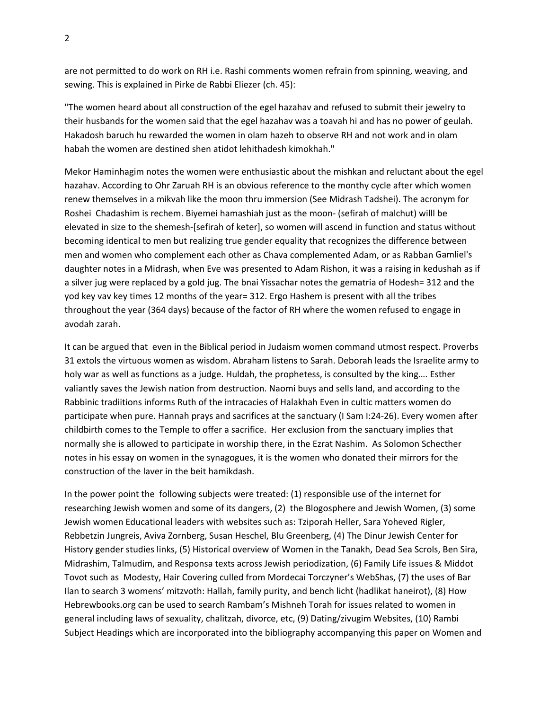are not permitted to do work on RH i.e. Rashi comments women refrain from spinning, weaving, and sewing. This is explained in Pirke de Rabbi Eliezer (ch. 45):

"The women heard about all construction of the egel hazahav and refused to submit their jewelry to their husbands for the women said that the egel hazahav was a toavah hi and has no power of geulah. Hakadosh baruch hu rewarded the women in olam hazeh to observe RH and not work and in olam habah the women are destined shen atidot lehithadesh kimokhah."

Mekor Haminhagim notes the women were enthusiastic about the mishkan and reluctant about the egel hazahav. According to Ohr Zaruah RH is an obvious reference to the monthy cycle after which women renew themselves in a mikvah like the moon thru immersion (See Midrash Tadshei). The acronym for Roshei Chadashim is rechem. Biyemei hamashiah just as the moon‐ (sefirah of malchut) willl be elevated in size to the shemesh‐[sefirah of keter], so women will ascend in function and status without becoming identical to men but realizing true gender equality that recognizes the difference between men and women who complement each other as Chava complemented Adam, or as Rabban Gamliel's daughter notes in a Midrash, when Eve was presented to Adam Rishon, it was a raising in kedushah as if a silver jug were replaced by a gold jug. The bnai Yissachar notes the gematria of Hodesh= 312 and the yod key vav key times 12 months of the year= 312. Ergo Hashem is present with all the tribes throughout the year (364 days) because of the factor of RH where the women refused to engage in avodah zarah.

It can be argued that even in the Biblical period in Judaism women command utmost respect. Proverbs 31 extols the virtuous women as wisdom. Abraham listens to Sarah. Deborah leads the Israelite army to holy war as well as functions as a judge. Huldah, the prophetess, is consulted by the king…. Esther valiantly saves the Jewish nation from destruction. Naomi buys and sells land, and according to the Rabbinic tradiitions informs Ruth of the intracacies of Halakhah Even in cultic matters women do participate when pure. Hannah prays and sacrifices at the sanctuary (I Sam I:24‐26). Every women after childbirth comes to the Temple to offer a sacrifice. Her exclusion from the sanctuary implies that normally she is allowed to participate in worship there, in the Ezrat Nashim. As Solomon Schecther notes in his essay on women in the synagogues, it is the women who donated their mirrors for the construction of the laver in the beit hamikdash.

In the power point the following subjects were treated: (1) responsible use of the internet for researching Jewish women and some of its dangers, (2) the Blogosphere and Jewish Women, (3) some Jewish women Educational leaders with websites such as: Tziporah Heller, Sara Yoheved Rigler, Rebbetzin Jungreis, Aviva Zornberg, Susan Heschel, Blu Greenberg, (4) The Dinur Jewish Center for History gender studies links, (5) Historical overview of Women in the Tanakh, Dead Sea Scrols, Ben Sira, Midrashim, Talmudim, and Responsa texts across Jewish periodization, (6) Family Life issues & Middot Tovot such as Modesty, Hair Covering culled from Mordecai Torczyner's WebShas, (7) the uses of Bar Ilan to search 3 womens' mitzvoth: Hallah, family purity, and bench licht (hadlikat haneirot), (8) How Hebrewbooks.org can be used to search Rambam's Mishneh Torah for issues related to women in general including laws of sexuality, chalitzah, divorce, etc, (9) Dating/zivugim Websites, (10) Rambi Subject Headings which are incorporated into the bibliography accompanying this paper on Women and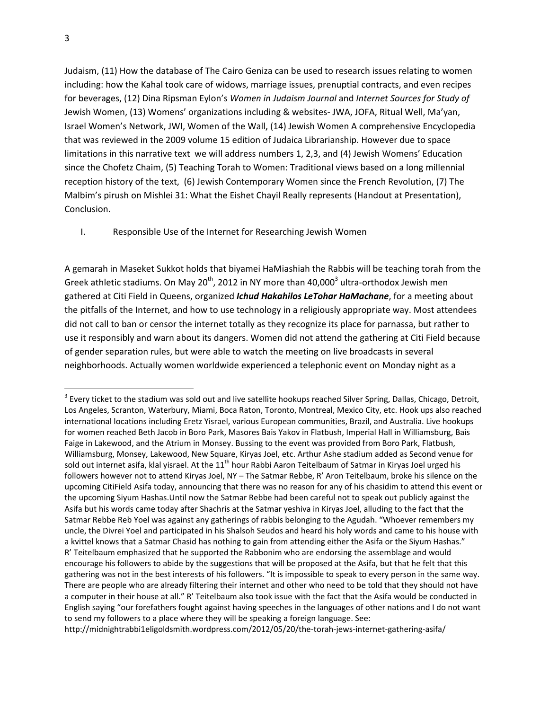Judaism, (11) How the database of The Cairo Geniza can be used to research issues relating to women including: how the Kahal took care of widows, marriage issues, prenuptial contracts, and even recipes for beverages, (12) Dina Ripsman Eylon's *Women in Judaism Journal* and *Internet Sources for Study of* Jewish Women, (13) Womens' organizations including & websites‐ JWA, JOFA, Ritual Well, Ma'yan, Israel Women's Network, JWI, Women of the Wall, (14) Jewish Women A comprehensive Encyclopedia that was reviewed in the 2009 volume 15 edition of Judaica Librarianship. However due to space limitations in this narrative text we will address numbers 1, 2,3, and (4) Jewish Womens' Education since the Chofetz Chaim, (5) Teaching Torah to Women: Traditional views based on a long millennial reception history of the text, (6) Jewish Contemporary Women since the French Revolution, (7) The Malbim's pirush on Mishlei 31: What the Eishet Chayil Really represents (Handout at Presentation), Conclusion.

### I. Responsible Use of the Internet for Researching Jewish Women

A gemarah in Maseket Sukkot holds that biyamei HaMiashiah the Rabbis will be teaching torah from the Greek athletic stadiums. On May 20<sup>th</sup>, 2012 in NY more than 40,000<sup>3</sup> ultra-orthodox Jewish men gathered at Citi Field in Queens, organized *Ichud Hakahilos LeTohar HaMachane*, for a meeting about the pitfalls of the Internet, and how to use technology in a religiously appropriate way. Most attendees did not call to ban or censor the internet totally as they recognize its place for parnassa, but rather to use it responsibly and warn about its dangers. Women did not attend the gathering at Citi Field because of gender separation rules, but were able to watch the meeting on live broadcasts in several neighborhoods. Actually women worldwide experienced a telephonic event on Monday night as a

 $3$  Every ticket to the stadium was sold out and live satellite hookups reached Silver Spring, Dallas, Chicago, Detroit, Los Angeles, Scranton, Waterbury, Miami, Boca Raton, Toronto, Montreal, Mexico City, etc. Hook ups also reached international locations including Eretz Yisrael, various European communities, Brazil, and Australia. Live hookups for women reached Beth Jacob in Boro Park, Masores Bais Yakov in Flatbush, Imperial Hall in Williamsburg, Bais Faige in Lakewood, and the Atrium in Monsey. Bussing to the event was provided from Boro Park, Flatbush, Williamsburg, Monsey, Lakewood, New Square, Kiryas Joel, etc. Arthur Ashe stadium added as Second venue for sold out internet asifa, klal yisrael. At the 11<sup>th</sup> hour Rabbi Aaron Teitelbaum of Satmar in Kiryas Joel urged his followers however not to attend Kiryas Joel, NY – The Satmar Rebbe, R' Aron Teitelbaum, broke his silence on the upcoming CitiField Asifa today, announcing that there was no reason for any of his chasidim to attend this event or the upcoming Siyum Hashas.Until now the Satmar Rebbe had been careful not to speak out publicly against the Asifa but his words came today after Shachris at the Satmar yeshiva in Kiryas Joel, alluding to the fact that the Satmar Rebbe Reb Yoel was against any gatherings of rabbis belonging to the Agudah. "Whoever remembers my uncle, the Divrei Yoel and participated in his Shalsoh Seudos and heard his holy words and came to his house with a kvittel knows that a Satmar Chasid has nothing to gain from attending either the Asifa or the Siyum Hashas." R' Teitelbaum emphasized that he supported the Rabbonim who are endorsing the assemblage and would encourage his followers to abide by the suggestions that will be proposed at the Asifa, but that he felt that this gathering was not in the best interests of his followers. "It is impossible to speak to every person in the same way. There are people who are already filtering their internet and other who need to be told that they should not have a computer in their house at all." R' Teitelbaum also took issue with the fact that the Asifa would be conducted in English saying "our forefathers fought against having speeches in the languages of other nations and I do not want to send my followers to a place where they will be speaking a foreign language. See:

http://midnightrabbi1eligoldsmith.wordpress.com/2012/05/20/the‐torah‐jews‐internet‐gathering‐asifa/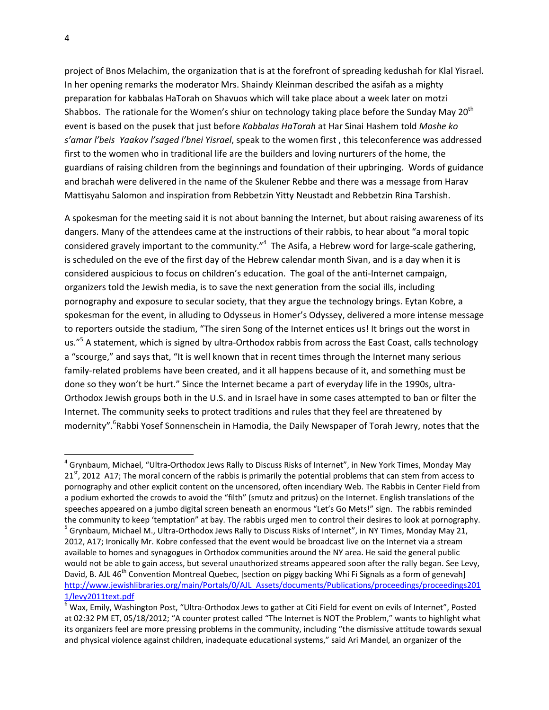project of Bnos Melachim, the organization that is at the forefront of spreading kedushah for Klal Yisrael. In her opening remarks the moderator Mrs. Shaindy Kleinman described the asifah as a mighty preparation for kabbalas HaTorah on Shavuos which will take place about a week later on motzi Shabbos. The rationale for the Women's shiur on technology taking place before the Sunday May 20<sup>th</sup> event is based on the pusek that just before *Kabbalas HaTorah* at Har Sinai Hashem told *Moshe ko s'amar l'beis Yaakov l'saged l'bnei Yisrael*, speak to the women first , this teleconference was addressed first to the women who in traditional life are the builders and loving nurturers of the home, the guardians of raising children from the beginnings and foundation of their upbringing. Words of guidance and brachah were delivered in the name of the Skulener Rebbe and there was a message from Harav Mattisyahu Salomon and inspiration from Rebbetzin Yitty Neustadt and Rebbetzin Rina Tarshish.

A spokesman for the meeting said it is not about banning the Internet, but about raising awareness of its dangers. Many of the attendees came at the instructions of their rabbis, to hear about "a moral topic considered gravely important to the community."<sup>4</sup> The Asifa, a Hebrew word for large-scale gathering, is scheduled on the eve of the first day of the Hebrew calendar month Sivan, and is a day when it is considered auspicious to focus on children's education. The goal of the anti-Internet campaign, organizers told the Jewish media, is to save the next generation from the social ills, including pornography and exposure to secular society, that they argue the technology brings. Eytan Kobre, a spokesman for the event, in alluding to Odysseus in Homer's Odyssey, delivered a more intense message to reporters outside the stadium, "The siren Song of the Internet entices us! It brings out the worst in us."<sup>5</sup> A statement, which is signed by ultra-Orthodox rabbis from across the East Coast, calls technology a "scourge," and says that, "It is well known that in recent times through the Internet many serious family-related problems have been created, and it all happens because of it, and something must be done so they won't be hurt." Since the Internet became a part of everyday life in the 1990s, ultra-Orthodox Jewish groups both in the U.S. and in Israel have in some cases attempted to ban or filter the Internet. The community seeks to protect traditions and rules that they feel are threatened by modernity". <sup>6</sup>Rabbi Yosef Sonnenschein in Hamodia, the Daily Newspaper of Torah Jewry, notes that the

<sup>&</sup>lt;sup>4</sup> Grynbaum, Michael, "Ultra-Orthodox Jews Rally to Discuss Risks of Internet", in New York Times, Monday May  $21<sup>st</sup>$ , 2012 A17; The moral concern of the rabbis is primarily the potential problems that can stem from access to pornography and other explicit content on the uncensored, often incendiary Web. The Rabbis in Center Field from a podium exhorted the crowds to avoid the "filth" (smutz and pritzus) on the Internet. English translations of the speeches appeared on a jumbo digital screen beneath an enormous "Let's Go Mets!" sign. The rabbis reminded the community to keep 'temptation" at bay. The rabbis urged men to control their desires to look at pornography.<br><sup>5</sup> Grynbaum, Michael M., Ultra‐Orthodox Jews Rally to Discuss Risks of Internet", in NY Times, Monday May 21 2012, A17; Ironically Mr. Kobre confessed that the event would be broadcast live on the Internet via a stream available to homes and synagogues in Orthodox communities around the NY area. He said the general public would not be able to gain access, but several unauthorized streams appeared soon after the rally began. See Levy, David, B. AJL 46<sup>th</sup> Convention Montreal Quebec, [section on piggy backing Whi Fi Signals as a form of genevah] http://www.jewishlibraries.org/main/Portals/0/AJL\_Assets/documents/Publications/proceedings/proceedings201

<sup>1/</sup>levy2011text.pdf<br><sup>6</sup> Wax, Emily, Washington Post, "Ultra-Orthodox Jews to gather at Citi Field for event on evils of Internet", Posted at 02:32 PM ET, 05/18/2012; "A counter protest called "The Internet is NOT the Problem," wants to highlight what its organizers feel are more pressing problems in the community, including "the dismissive attitude towards sexual and physical violence against children, inadequate educational systems," said Ari Mandel, an organizer of the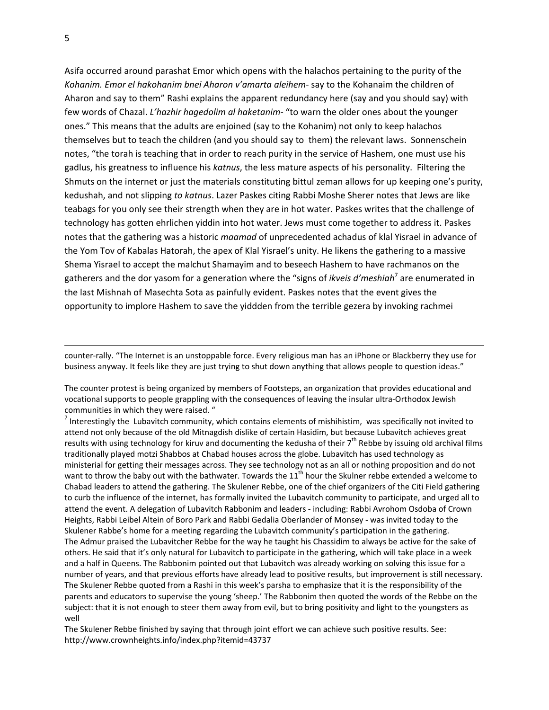Asifa occurred around parashat Emor which opens with the halachos pertaining to the purity of the *Kohanim. Emor el hakohanim bnei Aharon v'amarta aleihem*‐ say to the Kohanaim the children of Aharon and say to them" Rashi explains the apparent redundancy here (say and you should say) with few words of Chazal. *L'hazhir hagedolim al haketanim*‐ "to warn the older ones about the younger ones." This means that the adults are enjoined (say to the Kohanim) not only to keep halachos themselves but to teach the children (and you should say to them) the relevant laws. Sonnenschein notes, "the torah is teaching that in order to reach purity in the service of Hashem, one must use his gadlus, his greatness to influence his *katnus*, the less mature aspects of his personality. Filtering the Shmuts on the internet or just the materials constituting bittul zeman allows for up keeping one's purity, kedushah, and not slipping *to katnus*. Lazer Paskes citing Rabbi Moshe Sherer notes that Jews are like teabags for you only see their strength when they are in hot water. Paskes writes that the challenge of technology has gotten ehrlichen yiddin into hot water. Jews must come together to address it. Paskes notes that the gathering was a historic *maamad* of unprecedented achadus of klal Yisrael in advance of the Yom Tov of Kabalas Hatorah, the apex of Klal Yisrael's unity. He likens the gathering to a massive Shema Yisrael to accept the malchut Shamayim and to beseech Hashem to have rachmanos on the gatherers and the dor yasom for a generation where the "signs of *ikveis d'meshiah*<sup>7</sup> are enumerated in the last Mishnah of Masechta Sota as painfully evident. Paskes notes that the event gives the opportunity to implore Hashem to save the yiddden from the terrible gezera by invoking rachmei

counter-rally. "The Internet is an unstoppable force. Every religious man has an iPhone or Blackberry they use for business anyway. It feels like they are just trying to shut down anything that allows people to question ideas."

<u> Andrewski politika (za obrazu pod predsjednika u predsjednika u predsjednika u predsjednika (za obrazu pod p</u>

The counter protest is being organized by members of Footsteps, an organization that provides educational and vocational supports to people grappling with the consequences of leaving the insular ultra‐Orthodox Jewish

communities in which they were raised. "<br><sup>7</sup> Interestingly the Lubavitch community, which contains elements of mishihistim, was specifically not invited to attend not only because of the old Mitnagdish dislike of certain Hasidim, but because Lubavitch achieves great results with using technology for kiruv and documenting the kedusha of their  $7^{th}$  Rebbe by issuing old archival films traditionally played motzi Shabbos at Chabad houses across the globe. Lubavitch has used technology as ministerial for getting their messages across. They see technology not as an all or nothing proposition and do not want to throw the baby out with the bathwater. Towards the 11<sup>th</sup> hour the Skulner rebbe extended a welcome to Chabad leaders to attend the gathering. The Skulener Rebbe, one of the chief organizers of the Citi Field gathering to curb the influence of the internet, has formally invited the Lubavitch community to participate, and urged all to attend the event. A delegation of Lubavitch Rabbonim and leaders ‐ including: Rabbi Avrohom Osdoba of Crown Heights, Rabbi Leibel Altein of Boro Park and Rabbi Gedalia Oberlander of Monsey ‐ was invited today to the Skulener Rabbe's home for a meeting regarding the Lubavitch community's participation in the gathering. The Admur praised the Lubavitcher Rebbe for the way he taught his Chassidim to always be active for the sake of others. He said that it's only natural for Lubavitch to participate in the gathering, which will take place in a week and a half in Queens. The Rabbonim pointed out that Lubavitch was already working on solving this issue for a number of years, and that previous efforts have already lead to positive results, but improvement is still necessary. The Skulener Rebbe quoted from a Rashi in this week's parsha to emphasize that it is the responsibility of the parents and educators to supervise the young 'sheep.' The Rabbonim then quoted the words of the Rebbe on the subject: that it is not enough to steer them away from evil, but to bring positivity and light to the youngsters as well

The Skulener Rebbe finished by saying that through joint effort we can achieve such positive results. See: http://www.crownheights.info/index.php?itemid=43737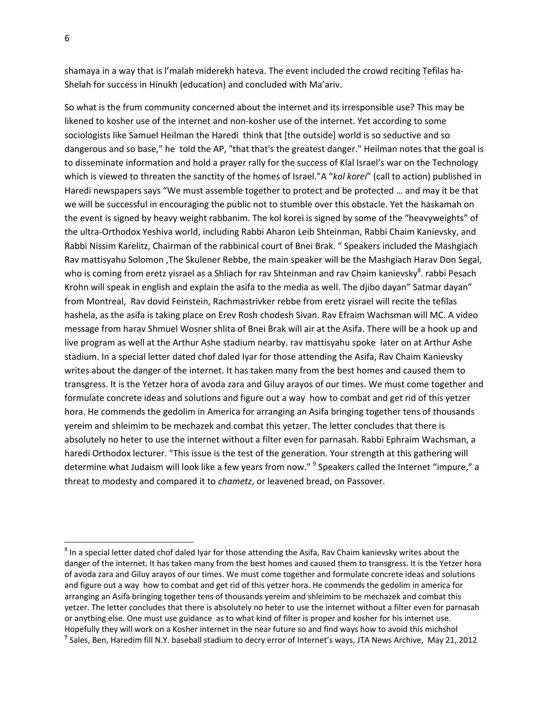shamaya in a way that is l'malah miderekh hateva. The event included the crowd reciting Tefilas ha-Shelah for success in Hinukh (education) and concluded with Ma'ariv.

So what is the frum community concerned about the internet and its irresponsible use? This may be likened to kosher use of the internet and non‐kosher use of the internet. Yet according to some sociologists like Samuel Heilman the Haredi think that [the outside] world is so seductive and so dangerous and so base," he told the AP, "that that's the greatest danger." Heilman notes that the goal is to disseminate information and hold a prayer rally for the success of Klal Israel's war on the Technology which is viewed to threaten the sanctity of the homes of Israel."A "*kol korei*" (call to action) published in Haredi newspapers says "We must assemble together to protect and be protected … and may it be that we will be successful in encouraging the public not to stumble over this obstacle. Yet the haskamah on the event is signed by heavy weight rabbanim. The kol korei is signed by some of the "heavyweights" of the ultra‐Orthodox Yeshiva world, including Rabbi Aharon Leib Shteinman, Rabbi Chaim Kanievsky, and Rabbi Nissim Karelitz, Chairman of the rabbinical court of Bnei Brak. " Speakers included the Mashgiach Rav mattisyahu Solomon ,The Skulener Rebbe, the main speaker will be the Mashgiach Harav Don Segal, who is coming from eretz yisrael as a Shliach for rav Shteinman and rav Chaim kanievsky $^8$ . rabbi Pesach Krohn will speak in english and explain the asifa to the media as well. The djibo dayan" Satmar dayan" from Montreal, Rav dovid Feinstein, Rachmastrivker rebbe from eretz yisrael will recite the tefilas hashela, as the asifa is taking place on Erev Rosh chodesh Sivan. Rav Efraim Wachsman will MC. A video message from harav Shmuel Wosner shlita of Bnei Brak will air at the Asifa. There will be a hook up and live program as well at the Arthur Ashe stadium nearby. rav mattisyahu spoke later on at Arthur Ashe stadium. In a special letter dated chof daled Iyar for those attending the Asifa, Rav Chaim Kanievsky writes about the danger of the internet. It has taken many from the best homes and caused them to transgress. It is the Yetzer hora of avoda zara and Giluy arayos of our times. We must come together and formulate concrete ideas and solutions and figure out a way how to combat and get rid of this yetzer hora. He commends the gedolim in America for arranging an Asifa bringing together tens of thousands yereim and shleimim to be mechazek and combat this yetzer. The letter concludes that there is absolutely no heter to use the internet without a filter even for parnasah. Rabbi Ephraim Wachsman, a haredi Orthodox lecturer. "This issue is the test of the generation. Your strength at this gathering will determine what Judaism will look like a few years from now."<sup>9</sup> Speakers called the Internet "impure," a threat to modesty and compared it to *chametz*, or leavened bread, on Passover.

<sup>&</sup>lt;sup>8</sup> In a special letter dated chof daled Iyar for those attending the Asifa, Rav Chaim kanievsky writes about the danger of the internet. It has taken many from the best homes and caused them to transgress. It is the Yetzer hora of avoda zara and Giluy arayos of our times. We must come together and formulate concrete ideas and solutions and figure out a way how to combat and get rid of this yetzer hora. He commends the gedolim in america for arranging an Asifa bringing together tens of thousands yereim and shleimim to be mechazek and combat this yetzer. The letter concludes that there is absolutely no heter to use the internet without a filter even for parnasah or anything else. One must use guidance as to what kind of filter is proper and kosher for his internet use. Hopefully they will work on a Kosher internet in the near future so and find ways how to avoid this michshol<br><sup>9</sup> Sales, Ben, Haredim fill N.Y. baseball stadium to decry error of Internet's ways, JTA News Archive, May 21,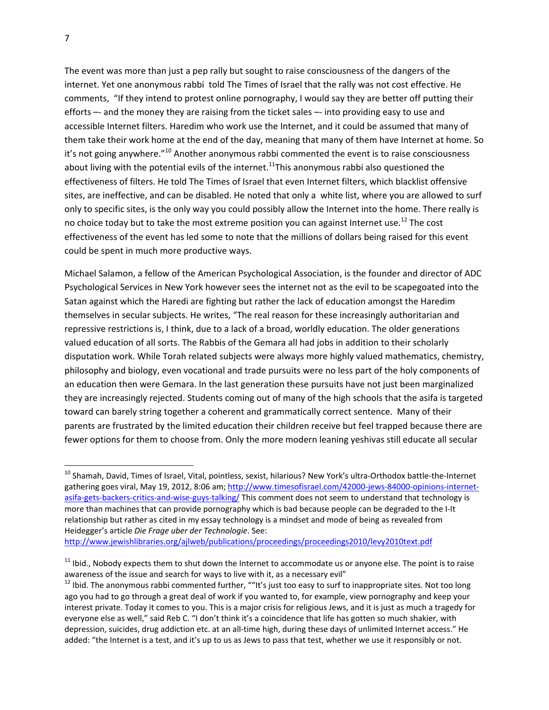The event was more than just a pep rally but sought to raise consciousness of the dangers of the internet. Yet one anonymous rabbi told The Times of Israel that the rally was not cost effective. He comments, "If they intend to protest online pornography, I would say they are better off putting their efforts -- and the money they are raising from the ticket sales -- into providing easy to use and accessible Internet filters. Haredim who work use the Internet, and it could be assumed that many of them take their work home at the end of the day, meaning that many of them have Internet at home. So it's not going anywhere."<sup>10</sup> Another anonymous rabbi commented the event is to raise consciousness about living with the potential evils of the internet.<sup>11</sup>This anonymous rabbi also questioned the effectiveness of filters. He told The Times of Israel that even Internet filters, which blacklist offensive sites, are ineffective, and can be disabled. He noted that only a white list, where you are allowed to surf only to specific sites, is the only way you could possibly allow the Internet into the home. There really is no choice today but to take the most extreme position you can against Internet use.<sup>12</sup> The cost effectiveness of the event has led some to note that the millions of dollars being raised for this event could be spent in much more productive ways.

Michael Salamon, a fellow of the American Psychological Association, is the founder and director of ADC Psychological Services in New York however sees the internet not as the evil to be scapegoated into the Satan against which the Haredi are fighting but rather the lack of education amongst the Haredim themselves in secular subjects. He writes, "The real reason for these increasingly authoritarian and repressive restrictions is, I think, due to a lack of a broad, worldly education. The older generations valued education of all sorts. The Rabbis of the Gemara all had jobs in addition to their scholarly disputation work. While Torah related subjects were always more highly valued mathematics, chemistry, philosophy and biology, even vocational and trade pursuits were no less part of the holy components of an education then were Gemara. In the last generation these pursuits have not just been marginalized they are increasingly rejected. Students coming out of many of the high schools that the asifa is targeted toward can barely string together a coherent and grammatically correct sentence. Many of their parents are frustrated by the limited education their children receive but feel trapped because there are fewer options for them to choose from. Only the more modern leaning yeshivas still educate all secular

http://www.jewishlibraries.org/ajlweb/publications/proceedings/proceedings2010/levy2010text.pdf

<sup>&</sup>lt;sup>10</sup> Shamah, David, Times of Israel, Vital, pointless, sexist, hilarious? New York's ultra-Orthodox battle-the-Internet gathering goes viral, May 19, 2012, 8:06 am; http://www.timesofisrael.com/42000-jews-84000-opinions-internetasifa-gets-backers-critics-and-wise-guys-talking/ This comment does not seem to understand that technology is more than machines that can provide pornography which is bad because people can be degraded to the I-It relationship but rather as cited in my essay technology is a mindset and mode of being as revealed from Heidegger's article *Die Frage uber der Technologie*. See:

 $11$  Ibid., Nobody expects them to shut down the Internet to accommodate us or anyone else. The point is to raise awareness of the issue and search for ways to live with it, as a necessary evil"<br><sup>12</sup> Ibid. The anonymous rabbi commented further, ""It's just too easy to surf to inappropriate sites. Not too long

ago you had to go through a great deal of work if you wanted to, for example, view pornography and keep your interest private. Today it comes to you. This is a major crisis for religious Jews, and it is just as much a tragedy for everyone else as well," said Reb C. "I don't think it's a coincidence that life has gotten so much shakier, with depression, suicides, drug addiction etc. at an all-time high, during these days of unlimited Internet access." He added: "the Internet is a test, and it's up to us as Jews to pass that test, whether we use it responsibly or not.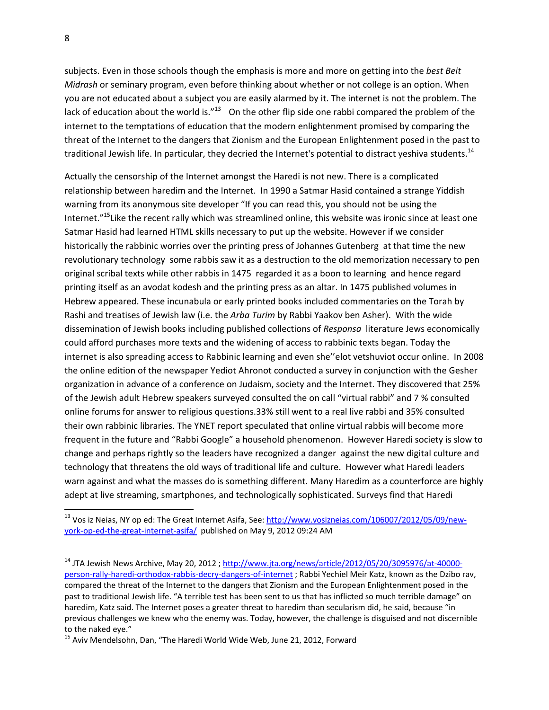subjects. Even in those schools though the emphasis is more and more on getting into the *best Beit Midrash* or seminary program, even before thinking about whether or not college is an option. When you are not educated about a subject you are easily alarmed by it. The internet is not the problem. The lack of education about the world is."<sup>13</sup>On the other flip side one rabbi compared the problem of the internet to the temptations of education that the modern enlightenment promised by comparing the threat of the Internet to the dangers that Zionism and the European Enlightenment posed in the past to traditional Jewish life. In particular, they decried the Internet's potential to distract yeshiva students.<sup>14</sup>

Actually the censorship of the Internet amongst the Haredi is not new. There is a complicated relationship between haredim and the Internet. In 1990 a Satmar Hasid contained a strange Yiddish warning from its anonymous site developer "If you can read this, you should not be using the Internet."<sup>15</sup>Like the recent rally which was streamlined online, this website was ironic since at least one Satmar Hasid had learned HTML skills necessary to put up the website. However if we consider historically the rabbinic worries over the printing press of Johannes Gutenberg at that time the new revolutionary technology some rabbis saw it as a destruction to the old memorization necessary to pen original scribal texts while other rabbis in 1475 regarded it as a boon to learning and hence regard printing itself as an avodat kodesh and the printing press as an altar. In 1475 published volumes in Hebrew appeared. These incunabula or early printed books included commentaries on the Torah by Rashi and treatises of Jewish law (i.e. the *Arba Turim* by Rabbi Yaakov ben Asher). With the wide dissemination of Jewish books including published collections of *Responsa* literature Jews economically could afford purchases more texts and the widening of access to rabbinic texts began. Today the internet is also spreading access to Rabbinic learning and even she''elot vetshuviot occur online. In 2008 the online edition of the newspaper Yediot Ahronot conducted a survey in conjunction with the Gesher organization in advance of a conference on Judaism, society and the Internet. They discovered that 25% of the Jewish adult Hebrew speakers surveyed consulted the on call "virtual rabbi" and 7 % consulted online forums for answer to religious questions.33% still went to a real live rabbi and 35% consulted their own rabbinic libraries. The YNET report speculated that online virtual rabbis will become more frequent in the future and "Rabbi Google" a household phenomenon. However Haredi society is slow to change and perhaps rightly so the leaders have recognized a danger against the new digital culture and technology that threatens the old ways of traditional life and culture. However what Haredi leaders warn against and what the masses do is something different. Many Haredim as a counterforce are highly adept at live streaming, smartphones, and technologically sophisticated. Surveys find that Haredi

<sup>&</sup>lt;sup>13</sup> Vos iz Neias, NY op ed: The Great Internet Asifa, See: http://www.vosizneias.com/106007/2012/05/09/newyork-op-ed-the-great-internet-asifa/ published on May 9, 2012 09:24 AM

 $14$  JTA Jewish News Archive, May 20, 2012; http://www.jta.org/news/article/2012/05/20/3095976/at-40000person‐rally‐haredi‐orthodox‐rabbis‐decry‐dangers‐of‐internet ; Rabbi Yechiel Meir Katz, known as the Dzibo rav, compared the threat of the Internet to the dangers that Zionism and the European Enlightenment posed in the past to traditional Jewish life. "A terrible test has been sent to us that has inflicted so much terrible damage" on haredim, Katz said. The Internet poses a greater threat to haredim than secularism did, he said, because "in previous challenges we knew who the enemy was. Today, however, the challenge is disguised and not discernible to the naked eye."<br><sup>15</sup> Aviv Mendelsohn, Dan, "The Haredi World Wide Web, June 21, 2012, Forward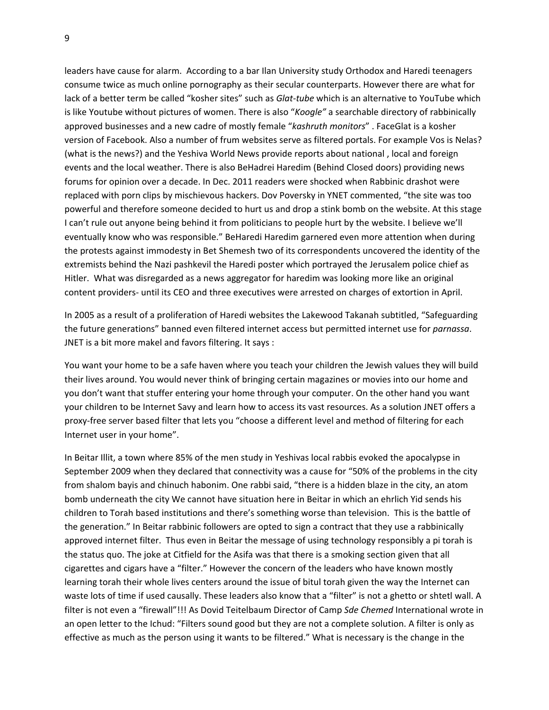leaders have cause for alarm. According to a bar Ilan University study Orthodox and Haredi teenagers consume twice as much online pornography as their secular counterparts. However there are what for lack of a better term be called "kosher sites" such as *Glat‐tube* which is an alternative to YouTube which is like Youtube without pictures of women. There is also "*Koogle"* a searchable directory of rabbinically approved businesses and a new cadre of mostly female "*kashruth monitors*" . FaceGlat is a kosher version of Facebook. Also a number of frum websites serve as filtered portals. For example Vos is Nelas? (what is the news?) and the Yeshiva World News provide reports about national , local and foreign events and the local weather. There is also BeHadrei Haredim (Behind Closed doors) providing news forums for opinion over a decade. In Dec. 2011 readers were shocked when Rabbinic drashot were replaced with porn clips by mischievous hackers. Dov Poversky in YNET commented, "the site was too powerful and therefore someone decided to hurt us and drop a stink bomb on the website. At this stage I can't rule out anyone being behind it from politicians to people hurt by the website. I believe we'll eventually know who was responsible." BeHaredi Haredim garnered even more attention when during the protests against immodesty in Bet Shemesh two of its correspondents uncovered the identity of the extremists behind the Nazi pashkevil the Haredi poster which portrayed the Jerusalem police chief as Hitler. What was disregarded as a news aggregator for haredim was looking more like an original content providers‐ until its CEO and three executives were arrested on charges of extortion in April.

In 2005 as a result of a proliferation of Haredi websites the Lakewood Takanah subtitled, "Safeguarding the future generations" banned even filtered internet access but permitted internet use for *parnassa*. JNET is a bit more makel and favors filtering. It says :

You want your home to be a safe haven where you teach your children the Jewish values they will build their lives around. You would never think of bringing certain magazines or movies into our home and you don't want that stuffer entering your home through your computer. On the other hand you want your children to be Internet Savy and learn how to access its vast resources. As a solution JNET offers a proxy‐free server based filter that lets you "choose a different level and method of filtering for each Internet user in your home".

In Beitar Illit, a town where 85% of the men study in Yeshivas local rabbis evoked the apocalypse in September 2009 when they declared that connectivity was a cause for "50% of the problems in the city from shalom bayis and chinuch habonim. One rabbi said, "there is a hidden blaze in the city, an atom bomb underneath the city We cannot have situation here in Beitar in which an ehrlich Yid sends his children to Torah based institutions and there's something worse than television. This is the battle of the generation." In Beitar rabbinic followers are opted to sign a contract that they use a rabbinically approved internet filter. Thus even in Beitar the message of using technology responsibly a pi torah is the status quo. The joke at Citfield for the Asifa was that there is a smoking section given that all cigarettes and cigars have a "filter." However the concern of the leaders who have known mostly learning torah their whole lives centers around the issue of bitul torah given the way the Internet can waste lots of time if used causally. These leaders also know that a "filter" is not a ghetto or shtetl wall. A filter is not even a "firewall"!!! As Dovid Teitelbaum Director of Camp *Sde Chemed* International wrote in an open letter to the Ichud: "Filters sound good but they are not a complete solution. A filter is only as effective as much as the person using it wants to be filtered." What is necessary is the change in the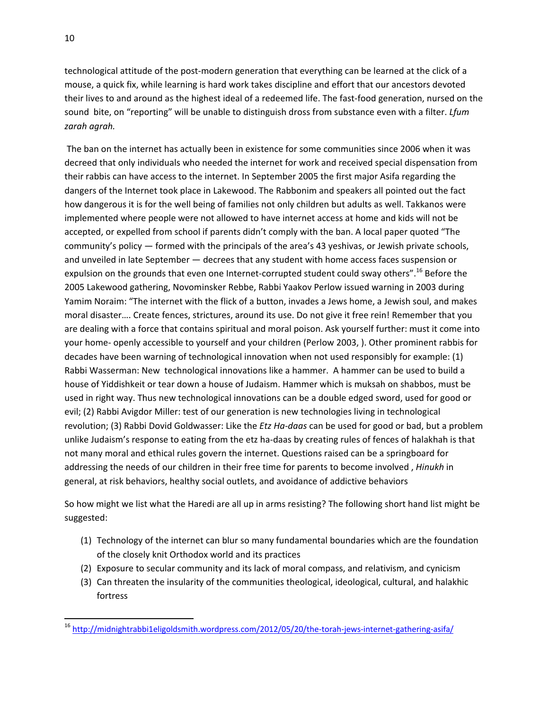technological attitude of the post‐modern generation that everything can be learned at the click of a mouse, a quick fix, while learning is hard work takes discipline and effort that our ancestors devoted their lives to and around as the highest ideal of a redeemed life. The fast-food generation, nursed on the sound bite, on "reporting" will be unable to distinguish dross from substance even with a filter. *Lfum zarah agrah.*

The ban on the internet has actually been in existence for some communities since 2006 when it was decreed that only individuals who needed the internet for work and received special dispensation from their rabbis can have access to the internet. In September 2005 the first major Asifa regarding the dangers of the Internet took place in Lakewood. The Rabbonim and speakers all pointed out the fact how dangerous it is for the well being of families not only children but adults as well. Takkanos were implemented where people were not allowed to have internet access at home and kids will not be accepted, or expelled from school if parents didn't comply with the ban. A local paper quoted "The community's policy — formed with the principals of the area's 43 yeshivas, or Jewish private schools, and unveiled in late September — decrees that any student with home access faces suspension or expulsion on the grounds that even one Internet-corrupted student could sway others".<sup>16</sup> Before the 2005 Lakewood gathering, Novominsker Rebbe, Rabbi Yaakov Perlow issued warning in 2003 during Yamim Noraim: "The internet with the flick of a button, invades a Jews home, a Jewish soul, and makes moral disaster…. Create fences, strictures, around its use. Do not give it free rein! Remember that you are dealing with a force that contains spiritual and moral poison. Ask yourself further: must it come into your home‐ openly accessible to yourself and your children (Perlow 2003, ). Other prominent rabbis for decades have been warning of technological innovation when not used responsibly for example: (1) Rabbi Wasserman: New technological innovations like a hammer. A hammer can be used to build a house of Yiddishkeit or tear down a house of Judaism. Hammer which is muksah on shabbos, must be used in right way. Thus new technological innovations can be a double edged sword, used for good or evil; (2) Rabbi Avigdor Miller: test of our generation is new technologies living in technological revolution; (3) Rabbi Dovid Goldwasser: Like the *Etz Ha‐daas* can be used for good or bad, but a problem unlike Judaism's response to eating from the etz ha-daas by creating rules of fences of halakhah is that not many moral and ethical rules govern the internet. Questions raised can be a springboard for addressing the needs of our children in their free time for parents to become involved , *Hinukh* in general, at risk behaviors, healthy social outlets, and avoidance of addictive behaviors

So how might we list what the Haredi are all up in arms resisting? The following short hand list might be suggested:

- (1) Technology of the internet can blur so many fundamental boundaries which are the foundation of the closely knit Orthodox world and its practices
- (2) Exposure to secular community and its lack of moral compass, and relativism, and cynicism
- (3) Can threaten the insularity of the communities theological, ideological, cultural, and halakhic fortress

 <sup>16</sup> http://midnightrabbi1eligoldsmith.wordpress.com/2012/05/20/the-torah-jews-internet-gathering-asifa/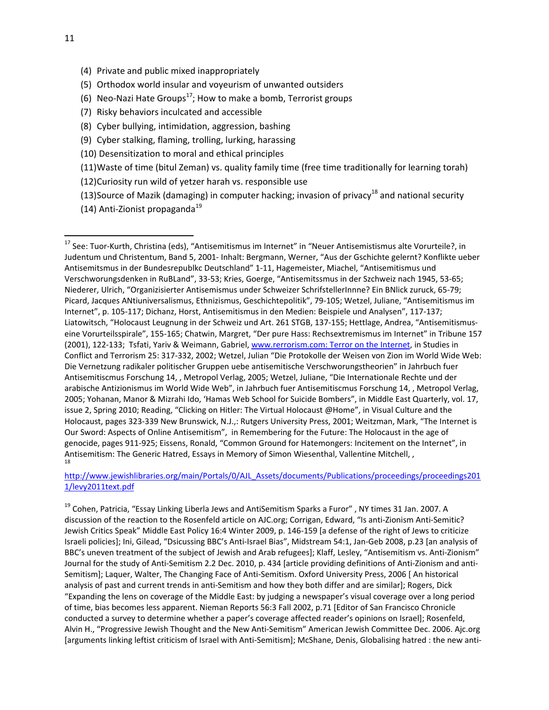- (4) Private and public mixed inappropriately
- (5) Orthodox world insular and voyeurism of unwanted outsiders
- (6) Neo-Nazi Hate Groups<sup>17</sup>; How to make a bomb, Terrorist groups
- (7) Risky behaviors inculcated and accessible
- (8) Cyber bullying, intimidation, aggression, bashing
- (9) Cyber stalking, flaming, trolling, lurking, harassing
- (10) Desensitization to moral and ethical principles
- (11)Waste of time (bitul Zeman) vs. quality family time (free time traditionally for learning torah)
- (12)Curiosity run wild of yetzer harah vs. responsible use
- (13)Source of Mazik (damaging) in computer hacking; invasion of privacy<sup>18</sup> and national security
- (14) Anti-Zionist propaganda $^{19}$

http://www.jewishlibraries.org/main/Portals/0/AJL\_Assets/documents/Publications/proceedings/proceedings201 1/levy2011text.pdf

<sup>19</sup> Cohen, Patricia, "Essay Linking Liberla Jews and AntiSemitism Sparks a Furor", NY times 31 Jan. 2007. A discussion of the reaction to the Rosenfeld article on AJC.org; Corrigan, Edward, "Is anti‐Zionism Anti‐Semitic? Jewish Critics Speak" Middle East Policy 16:4 Winter 2009, p. 146‐159 [a defense of the right of Jews to criticize Israeli policies]; Ini, Gilead, "Dsicussing BBC's Anti‐Israel Bias", Midstream 54:1, Jan‐Geb 2008, p.23 [an analysis of BBC's uneven treatment of the subject of Jewish and Arab refugees]; Klaff, Lesley, "Antisemitism vs. Anti-Zionism" Journal for the study of Anti‐Semitism 2.2 Dec. 2010, p. 434 [article providing definitions of Anti‐Zionism and anti‐ Semitism]; Laquer, Walter, The Changing Face of Anti‐Semitism. Oxford University Press, 2006 [ An historical analysis of past and current trends in anti‐Semitism and how they both differ and are similar]; Rogers, Dick "Expanding the lens on coverage of the Middle East: by judging a newspaper's visual coverage over a long period of time, bias becomes less apparent. Nieman Reports 56:3 Fall 2002, p.71 [Editor of San Francisco Chronicle conducted a survey to determine whether a paper's coverage affected reader's opinions on Israel]; Rosenfeld, Alvin H., "Progressive Jewish Thought and the New Anti‐Semitism" American Jewish Committee Dec. 2006. Ajc.org [arguments linking leftist criticism of Israel with Anti-Semitism]; McShane, Denis, Globalising hatred : the new anti-

<sup>&</sup>lt;sup>17</sup> See: Tuor-Kurth, Christina (eds), "Antisemitismus im Internet" in "Neuer Antisemistismus alte Vorurteile?, in Judentum und Christentum, Band 5, 2001‐ Inhalt: Bergmann, Werner, "Aus der Gschichte gelernt? Konflikte ueber Antisemitsmus in der Bundesrepublkc Deutschland" 1‐11, Hagemeister, Miachel, "Antisemitismus und Verschworungsdenken in RuBLand", 33‐53; Kries, Goerge, "Antisemitssmus in der Szchweiz nach 1945, 53‐65; Niederer, Ulrich, "Organizisierter Antisemismus under Schweizer SchrifstellerInnne? Ein BNlick zuruck, 65‐79; Picard, Jacques ANtiuniversalismus, Ethnizismus, Geschichtepolitik", 79‐105; Wetzel, Juliane, "Antisemitismus im Internet", p. 105‐117; Dichanz, Horst, Antisemitismus in den Medien: Beispiele und Analysen", 117‐137; Liatowitsch, "Holocaust Leugnung in der Schweiz und Art. 261 STGB, 137‐155; Hettlage, Andrea, "Antisemitismus‐ eine Vorurteilsspirale", 155‐165; Chatwin, Margret, "Der pure Hass: Rechsextremismus im Internet" in Tribune 157 (2001), 122-133; Tsfati, Yariv & Weimann, Gabriel, www.rerrorism.com: Terror on the Internet, in Studies in Conflict and Terrorism 25: 317‐332, 2002; Wetzel, Julian "Die Protokolle der Weisen von Zion im World Wide Web: Die Vernetzung radikaler politischer Gruppen uebe antisemitische Verschworungstheorien" in Jahrbuch fuer Antisemitiscmus Forschung 14, , Metropol Verlag, 2005; Wetzel, Juliane, "Die Internationale Rechte und der arabische Antizionismus im World Wide Web", in Jahrbuch fuer Antisemitiscmus Forschung 14, , Metropol Verlag, 2005; Yohanan, Manor & Mizrahi Ido, 'Hamas Web School for Suicide Bombers", in Middle East Quarterly, vol. 17, issue 2, Spring 2010; Reading, "Clicking on Hitler: The Virtual Holocaust @Home", in Visual Culture and the Holocaust, pages 323‐339 New Brunswick, N.J.,: Rutgers University Press, 2001; Weitzman, Mark, "The Internet is Our Sword: Aspects of Online Antisemitism", in Remembering for the Future: The Holocaust in the age of genocide, pages 911‐925; Eissens, Ronald, "Common Ground for Hatemongers: Incitement on the Internet", in Antisemitism: The Generic Hatred, Essays in Memory of Simon Wiesenthal, Vallentine Mitchell, ,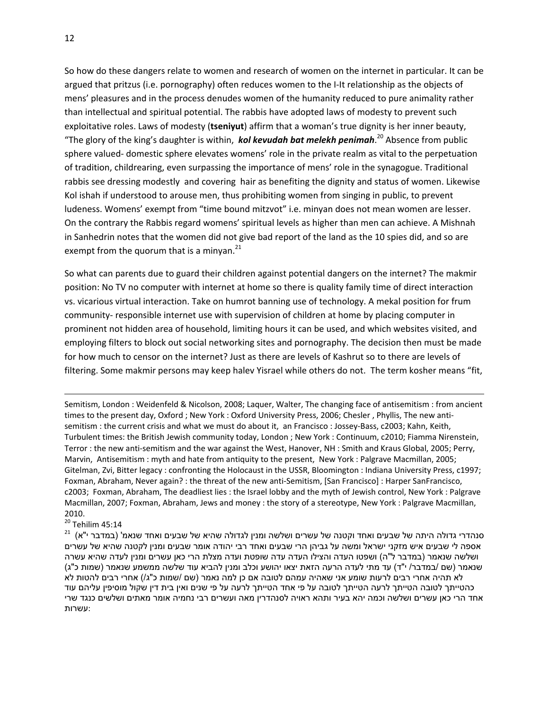So how do these dangers relate to women and research of women on the internet in particular. It can be argued that pritzus (i.e. pornography) often reduces women to the I-It relationship as the objects of mens' pleasures and in the process denudes women of the humanity reduced to pure animality rather than intellectual and spiritual potential. The rabbis have adopted laws of modesty to prevent such exploitative roles. Laws of modesty (**tseniyut**) affirm that a woman's true dignity is her inner beauty, "The glory of the king's daughter is within, *kol kevudah bat melekh penimah*. <sup>20</sup> Absence from public sphere valued‐ domestic sphere elevates womens' role in the private realm as vital to the perpetuation of tradition, childrearing, even surpassing the importance of mens' role in the synagogue. Traditional rabbis see dressing modestly and covering hair as benefiting the dignity and status of women. Likewise Kol ishah if understood to arouse men, thus prohibiting women from singing in public, to prevent ludeness. Womens' exempt from "time bound mitzvot" i.e. minyan does not mean women are lesser. On the contrary the Rabbis regard womens' spiritual levels as higher than men can achieve. A Mishnah in Sanhedrin notes that the women did not give bad report of the land as the 10 spies did, and so are exempt from the quorum that is a minyan. $^{21}$ 

So what can parents due to guard their children against potential dangers on the internet? The makmir position: No TV no computer with internet at home so there is quality family time of direct interaction vs. vicarious virtual interaction. Take on humrot banning use of technology. A mekal position for frum community- responsible internet use with supervision of children at home by placing computer in prominent not hidden area of household, limiting hours it can be used, and which websites visited, and employing filters to block out social networking sites and pornography. The decision then must be made for how much to censor on the internet? Just as there are levels of Kashrut so to there are levels of filtering. Some makmir persons may keep halev Yisrael while others do not. The term kosher means "fit,

Semitism, London : Weidenfeld & Nicolson, 2008; Laquer, Walter, The changing face of antisemitism : from ancient times to the present day, Oxford ; New York : Oxford University Press, 2006; Chesler, Phyllis, The new antisemitism : the current crisis and what we must do about it, an Francisco : Jossey‐Bass, c2003; Kahn, Keith, Turbulent times: the British Jewish community today, London ; New York : Continuum, c2010; Fiamma Nirenstein, Terror : the new anti-semitism and the war against the West, Hanover, NH : Smith and Kraus Global, 2005; Perry, Marvin, Antisemitism : myth and hate from antiquity to the present, New York : Palgrave Macmillan, 2005; Gitelman, Zvi, Bitter legacy : confronting the Holocaust in the USSR, Bloomington : Indiana University Press, c1997; Foxman, Abraham, Never again? : the threat of the new anti‐Semitism, [San Francisco] : Harper SanFrancisco, c2003; Foxman, Abraham, The deadliest lies : the Israel lobby and the myth of Jewish control, New York : Palgrave Macmillan, 2007; Foxman, Abraham, Jews and money : the story of a stereotype, New York : Palgrave Macmillan,

<u> Andrewski politika (za obrazu pod predsjednika u predsjednika u predsjednika u predsjednika (za obrazu pod p</u>

2010.<br><sup>20</sup> Tehilim בהדרי גדולה היתה של שבעים ואחד וקטנה של עשרים ושלשה ומנין לגדולה שהיא של שבעים ואחד שנאמ' (במדבר י"א)<br><sup>21</sup> מנהדרי גדולה היתה של שבעים ואחד וקטנה של עשרים ושלשה ומנין לגדולה שהיא של שבעים ואחד שנאמ' (ב אספה לי שבעים איש מזקני ישראל ומשה על גביהן הרי שבעים ואחד רבי יהודה אומר שבעים ומנין לקטנה שהיא של עשרים ושלשה שנאמר (במדבר ל"ה) ושפטו העדה והצילו העדה עדה שופטת ועדה מצלת הרי כאן עשרים ומנין לעדה שהיא עשרה שנאמר (שם /במדבר/ י"ד) עד מתי לעדה הרעה הזאת יצאו יהושע וכלב ומנין להביא עוד שלשה ממשמע שנאמר (שמות כ"ג) לא תהיה אחרי רבים לרעות שומע אני שאהיה עמהם לטובה אם כן למה נאמר (שם /שמות כ"ג/) אחרי רבים להטות לא כהטייתך לטובה הטייתך לרעה הטייתך לטובה על פי אחד הטייתך לרעה על פי שנים ואין בית דין שקול מוסיפין עליהם עוד אחד הרי כאן עשרים ושלשה וכמה יהא בעיר ותהא ראויה לסנהדרין מאה ועשרים רבי נחמיה אומר מאתים ושלשים כנגד שרי :עשרות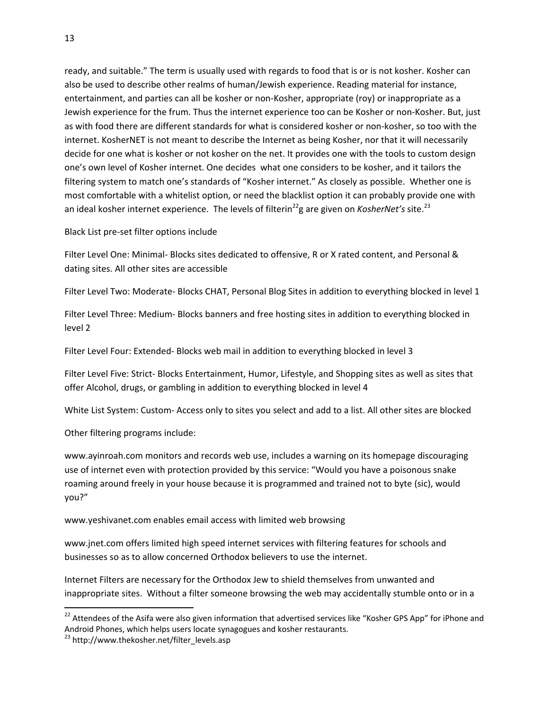ready, and suitable." The term is usually used with regards to food that is or is not kosher. Kosher can also be used to describe other realms of human/Jewish experience. Reading material for instance, entertainment, and parties can all be kosher or non‐Kosher, appropriate (roy) or inappropriate as a Jewish experience for the frum. Thus the internet experience too can be Kosher or non‐Kosher. But, just as with food there are different standards for what is considered kosher or non‐kosher, so too with the internet. KosherNET is not meant to describe the Internet as being Kosher, nor that it will necessarily decide for one what is kosher or not kosher on the net. It provides one with the tools to custom design one's own level of Kosher internet. One decides what one considers to be kosher, and it tailors the filtering system to match one's standards of "Kosher internet." As closely as possible. Whether one is most comfortable with a whitelist option, or need the blacklist option it can probably provide one with an ideal kosher internet experience. The levels of filterin<sup>22</sup>g are given on *KosherNet's* site.<sup>23</sup>

Black List pre‐set filter options include

Filter Level One: Minimal- Blocks sites dedicated to offensive, R or X rated content, and Personal & dating sites. All other sites are accessible

Filter Level Two: Moderate- Blocks CHAT, Personal Blog Sites in addition to everything blocked in level 1

Filter Level Three: Medium‐ Blocks banners and free hosting sites in addition to everything blocked in level 2

Filter Level Four: Extended‐ Blocks web mail in addition to everything blocked in level 3

Filter Level Five: Strict‐ Blocks Entertainment, Humor, Lifestyle, and Shopping sites as well as sites that offer Alcohol, drugs, or gambling in addition to everything blocked in level 4

White List System: Custom‐ Access only to sites you select and add to a list. All other sites are blocked

Other filtering programs include:

www.ayinroah.com monitors and records web use, includes a warning on its homepage discouraging use of internet even with protection provided by this service: "Would you have a poisonous snake roaming around freely in your house because it is programmed and trained not to byte (sic), would you?"

www.yeshivanet.com enables email access with limited web browsing

www.jnet.com offers limited high speed internet services with filtering features for schools and businesses so as to allow concerned Orthodox believers to use the internet.

Internet Filters are necessary for the Orthodox Jew to shield themselves from unwanted and inappropriate sites. Without a filter someone browsing the web may accidentally stumble onto or in a

 $^{22}$  Attendees of the Asifa were also given information that advertised services like "Kosher GPS App" for iPhone and Android Phones, which helps users locate synagogues and kosher restaurants.<br><sup>23</sup> http://www.thekosher.net/filter\_levels.asp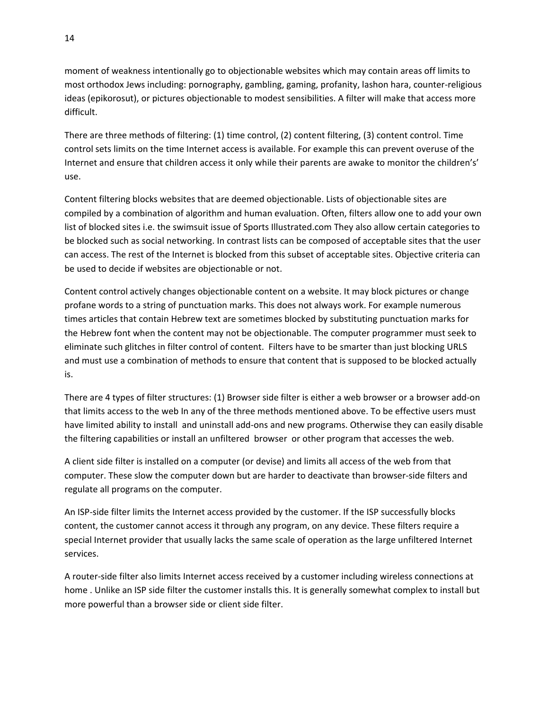moment of weakness intentionally go to objectionable websites which may contain areas off limits to most orthodox Jews including: pornography, gambling, gaming, profanity, lashon hara, counter‐religious ideas (epikorosut), or pictures objectionable to modest sensibilities. A filter will make that access more difficult.

There are three methods of filtering: (1) time control, (2) content filtering, (3) content control. Time control sets limits on the time Internet access is available. For example this can prevent overuse of the Internet and ensure that children access it only while their parents are awake to monitor the children's' use.

Content filtering blocks websites that are deemed objectionable. Lists of objectionable sites are compiled by a combination of algorithm and human evaluation. Often, filters allow one to add your own list of blocked sites i.e. the swimsuit issue of Sports Illustrated.com They also allow certain categories to be blocked such as social networking. In contrast lists can be composed of acceptable sites that the user can access. The rest of the Internet is blocked from this subset of acceptable sites. Objective criteria can be used to decide if websites are objectionable or not.

Content control actively changes objectionable content on a website. It may block pictures or change profane words to a string of punctuation marks. This does not always work. For example numerous times articles that contain Hebrew text are sometimes blocked by substituting punctuation marks for the Hebrew font when the content may not be objectionable. The computer programmer must seek to eliminate such glitches in filter control of content. Filters have to be smarter than just blocking URLS and must use a combination of methods to ensure that content that is supposed to be blocked actually is.

There are 4 types of filter structures: (1) Browser side filter is either a web browser or a browser add‐on that limits access to the web In any of the three methods mentioned above. To be effective users must have limited ability to install and uninstall add-ons and new programs. Otherwise they can easily disable the filtering capabilities or install an unfiltered browser or other program that accesses the web.

A client side filter is installed on a computer (or devise) and limits all access of the web from that computer. These slow the computer down but are harder to deactivate than browser‐side filters and regulate all programs on the computer.

An ISP‐side filter limits the Internet access provided by the customer. If the ISP successfully blocks content, the customer cannot access it through any program, on any device. These filters require a special Internet provider that usually lacks the same scale of operation as the large unfiltered Internet services.

A router‐side filter also limits Internet access received by a customer including wireless connections at home . Unlike an ISP side filter the customer installs this. It is generally somewhat complex to install but more powerful than a browser side or client side filter.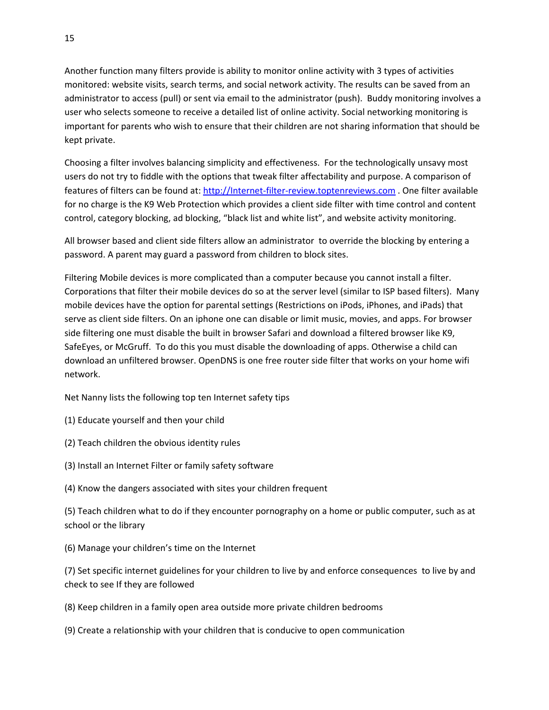Another function many filters provide is ability to monitor online activity with 3 types of activities monitored: website visits, search terms, and social network activity. The results can be saved from an administrator to access (pull) or sent via email to the administrator (push). Buddy monitoring involves a user who selects someone to receive a detailed list of online activity. Social networking monitoring is important for parents who wish to ensure that their children are not sharing information that should be kept private.

Choosing a filter involves balancing simplicity and effectiveness. For the technologically unsavy most users do not try to fiddle with the options that tweak filter affectability and purpose. A comparison of features of filters can be found at: http://Internet-filter-review.toptenreviews.com . One filter available for no charge is the K9 Web Protection which provides a client side filter with time control and content control, category blocking, ad blocking, "black list and white list", and website activity monitoring.

All browser based and client side filters allow an administrator to override the blocking by entering a password. A parent may guard a password from children to block sites.

Filtering Mobile devices is more complicated than a computer because you cannot install a filter. Corporations that filter their mobile devices do so at the server level (similar to ISP based filters). Many mobile devices have the option for parental settings (Restrictions on iPods, iPhones, and iPads) that serve as client side filters. On an iphone one can disable or limit music, movies, and apps. For browser side filtering one must disable the built in browser Safari and download a filtered browser like K9, SafeEyes, or McGruff. To do this you must disable the downloading of apps. Otherwise a child can download an unfiltered browser. OpenDNS is one free router side filter that works on your home wifi network.

Net Nanny lists the following top ten Internet safety tips

- (1) Educate yourself and then your child
- (2) Teach children the obvious identity rules
- (3) Install an Internet Filter or family safety software
- (4) Know the dangers associated with sites your children frequent

(5) Teach children what to do if they encounter pornography on a home or public computer, such as at school or the library

(6) Manage your children's time on the Internet

(7) Set specific internet guidelines for your children to live by and enforce consequences to live by and check to see If they are followed

- (8) Keep children in a family open area outside more private children bedrooms
- (9) Create a relationship with your children that is conducive to open communication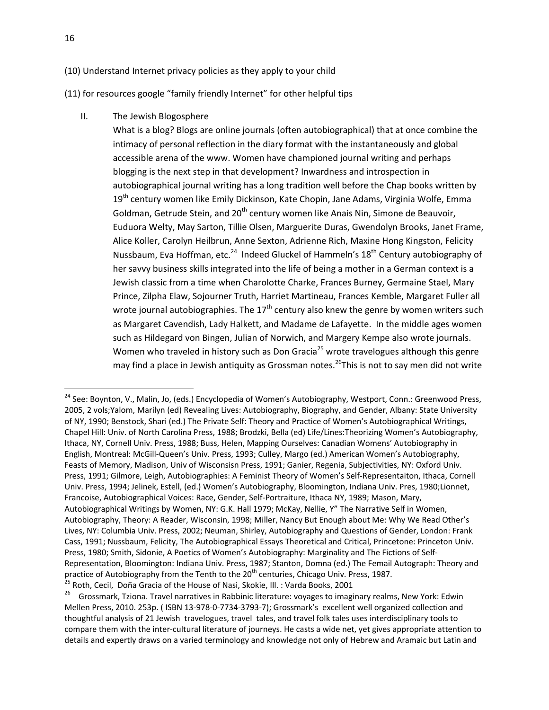- (10) Understand Internet privacy policies as they apply to your child
- (11) for resources google "family friendly Internet" for other helpful tips
	- II. The Jewish Blogosphere

What is a blog? Blogs are online journals (often autobiographical) that at once combine the intimacy of personal reflection in the diary format with the instantaneously and global accessible arena of the www. Women have championed journal writing and perhaps blogging is the next step in that development? Inwardness and introspection in autobiographical journal writing has a long tradition well before the Chap books written by 19<sup>th</sup> century women like Emily Dickinson, Kate Chopin, Jane Adams, Virginia Wolfe, Emma Goldman, Getrude Stein, and 20<sup>th</sup> century women like Anais Nin, Simone de Beauvoir, Euduora Welty, May Sarton, Tillie Olsen, Marguerite Duras, Gwendolyn Brooks, Janet Frame, Alice Koller, Carolyn Heilbrun, Anne Sexton, Adrienne Rich, Maxine Hong Kingston, Felicity Nussbaum, Eva Hoffman, etc.<sup>24</sup> Indeed Gluckel of Hammeln's 18<sup>th</sup> Century autobiography of her savvy business skills integrated into the life of being a mother in a German context is a Jewish classic from a time when Charolotte Charke, Frances Burney, Germaine Stael, Mary Prince, Zilpha Elaw, Sojourner Truth, Harriet Martineau, Frances Kemble, Margaret Fuller all wrote journal autobiographies. The  $17<sup>th</sup>$  century also knew the genre by women writers such as Margaret Cavendish, Lady Halkett, and Madame de Lafayette. In the middle ages women such as Hildegard von Bingen, Julian of Norwich, and Margery Kempe also wrote journals. Women who traveled in history such as Don Gracia<sup>25</sup> wrote travelogues although this genre may find a place in Jewish antiquity as Grossman notes.<sup>26</sup>This is not to say men did not write

<sup>&</sup>lt;sup>24</sup> See: Boynton, V., Malin, Jo, (eds.) Encyclopedia of Women's Autobiography, Westport, Conn.: Greenwood Press, 2005, 2 vols;Yalom, Marilyn (ed) Revealing Lives: Autobiography, Biography, and Gender, Albany: State University of NY, 1990; Benstock, Shari (ed.) The Private Self: Theory and Practice of Women's Autobiographical Writings, Chapel Hill: Univ. of North Carolina Press, 1988; Brodzki, Bella (ed) Life/Lines:Theorizing Women's Autobiography, Ithaca, NY, Cornell Univ. Press, 1988; Buss, Helen, Mapping Ourselves: Canadian Womens' Autobiography in English, Montreal: McGill‐Queen's Univ. Press, 1993; Culley, Margo (ed.) American Women's Autobiography, Feasts of Memory, Madison, Univ of Wisconsisn Press, 1991; Ganier, Regenia, Subjectivities, NY: Oxford Univ. Press, 1991; Gilmore, Leigh, Autobiographies: A Feminist Theory of Women's Self‐Representaiton, Ithaca, Cornell Univ. Press, 1994; Jelinek, Estell, (ed.) Women's Autobiography, Bloomington, Indiana Univ. Pres, 1980;Lionnet, Francoise, Autobiographical Voices: Race, Gender, Self‐Portraiture, Ithaca NY, 1989; Mason, Mary, Autobiographical Writings by Women, NY: G.K. Hall 1979; McKay, Nellie, Y" The Narrative Self in Women, Autobiography, Theory: A Reader, Wisconsin, 1998; Miller, Nancy But Enough about Me: Why We Read Other's Lives, NY: Columbia Univ. Press, 2002; Neuman, Shirley, Autobiography and Questions of Gender, London: Frank Cass, 1991; Nussbaum, Felicity, The Autobiographical Essays Theoretical and Critical, Princetone: Princeton Univ. Press, 1980; Smith, Sidonie, A Poetics of Women's Autobiography: Marginality and The Fictions of Self‐ Representation, Bloomington: Indiana Univ. Press, 1987; Stanton, Domna (ed.) The Femail Autograph: Theory and practice of Autobiography from the Tenth to the 20<sup>th</sup> centuries, Chicago Univ. Press, 1987.<br><sup>25</sup> Roth, Cecil, Doña Gracia of the House of Nasi, Skokie, III. : Varda Books, 2001<br><sup>26</sup> Grossmark, Tziona. Travel narratives in

Mellen Press, 2010. 253p. ( ISBN 13‐978‐0‐7734‐3793‐7); Grossmark's excellent well organized collection and thoughtful analysis of 21 Jewish travelogues, travel tales, and travel folk tales uses interdisciplinary tools to compare them with the inter‐cultural literature of journeys. He casts a wide net, yet gives appropriate attention to details and expertly draws on a varied terminology and knowledge not only of Hebrew and Aramaic but Latin and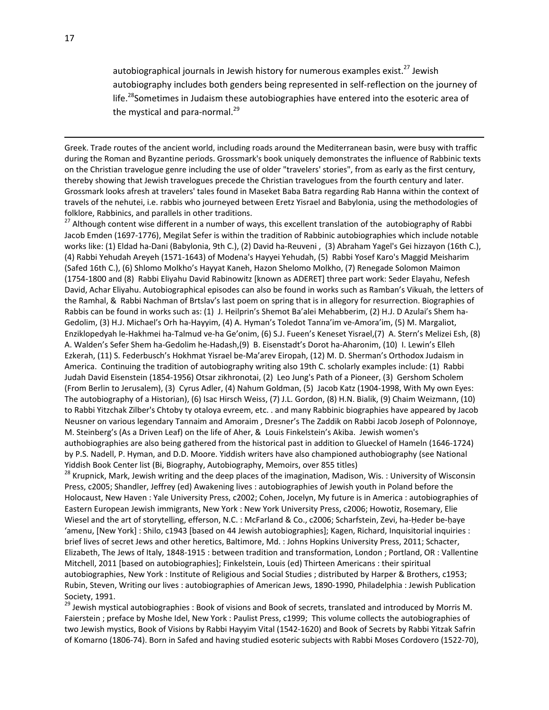autobiographical journals in Jewish history for numerous examples exist.<sup>27</sup> Jewish autobiography includes both genders being represented in self‐reflection on the journey of life.<sup>28</sup>Sometimes in Judaism these autobiographies have entered into the esoteric area of the mystical and para-normal.<sup>29</sup>

Greek. Trade routes of the ancient world, including roads around the Mediterranean basin, were busy with traffic during the Roman and Byzantine periods. Grossmark's book uniquely demonstrates the influence of Rabbinic texts on the Christian travelogue genre including the use of older "travelers' stories", from as early as the first century, thereby showing that Jewish travelogues precede the Christian travelogues from the fourth century and later. Grossmark looks afresh at travelers' tales found in Maseket Baba Batra regarding Rab Hanna within the context of travels of the nehutei, i.e. rabbis who journeyed between Eretz Yisrael and Babylonia, using the methodologies of

<u> Andrewski politika (za obrazu pod predsjednika u predsjednika u predsjednika u predsjednika (za obrazu pod p</u>

folklore, Rabbinics, and parallels in other traditions.<br><sup>27</sup> Although content wise different in a number of ways, this excellent translation of the autobiography of Rabbi Jacob Emden (1697‐1776), Megilat Sefer is within the tradition of Rabbinic autobiographies which include notable works like: (1) Eldad ha‐Dani (Babylonia, 9th C.), (2) David ha‐Reuveni , (3) Abraham Yagel's Gei hizzayon (16th C.), (4) Rabbi Yehudah Areyeh (1571‐1643) of Modena's Hayyei Yehudah, (5) Rabbi Yosef Karo's Maggid Meisharim (Safed 16th C.), (6) Shlomo Molkho's Hayyat Kaneh, Hazon Shelomo Molkho, (7) Renegade Solomon Maimon (1754‐1800 and (8) Rabbi Eliyahu David Rabinowitz [known as ADERET] three part work: Seder Elayahu, Nefesh David, Achar Eliyahu. Autobiographical episodes can also be found in works such as Ramban's Vikuah, the letters of the Ramhal, & Rabbi Nachman of Brtslav's last poem on spring that is in allegory for resurrection. Biographies of Rabbis can be found in works such as: (1) J. Heilprin's Shemot Ba'alei Mehabberim, (2) H.J. D Azulai's Shem ha‐ Gedolim, (3) H.J. Michael's Orh ha‐Hayyim, (4) A. Hyman's Toledot Tanna'im ve‐Amora'im, (5) M. Margaliot, Enziklopedyah le‐Hakhmei ha‐Talmud ve‐ha Ge'onim, (6) S.J. Fueen's Keneset Yisrael,(7) A. Stern's Melizei Esh, (8) A. Walden's Sefer Shem ha‐Gedolim he‐Hadash,(9) B. Eisenstadt's Dorot ha‐Aharonim, (10) I. Lewin's Elleh Ezkerah, (11) S. Federbusch's Hokhmat Yisrael be‐Ma'arev Eiropah, (12) M. D. Sherman's Orthodox Judaism in America. Continuing the tradition of autobiography writing also 19th C. scholarly examples include: (1) Rabbi Judah David Eisenstein (1854‐1956) Otsar zikhronotai, (2) Leo Jung's Path of a Pioneer, (3) Gershom Scholem (From Berlin to Jerusalem), (3) Cyrus Adler, (4) Nahum Goldman, (5) Jacob Katz (1904‐1998, With My own Eyes: The autobiography of a Historian), (6) Isac Hirsch Weiss, (7) J.L. Gordon, (8) H.N. Bialik, (9) Chaim Weizmann, (10) to Rabbi Yitzchak Zilber's Chtoby ty otaloya evreem, etc. . and many Rabbinic biographies have appeared by Jacob Neusner on various legendary Tannaim and Amoraim , Dresner's The Zaddik on Rabbi Jacob Joseph of Polonnoye, M. Steinberg's (As a Driven Leaf) on the life of Aher, & Louis Finkelstein's Akiba. Jewish women's authobiographies are also being gathered from the historical past in addition to Glueckel of Hameln (1646‐1724) by P.S. Nadell, P. Hyman, and D.D. Moore. Yiddish writers have also championed authobiography (see National

Yiddish Book Center list (Bi, Biography, Autobiography, Memoirs, over 855 titles)<br><sup>28</sup> Krupnick, Mark, Jewish writing and the deep places of the imagination, Madison, Wis. : University of Wisconsin Press, c2005; Shandler, Jeffrey (ed) Awakening lives : autobiographies of Jewish youth in Poland before the Holocaust, New Haven : Yale University Press, c2002; Cohen, Jocelyn, My future is in America : autobiographies of Eastern European Jewish immigrants, New York : New York University Press, c2006; Howotiz, Rosemary, Elie Wiesel and the art of storytelling, efferson, N.C. : McFarland & Co., c2006; Scharfstein, Zevi, ha‐Ḥeder be‐ḥaye ʻamenu, [New York] : Shilo, c1943 [based on 44 Jewish autobiographies]; Kagen, Richard, Inquisitorial inquiries : brief lives of secret Jews and other heretics, Baltimore, Md. : Johns Hopkins University Press, 2011; Schacter, Elizabeth, The Jews of Italy, 1848‐1915 : between tradition and transformation, London ; Portland, OR : Vallentine Mitchell, 2011 [based on autobiographies]; Finkelstein, Louis (ed) Thirteen Americans : their spiritual autobiographies, New York : Institute of Religious and Social Studies ; distributed by Harper & Brothers, c1953; Rubin, Steven, Writing our lives : autobiographies of American Jews, 1890‐1990, Philadelphia : Jewish Publication

Society, 1991.<br><sup>29</sup> Jewish mystical autobiographies : Book of visions and Book of secrets, translated and introduced by Morris M. Faierstein ; preface by Moshe Idel, New York : Paulist Press, c1999; This volume collects the autobiographies of two Jewish mystics, Book of Visions by Rabbi Hayyim Vital (1542‐1620) and Book of Secrets by Rabbi Yitzak Safrin of Komarno (1806‐74). Born in Safed and having studied esoteric subjects with Rabbi Moses Cordovero (1522‐70),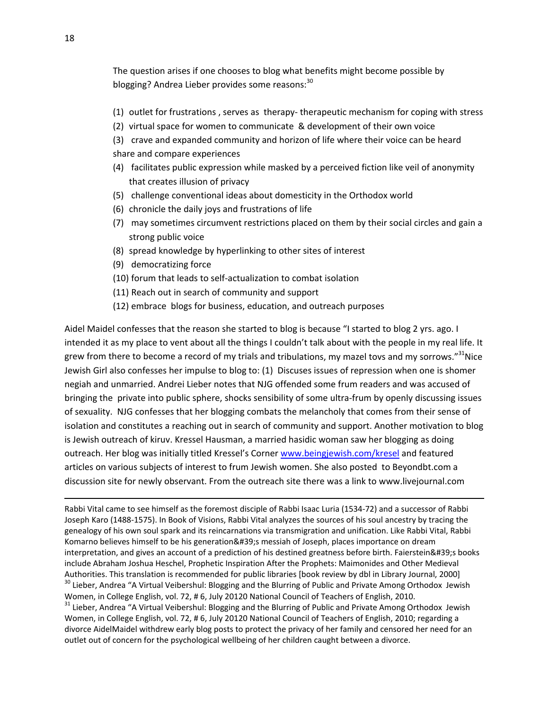The question arises if one chooses to blog what benefits might become possible by blogging? Andrea Lieber provides some reasons: 30

- (1) outlet for frustrations , serves as therapy‐ therapeutic mechanism for coping with stress
- (2) virtual space for women to communicate & development of their own voice

(3) crave and expanded community and horizon of life where their voice can be heard share and compare experiences

- (4) facilitates public expression while masked by a perceived fiction like veil of anonymity that creates illusion of privacy
- (5) challenge conventional ideas about domesticity in the Orthodox world
- (6) chronicle the daily joys and frustrations of life
- (7) may sometimes circumvent restrictions placed on them by their social circles and gain a strong public voice
- (8) spread knowledge by hyperlinking to other sites of interest
- (9) democratizing force
- (10) forum that leads to self‐actualization to combat isolation
- (11) Reach out in search of community and support
- (12) embrace blogs for business, education, and outreach purposes

Aidel Maidel confesses that the reason she started to blog is because "I started to blog 2 yrs. ago. I intended it as my place to vent about all the things I couldn't talk about with the people in my real life. It grew from there to become a record of my trials and tribulations, my mazel tovs and my sorrows."<sup>31</sup>Nice Jewish Girl also confesses her impulse to blog to: (1) Discuses issues of repression when one is shomer negiah and unmarried. Andrei Lieber notes that NJG offended some frum readers and was accused of bringing the private into public sphere, shocks sensibility of some ultra‐frum by openly discussing issues of sexuality. NJG confesses that her blogging combats the melancholy that comes from their sense of isolation and constitutes a reaching out in search of community and support. Another motivation to blog is Jewish outreach of kiruv. Kressel Hausman, a married hasidic woman saw her blogging as doing outreach. Her blog was initially titled Kressel's Corner www.beingjewish.com/kresel and featured articles on various subjects of interest to frum Jewish women. She also posted to Beyondbt.com a discussion site for newly observant. From the outreach site there was a link to www.livejournal.com

Rabbi Vital came to see himself as the foremost disciple of Rabbi Isaac Luria (1534‐72) and a successor of Rabbi Joseph Karo (1488‐1575). In Book of Visions, Rabbi Vital analyzes the sources of his soul ancestry by tracing the genealogy of his own soul spark and its reincarnations via transmigration and unification. Like Rabbi Vital, Rabbi Komarno believes himself to be his generation's messiah of Joseph, places importance on dream interpretation, and gives an account of a prediction of his destined greatness before birth. Faierstein's books include Abraham Joshua Heschel, Prophetic Inspiration After the Prophets: Maimonides and Other Medieval Authorities. This translation is recommended for public libraries [book review by dbl in Library Journal, 2000]<br><sup>30</sup> Lieber, Andrea "A Virtual Veibershul: Blogging and the Blurring of Public and Private Among Orthodox Jew Women, in College English, vol. 72, # 6, July 20120 National Council of Teachers of English, 2010.<br><sup>31</sup> Lieber, Andrea "A Virtual Veibershul: Blogging and the Blurring of Public and Private Among Orthodox Jewish

<u> Andrewski politika (za obrazu za obrazu za obrazu za obrazu za obrazu za obrazu za obrazu za obrazu za obrazu</u>

Women, in College English, vol. 72, # 6, July 20120 National Council of Teachers of English, 2010; regarding a divorce AidelMaidel withdrew early blog posts to protect the privacy of her family and censored her need for an outlet out of concern for the psychological wellbeing of her children caught between a divorce.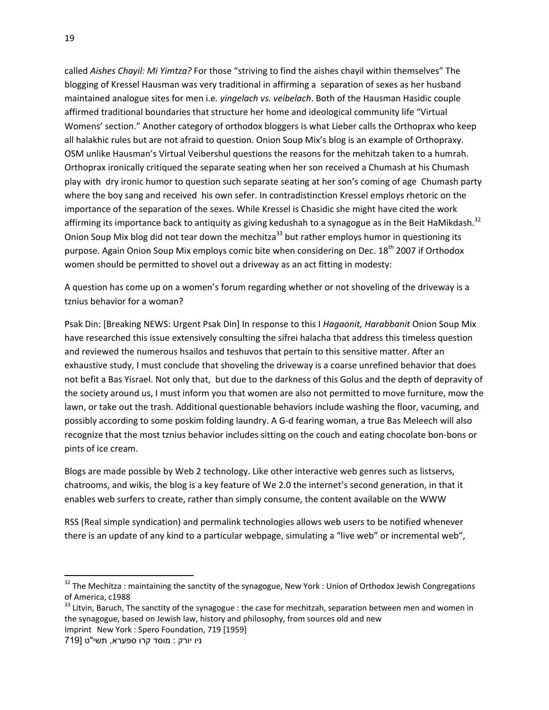called *Aishes Chayil: Mi Yimtza?* For those "striving to find the aishes chayil within themselves" The blogging of Kressel Hausman was very traditional in affirming a separation of sexes as her husband maintained analogue sites for men i.e*. yingelach vs. veibelach*. Both of the Hausman Hasidic couple affirmed traditional boundaries that structure her home and ideological community life "Virtual Womens' section." Another category of orthodox bloggers is what Lieber calls the Orthoprax who keep all halakhic rules but are not afraid to question. Onion Soup Mix's blog is an example of Orthopraxy. OSM unlike Hausman's Virtual Veibershul questions the reasons for the mehitzah taken to a humrah. Orthoprax ironically critiqued the separate seating when her son received a Chumash at his Chumash play with dry ironic humor to question such separate seating at her son's coming of age Chumash party where the boy sang and received his own sefer. In contradistinction Kressel employs rhetoric on the importance of the separation of the sexes. While Kressel is Chasidic she might have cited the work affirming its importance back to antiquity as giving kedushah to a synagogue as in the Beit HaMikdash.<sup>32</sup> Onion Soup Mix blog did not tear down the mechitza<sup>33</sup> but rather employs humor in questioning its purpose. Again Onion Soup Mix employs comic bite when considering on Dec. 18<sup>th</sup> 2007 if Orthodox women should be permitted to shovel out a driveway as an act fitting in modesty:

A question has come up on a women's forum regarding whether or not shoveling of the driveway is a tznius behavior for a woman?

Psak Din: [Breaking NEWS: Urgent Psak Din] In response to this I *Hagaonit, Harabbanit* Onion Soup Mix have researched this issue extensively consulting the sifrei halacha that address this timeless question and reviewed the numerous hsailos and teshuvos that pertain to this sensitive matter. After an exhaustive study, I must conclude that shoveling the driveway is a coarse unrefined behavior that does not befit a Bas Yisrael. Not only that, but due to the darkness of this Golus and the depth of depravity of the society around us, I must inform you that women are also not permitted to move furniture, mow the lawn, or take out the trash. Additional questionable behaviors include washing the floor, vacuming, and possibly according to some poskim folding laundry. A G‐d fearing woman, a true Bas Meleech will also recognize that the most tznius behavior includes sitting on the couch and eating chocolate bon‐bons or pints of ice cream.

Blogs are made possible by Web 2 technology. Like other interactive web genres such as listservs, chatrooms, and wikis, the blog is a key feature of We 2.0 the internet's second generation, in that it enables web surfers to create, rather than simply consume, the content available on the WWW

RSS (Real simple syndication) and permalink technologies allows web users to be notified whenever there is an update of any kind to a particular webpage, simulating a "live web" or incremental web",

<sup>&</sup>lt;sup>32</sup> The Mechitza : maintaining the sanctity of the synagogue, New York : Union of Orthodox Jewish Congregations of America, c1988<br><sup>33</sup> Litvin, Baruch, The sanctity of the synagogue : the case for mechitzah, separation between men and women in

the synagogue, based on Jewish law, history and philosophy, from sources old and new Imprint New York : Spero Foundation, 719 [1959]

ניו יורק : מוסד קרו ספערא, תשי"ט [719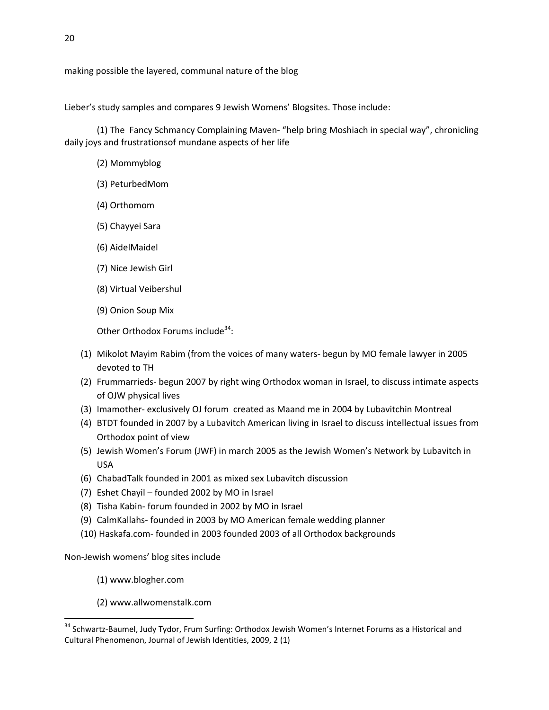making possible the layered, communal nature of the blog

Lieber's study samples and compares 9 Jewish Womens' Blogsites. Those include:

(1) The Fancy Schmancy Complaining Maven‐ "help bring Moshiach in special way", chronicling daily joys and frustrationsof mundane aspects of her life

- (2) Mommyblog
- (3) PeturbedMom
- (4) Orthomom
- (5) Chayyei Sara
- (6) AidelMaidel
- (7) Nice Jewish Girl
- (8) Virtual Veibershul
- (9) Onion Soup Mix

Other Orthodox Forums include<sup>34</sup>:

- (1) Mikolot Mayim Rabim (from the voices of many waters‐ begun by MO female lawyer in 2005 devoted to TH
- (2) Frummarrieds‐ begun 2007 by right wing Orthodox woman in Israel, to discuss intimate aspects of OJW physical lives
- (3) Imamother‐ exclusively OJ forum created as Maand me in 2004 by Lubavitchin Montreal
- (4) BTDT founded in 2007 by a Lubavitch American living in Israel to discuss intellectual issues from Orthodox point of view
- (5) Jewish Women's Forum (JWF) in march 2005 as the Jewish Women's Network by Lubavitch in USA
- (6) ChabadTalk founded in 2001 as mixed sex Lubavitch discussion
- (7) Eshet Chayil founded 2002 by MO in Israel
- (8) Tisha Kabin‐ forum founded in 2002 by MO in Israel
- (9) CalmKallahs‐ founded in 2003 by MO American female wedding planner
- (10) Haskafa.com‐ founded in 2003 founded 2003 of all Orthodox backgrounds

Non‐Jewish womens' blog sites include

(1) www.blogher.com

(2) www.allwomenstalk.com

<sup>&</sup>lt;sup>34</sup> Schwartz-Baumel, Judy Tydor, Frum Surfing: Orthodox Jewish Women's Internet Forums as a Historical and Cultural Phenomenon, Journal of Jewish Identities, 2009, 2 (1)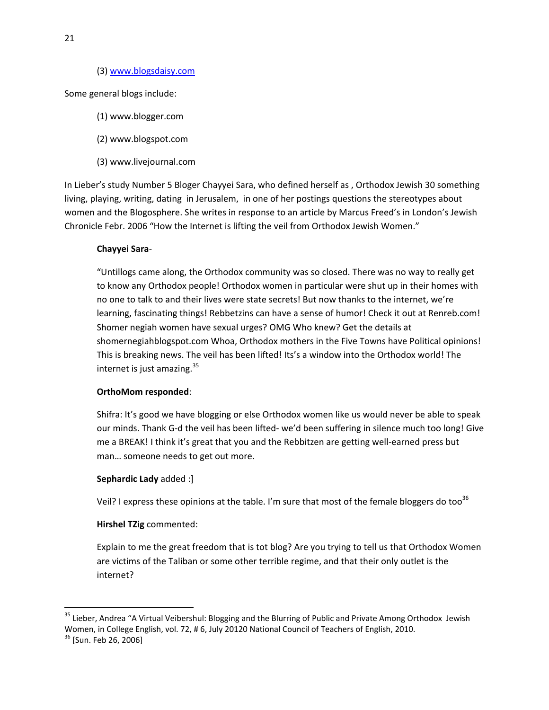(3) www.blogsdaisy.com

Some general blogs include:

- (1) www.blogger.com
- (2) www.blogspot.com
- (3) www.livejournal.com

In Lieber's study Number 5 Bloger Chayyei Sara, who defined herself as , Orthodox Jewish 30 something living, playing, writing, dating in Jerusalem, in one of her postings questions the stereotypes about women and the Blogosphere. She writes in response to an article by Marcus Freed's in London's Jewish Chronicle Febr. 2006 "How the Internet is lifting the veil from Orthodox Jewish Women."

# **Chayyei Sara**‐

"Untillogs came along, the Orthodox community was so closed. There was no way to really get to know any Orthodox people! Orthodox women in particular were shut up in their homes with no one to talk to and their lives were state secrets! But now thanks to the internet, we're learning, fascinating things! Rebbetzins can have a sense of humor! Check it out at Renreb.com! Shomer negiah women have sexual urges? OMG Who knew? Get the details at shomernegiahblogspot.com Whoa, Orthodox mothers in the Five Towns have Political opinions! This is breaking news. The veil has been lifted! Its's a window into the Orthodox world! The internet is just amazing.<sup>35</sup>

# **OrthoMom responded**:

Shifra: It's good we have blogging or else Orthodox women like us would never be able to speak our minds. Thank G‐d the veil has been lifted‐ we'd been suffering in silence much too long! Give me a BREAK! I think it's great that you and the Rebbitzen are getting well‐earned press but man… someone needs to get out more.

# **Sephardic Lady** added :]

Veil? I express these opinions at the table. I'm sure that most of the female bloggers do too<sup>36</sup>

# **Hirshel TZig** commented:

Explain to me the great freedom that is tot blog? Are you trying to tell us that Orthodox Women are victims of the Taliban or some other terrible regime, and that their only outlet is the internet?

<sup>&</sup>lt;sup>35</sup> Lieber, Andrea "A Virtual Veibershul: Blogging and the Blurring of Public and Private Among Orthodox Jewish Women, in College English, vol. 72, # 6, July 20120 National Council of Teachers of English, 2010.<br><sup>36</sup> [Sun. Feb 26, 2006]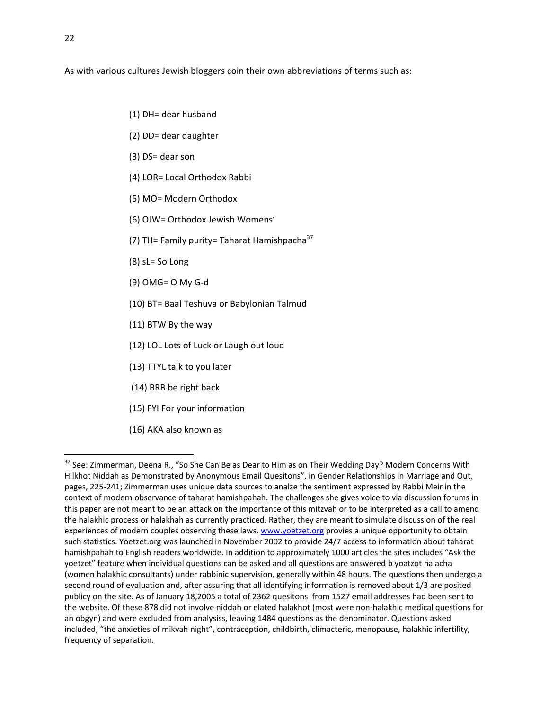- (1) DH= dear husband
- (2) DD= dear daughter
- (3) DS= dear son

22

- (4) LOR= Local Orthodox Rabbi
- (5) MO= Modern Orthodox
- (6) OJW= Orthodox Jewish Womens'
- (7) TH= Family purity= Taharat Hamishpacha<sup>37</sup>
- (8) sL= So Long
- (9) OMG= O My G‐d
- (10) BT= Baal Teshuva or Babylonian Talmud
- (11) BTW By the way
- (12) LOL Lots of Luck or Laugh out loud
- (13) TTYL talk to you later
- (14) BRB be right back
- (15) FYI For your information
- (16) AKA also known as

<sup>&</sup>lt;sup>37</sup> See: Zimmerman, Deena R., "So She Can Be as Dear to Him as on Their Wedding Day? Modern Concerns With Hilkhot Niddah as Demonstrated by Anonymous Email Quesitons", in Gender Relationships in Marriage and Out, pages, 225-241; Zimmerman uses unique data sources to analze the sentiment expressed by Rabbi Meir in the context of modern observance of taharat hamishpahah. The challenges she gives voice to via discussion forums in this paper are not meant to be an attack on the importance of this mitzvah or to be interpreted as a call to amend the halakhic process or halakhah as currently practiced. Rather, they are meant to simulate discussion of the real experiences of modern couples observing these laws. www.yoetzet.org provies a unique opportunity to obtain such statistics. Yoetzet.org was launched in November 2002 to provide 24/7 access to information about taharat hamishpahah to English readers worldwide. In addition to approximately 1000 articles the sites includes "Ask the yoetzet" feature when individual questions can be asked and all questions are answered b yoatzot halacha (women halakhic consultants) under rabbinic supervision, generally within 48 hours. The questions then undergo a second round of evaluation and, after assuring that all identifying information is removed about 1/3 are posited publicy on the site. As of January 18,2005 a total of 2362 quesitons from 1527 email addresses had been sent to the website. Of these 878 did not involve niddah or elated halakhot (most were non-halakhic medical questions for an obgyn) and were excluded from analysiss, leaving 1484 questions as the denominator. Questions asked included, "the anxieties of mikvah night", contraception, childbirth, climacteric, menopause, halakhic infertility, frequency of separation.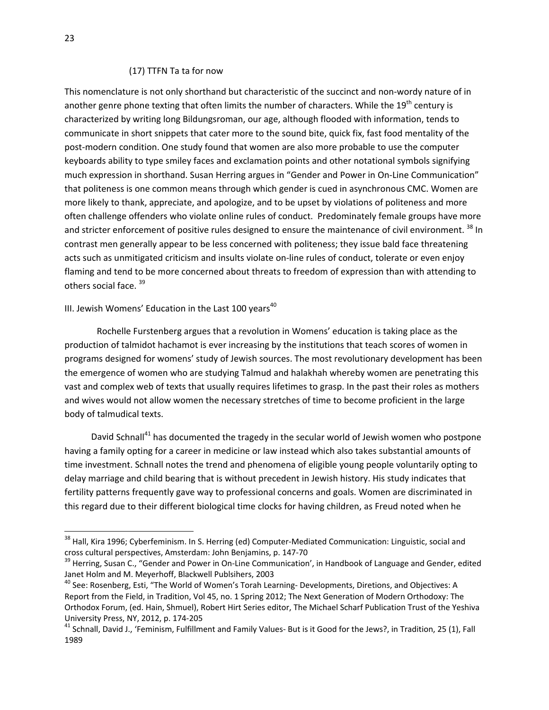#### (17) TTFN Ta ta for now

This nomenclature is not only shorthand but characteristic of the succinct and non‐wordy nature of in another genre phone texting that often limits the number of characters. While the  $19<sup>th</sup>$  century is characterized by writing long Bildungsroman, our age, although flooded with information, tends to communicate in short snippets that cater more to the sound bite, quick fix, fast food mentality of the post-modern condition. One study found that women are also more probable to use the computer keyboards ability to type smiley faces and exclamation points and other notational symbols signifying much expression in shorthand. Susan Herring argues in "Gender and Power in On‐Line Communication" that politeness is one common means through which gender is cued in asynchronous CMC. Women are more likely to thank, appreciate, and apologize, and to be upset by violations of politeness and more often challenge offenders who violate online rules of conduct. Predominately female groups have more and stricter enforcement of positive rules designed to ensure the maintenance of civil environment.<sup>38</sup> In contrast men generally appear to be less concerned with politeness; they issue bald face threatening acts such as unmitigated criticism and insults violate on‐line rules of conduct, tolerate or even enjoy flaming and tend to be more concerned about threats to freedom of expression than with attending to others social face. <sup>39</sup>

# III. Jewish Womens' Education in the Last 100 years $40$

Rochelle Furstenberg argues that a revolution in Womens' education is taking place as the production of talmidot hachamot is ever increasing by the institutions that teach scores of women in programs designed for womens' study of Jewish sources. The most revolutionary development has been the emergence of women who are studying Talmud and halakhah whereby women are penetrating this vast and complex web of texts that usually requires lifetimes to grasp. In the past their roles as mothers and wives would not allow women the necessary stretches of time to become proficient in the large body of talmudical texts.

David Schnall<sup>41</sup> has documented the tragedy in the secular world of Jewish women who postpone having a family opting for a career in medicine or law instead which also takes substantial amounts of time investment. Schnall notes the trend and phenomena of eligible young people voluntarily opting to delay marriage and child bearing that is without precedent in Jewish history. His study indicates that fertility patterns frequently gave way to professional concerns and goals. Women are discriminated in this regard due to their different biological time clocks for having children, as Freud noted when he

<sup>&</sup>lt;sup>38</sup> Hall, Kira 1996; Cyberfeminism. In S. Herring (ed) Computer-Mediated Communication: Linguistic, social and<br>cross cultural perspectives, Amsterdam: John Benjamins, p. 147-70

 $39$  Herring, Susan C., "Gender and Power in On-Line Communication', in Handbook of Language and Gender, edited Janet Holm and M. Meyerhoff, Blackwell Publsihers, 2003<br><sup>40</sup> See: Rosenberg, Esti, "The World of Women's Torah Learning- Developments, Diretions, and Objectives: A

Report from the Field, in Tradition, Vol 45, no. 1 Spring 2012; The Next Generation of Modern Orthodoxy: The Orthodox Forum, (ed. Hain, Shmuel), Robert Hirt Series editor, The Michael Scharf Publication Trust of the Yeshiva University Press, NY, 2012, p. 174-205<br><sup>41</sup> Schnall, David J., 'Feminism, Fulfillment and Family Values- But is it Good for the Jews?, in Tradition, 25 (1), Fall

<sup>1989</sup>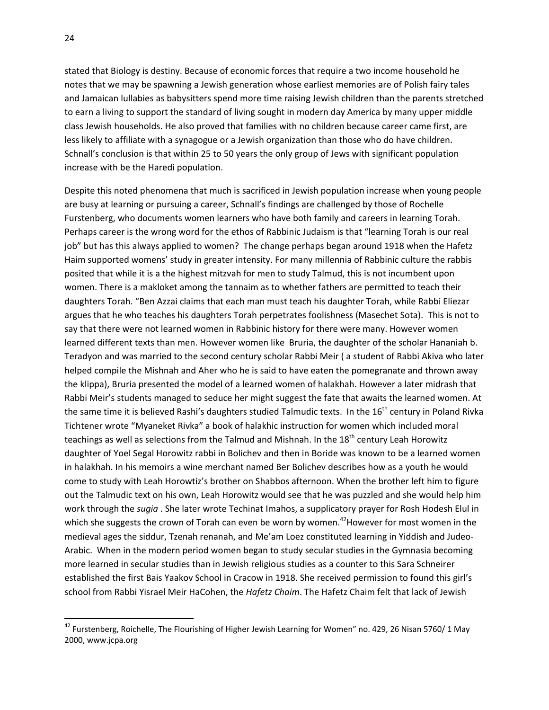stated that Biology is destiny. Because of economic forces that require a two income household he notes that we may be spawning a Jewish generation whose earliest memories are of Polish fairy tales and Jamaican lullabies as babysitters spend more time raising Jewish children than the parents stretched to earn a living to support the standard of living sought in modern day America by many upper middle class Jewish households. He also proved that families with no children because career came first, are less likely to affiliate with a synagogue or a Jewish organization than those who do have children. Schnall's conclusion is that within 25 to 50 years the only group of Jews with significant population increase with be the Haredi population.

Despite this noted phenomena that much is sacrificed in Jewish population increase when young people are busy at learning or pursuing a career, Schnall's findings are challenged by those of Rochelle Furstenberg, who documents women learners who have both family and careers in learning Torah. Perhaps career is the wrong word for the ethos of Rabbinic Judaism is that "learning Torah is our real job" but has this always applied to women? The change perhaps began around 1918 when the Hafetz Haim supported womens' study in greater intensity. For many millennia of Rabbinic culture the rabbis posited that while it is a the highest mitzvah for men to study Talmud, this is not incumbent upon women. There is a makloket among the tannaim as to whether fathers are permitted to teach their daughters Torah. "Ben Azzai claims that each man must teach his daughter Torah, while Rabbi Eliezar argues that he who teaches his daughters Torah perpetrates foolishness (Masechet Sota). This is not to say that there were not learned women in Rabbinic history for there were many. However women learned different texts than men. However women like Bruria, the daughter of the scholar Hananiah b. Teradyon and was married to the second century scholar Rabbi Meir ( a student of Rabbi Akiva who later helped compile the Mishnah and Aher who he is said to have eaten the pomegranate and thrown away the klippa), Bruria presented the model of a learned women of halakhah. However a later midrash that Rabbi Meir's students managed to seduce her might suggest the fate that awaits the learned women. At the same time it is believed Rashi's daughters studied Talmudic texts. In the 16<sup>th</sup> century in Poland Rivka Tichtener wrote "Myaneket Rivka" a book of halakhic instruction for women which included moral teachings as well as selections from the Talmud and Mishnah. In the 18<sup>th</sup> century Leah Horowitz daughter of Yoel Segal Horowitz rabbi in Bolichev and then in Boride was known to be a learned women in halakhah. In his memoirs a wine merchant named Ber Bolichev describes how as a youth he would come to study with Leah Horowtiz's brother on Shabbos afternoon. When the brother left him to figure out the Talmudic text on his own, Leah Horowitz would see that he was puzzled and she would help him work through the *sugia* . She later wrote Techinat Imahos, a supplicatory prayer for Rosh Hodesh Elul in which she suggests the crown of Torah can even be worn by women.<sup>42</sup>However for most women in the medieval ages the siddur, Tzenah renanah, and Me'am Loez constituted learning in Yiddish and Judeo‐ Arabic. When in the modern period women began to study secular studies in the Gymnasia becoming more learned in secular studies than in Jewish religious studies as a counter to this Sara Schneirer established the first Bais Yaakov School in Cracow in 1918. She received permission to found this girl's school from Rabbi Yisrael Meir HaCohen, the *Hafetz Chaim*. The Hafetz Chaim felt that lack of Jewish

 $^{42}$  Furstenberg, Roichelle, The Flourishing of Higher Jewish Learning for Women" no. 429, 26 Nisan 5760/1 May 2000, www.jcpa.org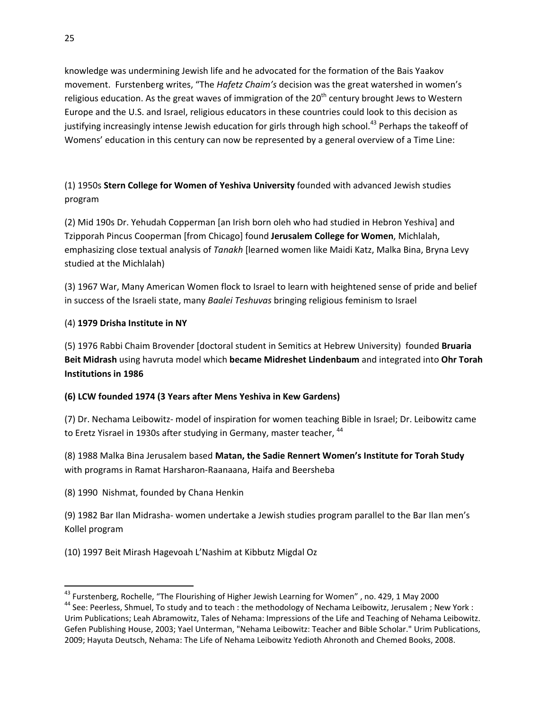knowledge was undermining Jewish life and he advocated for the formation of the Bais Yaakov movement. Furstenberg writes, "The *Hafetz Chaim's* decision was the great watershed in women's religious education. As the great waves of immigration of the  $20<sup>th</sup>$  century brought Jews to Western Europe and the U.S. and Israel, religious educators in these countries could look to this decision as justifying increasingly intense Jewish education for girls through high school.<sup>43</sup> Perhaps the takeoff of Womens' education in this century can now be represented by a general overview of a Time Line:

(1) 1950s **Stern College for Women of Yeshiva University** founded with advanced Jewish studies program

(2) Mid 190s Dr. Yehudah Copperman [an Irish born oleh who had studied in Hebron Yeshiva] and Tzipporah Pincus Cooperman [from Chicago] found **Jerusalem College for Women**, Michlalah, emphasizing close textual analysis of *Tanakh* [learned women like Maidi Katz, Malka Bina, Bryna Levy studied at the Michlalah)

(3) 1967 War, Many American Women flock to Israel to learn with heightened sense of pride and belief in success of the Israeli state, many *Baalei Teshuvas* bringing religious feminism to Israel

# (4) **1979 Drisha Institute in NY**

(5) 1976 Rabbi Chaim Brovender [doctoral student in Semitics at Hebrew University) founded **Bruaria Beit Midrash** using havruta model which **became Midreshet Lindenbaum** and integrated into **Ohr Torah Institutions in 1986**

# **(6) LCW founded 1974 (3 Years after Mens Yeshiva in Kew Gardens)**

(7) Dr. Nechama Leibowitz‐ model of inspiration for women teaching Bible in Israel; Dr. Leibowitz came to Eretz Yisrael in 1930s after studying in Germany, master teacher, <sup>44</sup>

(8) 1988 Malka Bina Jerusalem based **Matan, the Sadie Rennert Women's Institute for Torah Study** with programs in Ramat Harsharon‐Raanaana, Haifa and Beersheba

(8) 1990 Nishmat, founded by Chana Henkin

(9) 1982 Bar Ilan Midrasha‐ women undertake a Jewish studies program parallel to the Bar Ilan men's Kollel program

(10) 1997 Beit Mirash Hagevoah L'Nashim at Kibbutz Migdal Oz

<sup>&</sup>lt;sup>43</sup> Furstenberg, Rochelle, "The Flourishing of Higher Jewish Learning for Women" , no. 429, 1 May 2000 44 See: Peerless, Shmuel, To study and to teach : the methodology of Nechama Leibowitz, Jerusalem ; New York : Urim Publications; Leah Abramowitz, Tales of Nehama: Impressions of the Life and Teaching of Nehama Leibowitz. Gefen Publishing House, 2003; Yael Unterman, "Nehama Leibowitz: Teacher and Bible Scholar." Urim Publications, 2009; Hayuta Deutsch, Nehama: The Life of Nehama Leibowitz Yedioth Ahronoth and Chemed Books, 2008.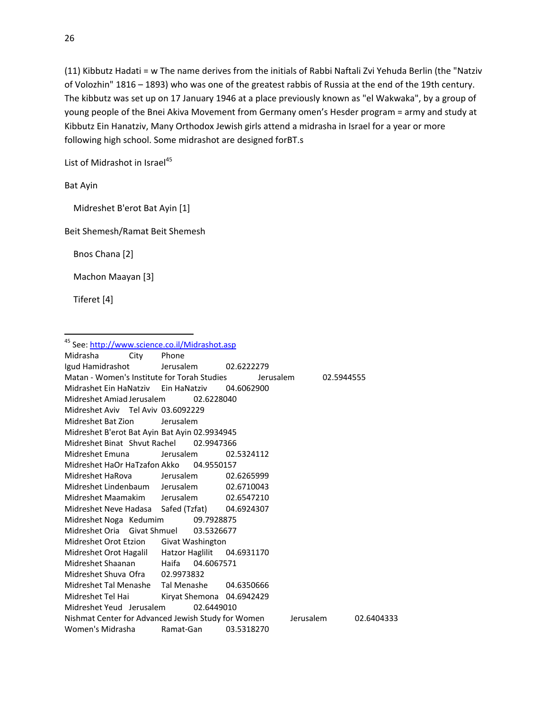(11) Kibbutz Hadati = w The name derives from the initials of Rabbi Naftali Zvi Yehuda Berlin (the "Natziv of Volozhin" 1816 – 1893) who was one of the greatest rabbis of Russia at the end of the 19th century. The kibbutz was set up on 17 January 1946 at a place previously known as "el Wakwaka", by a group of young people of the Bnei Akiva Movement from Germany omen's Hesder program = army and study at Kibbutz Ein Hanatziv, Many Orthodox Jewish girls attend a midrasha in Israel for a year or more following high school. Some midrashot are designed forBT.s

List of Midrashot in Israel $45$ 

Bat Ayin

Midreshet B'erot Bat Ayin [1]

Beit Shemesh/Ramat Beit Shemesh

Bnos Chana [2]

Machon Maayan [3]

Tiferet [4]

<sup>45</sup> See: http://www.science.co.il/Midrashot.asp Midrasha City Phone Igud Hamidrashot Jerusalem 02.6222279 Matan - Women's Institute for Torah Studies Jerusalem 02.5944555 Midrashet Ein HaNatziv Ein HaNatziv 04.6062900 Midreshet Amiad Jerusalem 02.6228040 Midreshet Aviv Tel Aviv 03.6092229 Midreshet Bat Zion Jerusalem Midreshet B'erot Bat Ayin Bat Ayin 02.9934945 Midreshet Binat Shvut Rachel 02.9947366 Midreshet Emuna Jerusalem 02.5324112<br>Midreshet HaOr HaTzafon Akko 04.9550157 Midreshet HaOr HaTzafon Akko Midreshet HaRova Jerusalem 02.6265999 Midreshet Lindenbaum Jerusalem 02.6710043 Midreshet Maamakim Jerusalem 02.6547210 Midreshet Neve Hadasa Safed (Tzfat) 04.6924307 Midreshet Noga Kedumim 09.7928875 Midreshet Oria Givat Shmuel 03.5326677 Midreshet Orot Etzion Givat Washington Midreshet Orot Hagalil Hatzor Haglilit 04.6931170 Midreshet Shaanan Haifa 04.6067571 Midreshet Shuva Ofra 02.9973832 Midreshet Tal Menashe Tal Menashe 04.6350666 Midreshet Tel Hai Kiryat Shemona 04.6942429 Midreshet Yeud Jerusalem 02.6449010 Nishmat Center for Advanced Jewish Study for Women Jerusalem 02.6404333 Women's Midrasha Ramat-Gan 03.5318270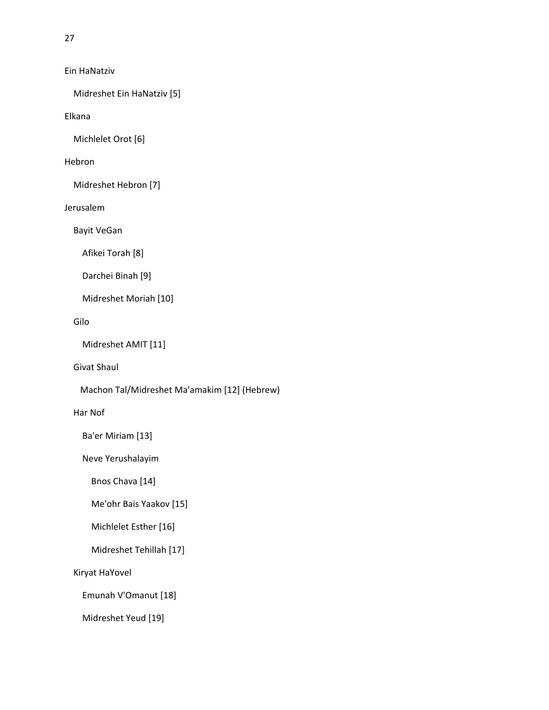Ein HaNatziv

Midreshet Ein HaNatziv [5]

Elkana

Michlelet Orot [6]

Hebron

Midreshet Hebron [7]

Jerusalem

Bayit VeGan

Afikei Torah [8]

Darchei Binah [9]

Midreshet Moriah [10]

Gilo

Midreshet AMIT [11]

Givat Shaul

Machon Tal/Midreshet Ma'amakim [12] (Hebrew)

Har Nof

Ba'er Miriam [13]

Neve Yerushalayim

Bnos Chava [14]

Me'ohr Bais Yaakov [15]

Michlelet Esther [16]

Midreshet Tehillah [17]

Kiryat HaYovel

Emunah V'Omanut [18]

Midreshet Yeud [19]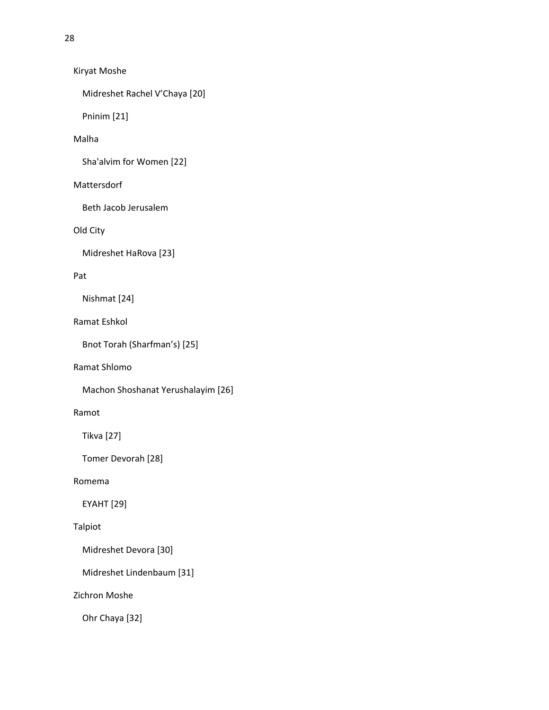Kiryat Moshe

Midreshet Rachel V'Chaya [20]

Pninim [21]

# Malha

Sha'alvim for Women [22]

# Mattersdorf

Beth Jacob Jerusalem

### Old City

Midreshet HaRova [23]

# Pat

Nishmat [24]

# Ramat Eshkol

Bnot Torah (Sharfman's) [25]

# Ramat Shlomo

Machon Shoshanat Yerushalayim [26]

#### Ramot

Tikva [27]

Tomer Devorah [28]

#### Romema

EYAHT [29]

# Talpiot

Midreshet Devora [30]

Midreshet Lindenbaum [31]

Zichron Moshe

Ohr Chaya [32]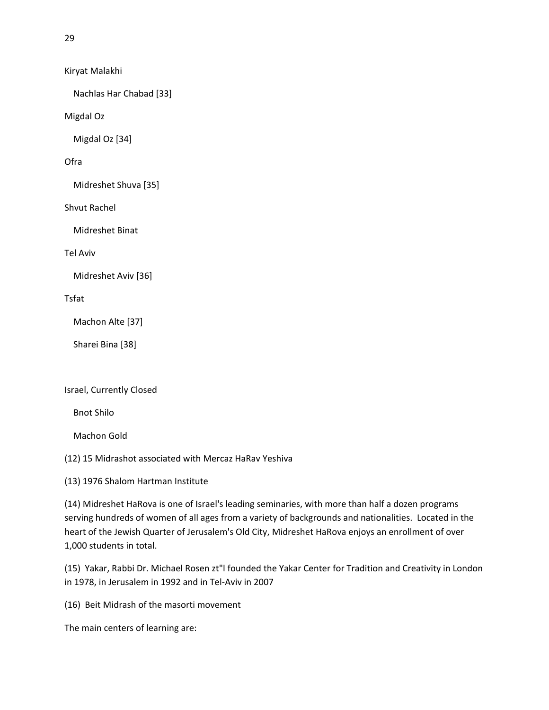Kiryat Malakhi

Nachlas Har Chabad [33]

Migdal Oz

Migdal Oz [34]

Ofra

Midreshet Shuva [35]

Shvut Rachel

Midreshet Binat

Tel Aviv

Midreshet Aviv [36]

Tsfat

Machon Alte [37]

Sharei Bina [38]

Israel, Currently Closed

Bnot Shilo

Machon Gold

(12) 15 Midrashot associated with Mercaz HaRav Yeshiva

(13) 1976 Shalom Hartman Institute

(14) Midreshet HaRova is one of Israel's leading seminaries, with more than half a dozen programs serving hundreds of women of all ages from a variety of backgrounds and nationalities. Located in the heart of the Jewish Quarter of Jerusalem's Old City, Midreshet HaRova enjoys an enrollment of over 1,000 students in total.

(15) Yakar, Rabbi Dr. Michael Rosen zt"l founded the Yakar Center for Tradition and Creativity in London in 1978, in Jerusalem in 1992 and in Tel‐Aviv in 2007

(16) Beit Midrash of the masorti movement

The main centers of learning are: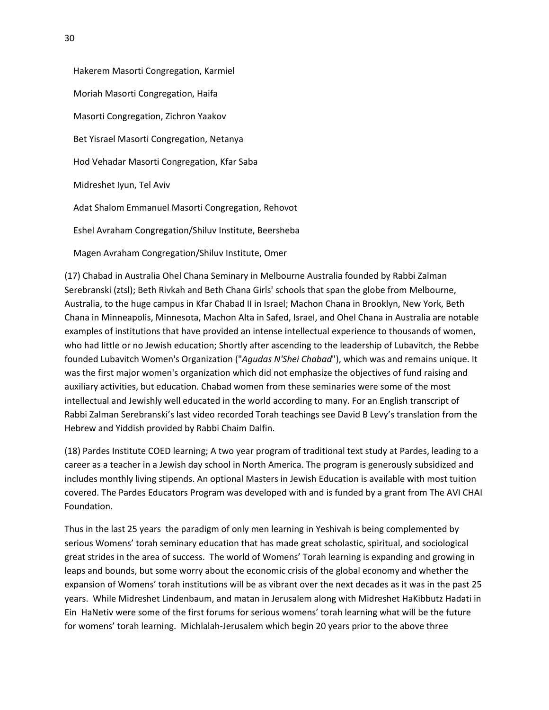Hakerem Masorti Congregation, Karmiel Moriah Masorti Congregation, Haifa Masorti Congregation, Zichron Yaakov Bet Yisrael Masorti Congregation, Netanya Hod Vehadar Masorti Congregation, Kfar Saba Midreshet Iyun, Tel Aviv Adat Shalom Emmanuel Masorti Congregation, Rehovot Eshel Avraham Congregation/Shiluv Institute, Beersheba Magen Avraham Congregation/Shiluv Institute, Omer

(17) Chabad in Australia Ohel Chana Seminary in Melbourne Australia founded by Rabbi Zalman Serebranski (ztsl); Beth Rivkah and Beth Chana Girls' schools that span the globe from Melbourne, Australia, to the huge campus in Kfar Chabad II in Israel; Machon Chana in Brooklyn, New York, Beth Chana in Minneapolis, Minnesota, Machon Alta in Safed, Israel, and Ohel Chana in Australia are notable examples of institutions that have provided an intense intellectual experience to thousands of women, who had little or no Jewish education; Shortly after ascending to the leadership of Lubavitch, the Rebbe founded Lubavitch Women's Organization ("*Agudas N'Shei Chabad*"), which was and remains unique. It was the first major women's organization which did not emphasize the objectives of fund raising and auxiliary activities, but education. Chabad women from these seminaries were some of the most intellectual and Jewishly well educated in the world according to many. For an English transcript of Rabbi Zalman Serebranski's last video recorded Torah teachings see David B Levy's translation from the Hebrew and Yiddish provided by Rabbi Chaim Dalfin.

(18) Pardes Institute COED learning; A two year program of traditional text study at Pardes, leading to a career as a teacher in a Jewish day school in North America. The program is generously subsidized and includes monthly living stipends. An optional Masters in Jewish Education is available with most tuition covered. The Pardes Educators Program was developed with and is funded by a grant from The AVI CHAI Foundation.

Thus in the last 25 years the paradigm of only men learning in Yeshivah is being complemented by serious Womens' torah seminary education that has made great scholastic, spiritual, and sociological great strides in the area of success. The world of Womens' Torah learning is expanding and growing in leaps and bounds, but some worry about the economic crisis of the global economy and whether the expansion of Womens' torah institutions will be as vibrant over the next decades as it was in the past 25 years. While Midreshet Lindenbaum, and matan in Jerusalem along with Midreshet HaKibbutz Hadati in Ein HaNetiv were some of the first forums for serious womens' torah learning what will be the future for womens' torah learning. Michlalah-Jerusalem which begin 20 years prior to the above three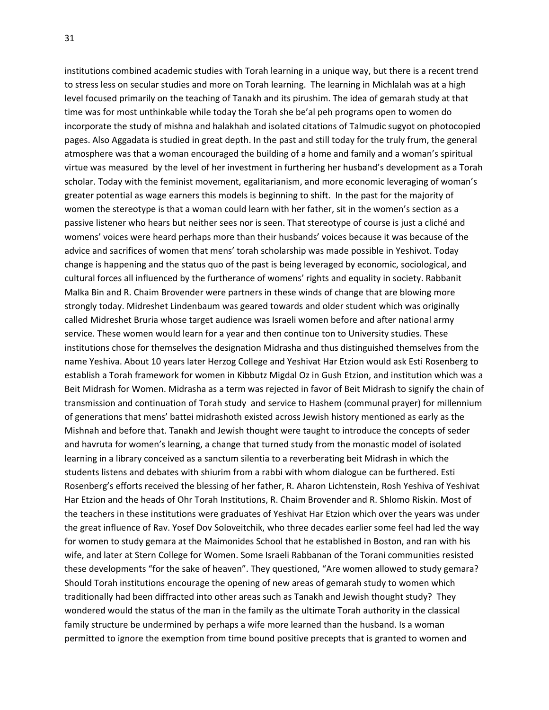institutions combined academic studies with Torah learning in a unique way, but there is a recent trend to stress less on secular studies and more on Torah learning. The learning in Michlalah was at a high level focused primarily on the teaching of Tanakh and its pirushim. The idea of gemarah study at that time was for most unthinkable while today the Torah she be'al peh programs open to women do incorporate the study of mishna and halakhah and isolated citations of Talmudic sugyot on photocopied pages. Also Aggadata is studied in great depth. In the past and still today for the truly frum, the general atmosphere was that a woman encouraged the building of a home and family and a woman's spiritual virtue was measured by the level of her investment in furthering her husband's development as a Torah scholar. Today with the feminist movement, egalitarianism, and more economic leveraging of woman's greater potential as wage earners this models is beginning to shift. In the past for the majority of women the stereotype is that a woman could learn with her father, sit in the women's section as a passive listener who hears but neither sees nor is seen. That stereotype of course is just a cliché and womens' voices were heard perhaps more than their husbands' voices because it was because of the advice and sacrifices of women that mens' torah scholarship was made possible in Yeshivot. Today change is happening and the status quo of the past is being leveraged by economic, sociological, and cultural forces all influenced by the furtherance of womens' rights and equality in society. Rabbanit Malka Bin and R. Chaim Brovender were partners in these winds of change that are blowing more strongly today. Midreshet Lindenbaum was geared towards and older student which was originally called Midreshet Bruria whose target audience was Israeli women before and after national army service. These women would learn for a year and then continue ton to University studies. These institutions chose for themselves the designation Midrasha and thus distinguished themselves from the name Yeshiva. About 10 years later Herzog College and Yeshivat Har Etzion would ask Esti Rosenberg to establish a Torah framework for women in Kibbutz Migdal Oz in Gush Etzion, and institution which was a Beit Midrash for Women. Midrasha as a term was rejected in favor of Beit Midrash to signify the chain of transmission and continuation of Torah study and service to Hashem (communal prayer) for millennium of generations that mens' battei midrashoth existed across Jewish history mentioned as early as the Mishnah and before that. Tanakh and Jewish thought were taught to introduce the concepts of seder and havruta for women's learning, a change that turned study from the monastic model of isolated learning in a library conceived as a sanctum silentia to a reverberating beit Midrash in which the students listens and debates with shiurim from a rabbi with whom dialogue can be furthered. Esti Rosenberg's efforts received the blessing of her father, R. Aharon Lichtenstein, Rosh Yeshiva of Yeshivat Har Etzion and the heads of Ohr Torah Institutions, R. Chaim Brovender and R. Shlomo Riskin. Most of the teachers in these institutions were graduates of Yeshivat Har Etzion which over the years was under the great influence of Rav. Yosef Dov Soloveitchik, who three decades earlier some feel had led the way for women to study gemara at the Maimonides School that he established in Boston, and ran with his wife, and later at Stern College for Women. Some Israeli Rabbanan of the Torani communities resisted these developments "for the sake of heaven". They questioned, "Are women allowed to study gemara? Should Torah institutions encourage the opening of new areas of gemarah study to women which traditionally had been diffracted into other areas such as Tanakh and Jewish thought study? They wondered would the status of the man in the family as the ultimate Torah authority in the classical family structure be undermined by perhaps a wife more learned than the husband. Is a woman permitted to ignore the exemption from time bound positive precepts that is granted to women and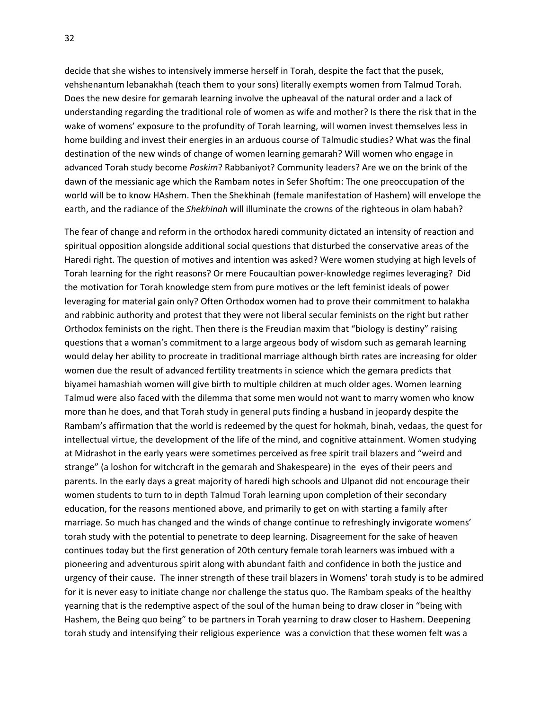decide that she wishes to intensively immerse herself in Torah, despite the fact that the pusek, vehshenantum lebanakhah (teach them to your sons) literally exempts women from Talmud Torah. Does the new desire for gemarah learning involve the upheaval of the natural order and a lack of understanding regarding the traditional role of women as wife and mother? Is there the risk that in the wake of womens' exposure to the profundity of Torah learning, will women invest themselves less in home building and invest their energies in an arduous course of Talmudic studies? What was the final destination of the new winds of change of women learning gemarah? Will women who engage in advanced Torah study become *Poskim*? Rabbaniyot? Community leaders? Are we on the brink of the dawn of the messianic age which the Rambam notes in Sefer Shoftim: The one preoccupation of the world will be to know HAshem. Then the Shekhinah (female manifestation of Hashem) will envelope the earth, and the radiance of the *Shekhinah* will illuminate the crowns of the righteous in olam habah?

The fear of change and reform in the orthodox haredi community dictated an intensity of reaction and spiritual opposition alongside additional social questions that disturbed the conservative areas of the Haredi right. The question of motives and intention was asked? Were women studying at high levels of Torah learning for the right reasons? Or mere Foucaultian power‐knowledge regimes leveraging? Did the motivation for Torah knowledge stem from pure motives or the left feminist ideals of power leveraging for material gain only? Often Orthodox women had to prove their commitment to halakha and rabbinic authority and protest that they were not liberal secular feminists on the right but rather Orthodox feminists on the right. Then there is the Freudian maxim that "biology is destiny" raising questions that a woman's commitment to a large argeous body of wisdom such as gemarah learning would delay her ability to procreate in traditional marriage although birth rates are increasing for older women due the result of advanced fertility treatments in science which the gemara predicts that biyamei hamashiah women will give birth to multiple children at much older ages. Women learning Talmud were also faced with the dilemma that some men would not want to marry women who know more than he does, and that Torah study in general puts finding a husband in jeopardy despite the Rambam's affirmation that the world is redeemed by the quest for hokmah, binah, vedaas, the quest for intellectual virtue, the development of the life of the mind, and cognitive attainment. Women studying at Midrashot in the early years were sometimes perceived as free spirit trail blazers and "weird and strange" (a loshon for witchcraft in the gemarah and Shakespeare) in the eyes of their peers and parents. In the early days a great majority of haredi high schools and Ulpanot did not encourage their women students to turn to in depth Talmud Torah learning upon completion of their secondary education, for the reasons mentioned above, and primarily to get on with starting a family after marriage. So much has changed and the winds of change continue to refreshingly invigorate womens' torah study with the potential to penetrate to deep learning. Disagreement for the sake of heaven continues today but the first generation of 20th century female torah learners was imbued with a pioneering and adventurous spirit along with abundant faith and confidence in both the justice and urgency of their cause. The inner strength of these trail blazers in Womens' torah study is to be admired for it is never easy to initiate change nor challenge the status quo. The Rambam speaks of the healthy yearning that is the redemptive aspect of the soul of the human being to draw closer in "being with Hashem, the Being quo being" to be partners in Torah yearning to draw closer to Hashem. Deepening torah study and intensifying their religious experience was a conviction that these women felt was a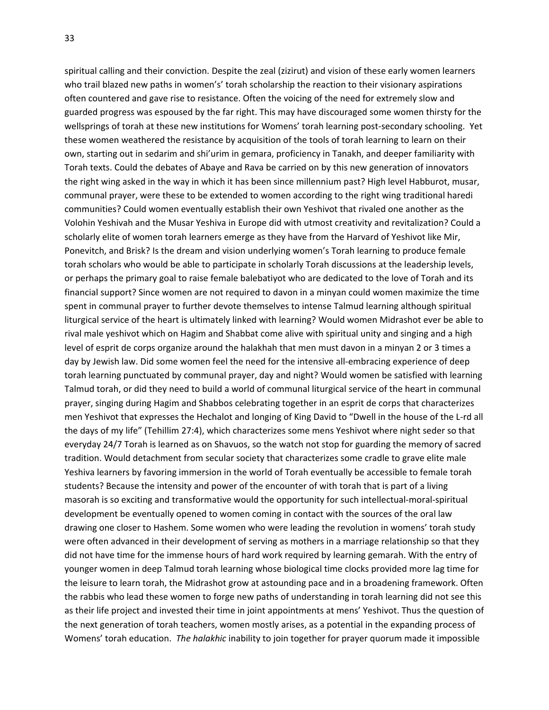spiritual calling and their conviction. Despite the zeal (zizirut) and vision of these early women learners who trail blazed new paths in women's' torah scholarship the reaction to their visionary aspirations often countered and gave rise to resistance. Often the voicing of the need for extremely slow and guarded progress was espoused by the far right. This may have discouraged some women thirsty for the wellsprings of torah at these new institutions for Womens' torah learning post‐secondary schooling. Yet these women weathered the resistance by acquisition of the tools of torah learning to learn on their own, starting out in sedarim and shi'urim in gemara, proficiency in Tanakh, and deeper familiarity with Torah texts. Could the debates of Abaye and Rava be carried on by this new generation of innovators the right wing asked in the way in which it has been since millennium past? High level Habburot, musar, communal prayer, were these to be extended to women according to the right wing traditional haredi communities? Could women eventually establish their own Yeshivot that rivaled one another as the Volohin Yeshivah and the Musar Yeshiva in Europe did with utmost creativity and revitalization? Could a scholarly elite of women torah learners emerge as they have from the Harvard of Yeshivot like Mir, Ponevitch, and Brisk? Is the dream and vision underlying women's Torah learning to produce female torah scholars who would be able to participate in scholarly Torah discussions at the leadership levels, or perhaps the primary goal to raise female balebatiyot who are dedicated to the love of Torah and its financial support? Since women are not required to davon in a minyan could women maximize the time spent in communal prayer to further devote themselves to intense Talmud learning although spiritual liturgical service of the heart is ultimately linked with learning? Would women Midrashot ever be able to rival male yeshivot which on Hagim and Shabbat come alive with spiritual unity and singing and a high level of esprit de corps organize around the halakhah that men must davon in a minyan 2 or 3 times a day by Jewish law. Did some women feel the need for the intensive all-embracing experience of deep torah learning punctuated by communal prayer, day and night? Would women be satisfied with learning Talmud torah, or did they need to build a world of communal liturgical service of the heart in communal prayer, singing during Hagim and Shabbos celebrating together in an esprit de corps that characterizes men Yeshivot that expresses the Hechalot and longing of King David to "Dwell in the house of the L‐rd all the days of my life" (Tehillim 27:4), which characterizes some mens Yeshivot where night seder so that everyday 24/7 Torah is learned as on Shavuos, so the watch not stop for guarding the memory of sacred tradition. Would detachment from secular society that characterizes some cradle to grave elite male Yeshiva learners by favoring immersion in the world of Torah eventually be accessible to female torah students? Because the intensity and power of the encounter of with torah that is part of a living masorah is so exciting and transformative would the opportunity for such intellectual‐moral‐spiritual development be eventually opened to women coming in contact with the sources of the oral law drawing one closer to Hashem. Some women who were leading the revolution in womens' torah study were often advanced in their development of serving as mothers in a marriage relationship so that they did not have time for the immense hours of hard work required by learning gemarah. With the entry of younger women in deep Talmud torah learning whose biological time clocks provided more lag time for the leisure to learn torah, the Midrashot grow at astounding pace and in a broadening framework. Often the rabbis who lead these women to forge new paths of understanding in torah learning did not see this as their life project and invested their time in joint appointments at mens' Yeshivot. Thus the question of the next generation of torah teachers, women mostly arises, as a potential in the expanding process of Womens' torah education. *The halakhic* inability to join together for prayer quorum made it impossible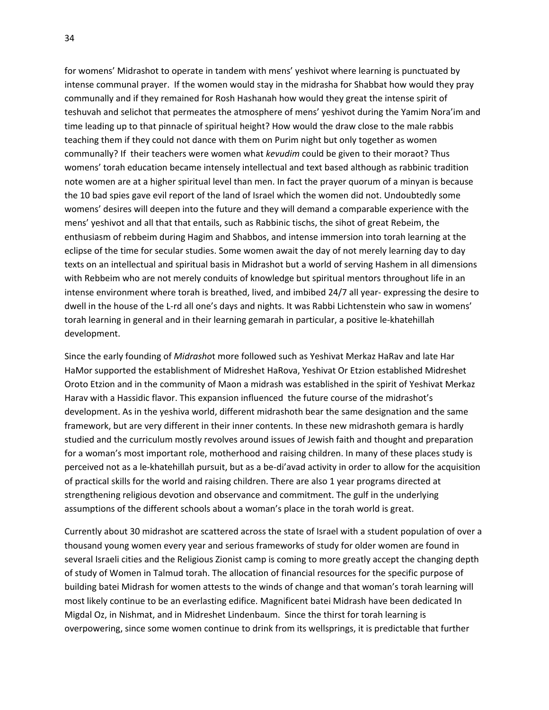for womens' Midrashot to operate in tandem with mens' yeshivot where learning is punctuated by intense communal prayer. If the women would stay in the midrasha for Shabbat how would they pray communally and if they remained for Rosh Hashanah how would they great the intense spirit of teshuvah and selichot that permeates the atmosphere of mens' yeshivot during the Yamim Nora'im and time leading up to that pinnacle of spiritual height? How would the draw close to the male rabbis teaching them if they could not dance with them on Purim night but only together as women communally? If their teachers were women what *kevudim* could be given to their moraot? Thus womens' torah education became intensely intellectual and text based although as rabbinic tradition note women are at a higher spiritual level than men. In fact the prayer quorum of a minyan is because the 10 bad spies gave evil report of the land of Israel which the women did not. Undoubtedly some womens' desires will deepen into the future and they will demand a comparable experience with the mens' yeshivot and all that that entails, such as Rabbinic tischs, the sihot of great Rebeim, the enthusiasm of rebbeim during Hagim and Shabbos, and intense immersion into torah learning at the eclipse of the time for secular studies. Some women await the day of not merely learning day to day texts on an intellectual and spiritual basis in Midrashot but a world of serving Hashem in all dimensions with Rebbeim who are not merely conduits of knowledge but spiritual mentors throughout life in an intense environment where torah is breathed, lived, and imbibed 24/7 all year- expressing the desire to dwell in the house of the L‐rd all one's days and nights. It was Rabbi Lichtenstein who saw in womens' torah learning in general and in their learning gemarah in particular, a positive le‐khatehillah development.

Since the early founding of *Midrasho*t more followed such as Yeshivat Merkaz HaRav and late Har HaMor supported the establishment of Midreshet HaRova, Yeshivat Or Etzion established Midreshet Oroto Etzion and in the community of Maon a midrash was established in the spirit of Yeshivat Merkaz Harav with a Hassidic flavor. This expansion influenced the future course of the midrashot's development. As in the yeshiva world, different midrashoth bear the same designation and the same framework, but are very different in their inner contents. In these new midrashoth gemara is hardly studied and the curriculum mostly revolves around issues of Jewish faith and thought and preparation for a woman's most important role, motherhood and raising children. In many of these places study is perceived not as a le‐khatehillah pursuit, but as a be‐di'avad activity in order to allow for the acquisition of practical skills for the world and raising children. There are also 1 year programs directed at strengthening religious devotion and observance and commitment. The gulf in the underlying assumptions of the different schools about a woman's place in the torah world is great.

Currently about 30 midrashot are scattered across the state of Israel with a student population of over a thousand young women every year and serious frameworks of study for older women are found in several Israeli cities and the Religious Zionist camp is coming to more greatly accept the changing depth of study of Women in Talmud torah. The allocation of financial resources for the specific purpose of building batei Midrash for women attests to the winds of change and that woman's torah learning will most likely continue to be an everlasting edifice. Magnificent batei Midrash have been dedicated In Migdal Oz, in Nishmat, and in Midreshet Lindenbaum. Since the thirst for torah learning is overpowering, since some women continue to drink from its wellsprings, it is predictable that further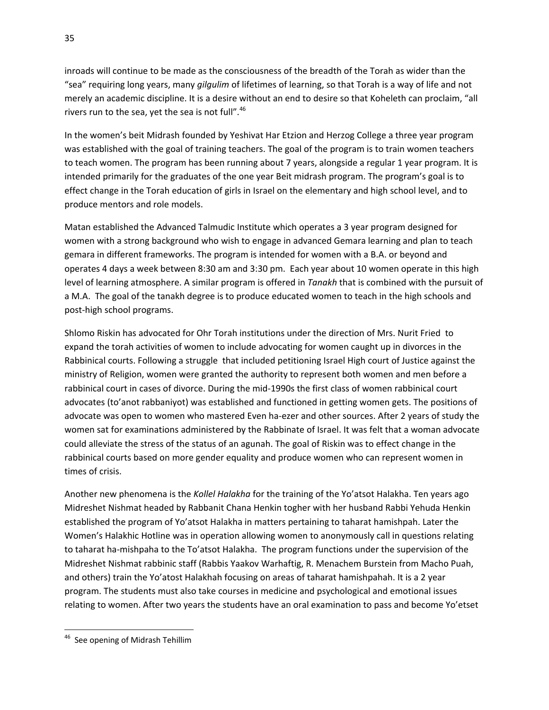inroads will continue to be made as the consciousness of the breadth of the Torah as wider than the "sea" requiring long years, many *gilgulim* of lifetimes of learning, so that Torah is a way of life and not merely an academic discipline. It is a desire without an end to desire so that Koheleth can proclaim, "all rivers run to the sea, yet the sea is not full".<sup>46</sup>

In the women's beit Midrash founded by Yeshivat Har Etzion and Herzog College a three year program was established with the goal of training teachers. The goal of the program is to train women teachers to teach women. The program has been running about 7 years, alongside a regular 1 year program. It is intended primarily for the graduates of the one year Beit midrash program. The program's goal is to effect change in the Torah education of girls in Israel on the elementary and high school level, and to produce mentors and role models.

Matan established the Advanced Talmudic Institute which operates a 3 year program designed for women with a strong background who wish to engage in advanced Gemara learning and plan to teach gemara in different frameworks. The program is intended for women with a B.A. or beyond and operates 4 days a week between 8:30 am and 3:30 pm. Each year about 10 women operate in this high level of learning atmosphere. A similar program is offered in *Tanakh* that is combined with the pursuit of a M.A. The goal of the tanakh degree is to produce educated women to teach in the high schools and post‐high school programs.

Shlomo Riskin has advocated for Ohr Torah institutions under the direction of Mrs. Nurit Fried to expand the torah activities of women to include advocating for women caught up in divorces in the Rabbinical courts. Following a struggle that included petitioning Israel High court of Justice against the ministry of Religion, women were granted the authority to represent both women and men before a rabbinical court in cases of divorce. During the mid-1990s the first class of women rabbinical court advocates (to'anot rabbaniyot) was established and functioned in getting women gets. The positions of advocate was open to women who mastered Even ha‐ezer and other sources. After 2 years of study the women sat for examinations administered by the Rabbinate of Israel. It was felt that a woman advocate could alleviate the stress of the status of an agunah. The goal of Riskin was to effect change in the rabbinical courts based on more gender equality and produce women who can represent women in times of crisis.

Another new phenomena is the *Kollel Halakha* for the training of the Yo'atsot Halakha. Ten years ago Midreshet Nishmat headed by Rabbanit Chana Henkin togher with her husband Rabbi Yehuda Henkin established the program of Yo'atsot Halakha in matters pertaining to taharat hamishpah. Later the Women's Halakhic Hotline was in operation allowing women to anonymously call in questions relating to taharat ha‐mishpaha to the To'atsot Halakha. The program functions under the supervision of the Midreshet Nishmat rabbinic staff (Rabbis Yaakov Warhaftig, R. Menachem Burstein from Macho Puah, and others) train the Yo'atost Halakhah focusing on areas of taharat hamishpahah. It is a 2 year program. The students must also take courses in medicine and psychological and emotional issues relating to women. After two years the students have an oral examination to pass and become Yo'etset

 <sup>46</sup> See opening of Midrash Tehillim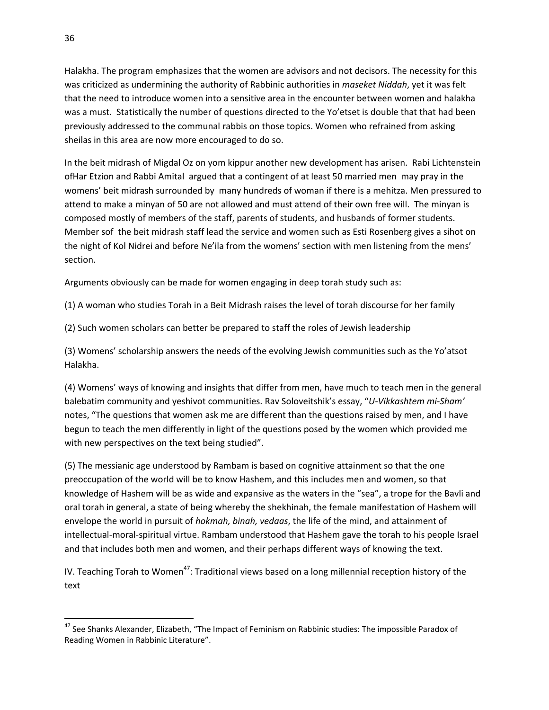Halakha. The program emphasizes that the women are advisors and not decisors. The necessity for this was criticized as undermining the authority of Rabbinic authorities in *maseket Niddah*, yet it was felt that the need to introduce women into a sensitive area in the encounter between women and halakha was a must. Statistically the number of questions directed to the Yo'etset is double that that had been previously addressed to the communal rabbis on those topics. Women who refrained from asking sheilas in this area are now more encouraged to do so.

In the beit midrash of Migdal Oz on yom kippur another new development has arisen. Rabi Lichtenstein ofHar Etzion and Rabbi Amital argued that a contingent of at least 50 married men may pray in the womens' beit midrash surrounded by many hundreds of woman if there is a mehitza. Men pressured to attend to make a minyan of 50 are not allowed and must attend of their own free will. The minyan is composed mostly of members of the staff, parents of students, and husbands of former students. Member sof the beit midrash staff lead the service and women such as Esti Rosenberg gives a sihot on the night of Kol Nidrei and before Ne'ila from the womens' section with men listening from the mens' section.

Arguments obviously can be made for women engaging in deep torah study such as:

(1) A woman who studies Torah in a Beit Midrash raises the level of torah discourse for her family

(2) Such women scholars can better be prepared to staff the roles of Jewish leadership

(3) Womens' scholarship answers the needs of the evolving Jewish communities such as the Yo'atsot Halakha.

(4) Womens' ways of knowing and insights that differ from men, have much to teach men in the general balebatim community and yeshivot communities. Rav Soloveitshik's essay, "*U‐Vikkashtem mi‐Sham'* notes, "The questions that women ask me are different than the questions raised by men, and I have begun to teach the men differently in light of the questions posed by the women which provided me with new perspectives on the text being studied".

(5) The messianic age understood by Rambam is based on cognitive attainment so that the one preoccupation of the world will be to know Hashem, and this includes men and women, so that knowledge of Hashem will be as wide and expansive as the waters in the "sea", a trope for the Bavli and oral torah in general, a state of being whereby the shekhinah, the female manifestation of Hashem will envelope the world in pursuit of *hokmah, binah, vedaas*, the life of the mind, and attainment of intellectual‐moral‐spiritual virtue. Rambam understood that Hashem gave the torah to his people Israel and that includes both men and women, and their perhaps different ways of knowing the text.

IV. Teaching Torah to Women<sup>47</sup>: Traditional views based on a long millennial reception history of the text

<sup>&</sup>lt;sup>47</sup> See Shanks Alexander, Elizabeth, "The Impact of Feminism on Rabbinic studies: The impossible Paradox of Reading Women in Rabbinic Literature".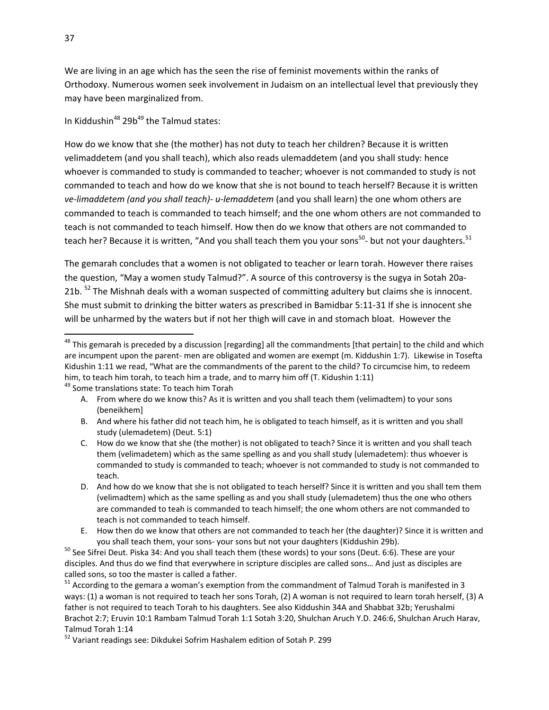We are living in an age which has the seen the rise of feminist movements within the ranks of Orthodoxy. Numerous women seek involvement in Judaism on an intellectual level that previously they may have been marginalized from.

In Kiddushin<sup>48</sup> 29b<sup>49</sup> the Talmud states:

How do we know that she (the mother) has not duty to teach her children? Because it is written velimaddetem (and you shall teach), which also reads ulemaddetem (and you shall study: hence whoever is commanded to study is commanded to teacher; whoever is not commanded to study is not commanded to teach and how do we know that she is not bound to teach herself? Because it is written *ve‐limaddetem (and you shall teach)‐ u‐lemaddetem* (and you shall learn) the one whom others are commanded to teach is commanded to teach himself; and the one whom others are not commanded to teach is not commanded to teach himself. How then do we know that others are not commanded to teach her? Because it is written, "And you shall teach them you your sons<sup>50</sup>- but not your daughters.<sup>51</sup>

The gemarah concludes that a women is not obligated to teacher or learn torah. However there raises the question, "May a women study Talmud?". A source of this controversy is the sugya in Sotah 20a‐ 21b. <sup>52</sup> The Mishnah deals with a woman suspected of committing adultery but claims she is innocent. She must submit to drinking the bitter waters as prescribed in Bamidbar 5:11‐31 If she is innocent she will be unharmed by the waters but if not her thigh will cave in and stomach bloat. However the

 $48$  This gemarah is preceded by a discussion [regarding] all the commandments [that pertain] to the child and which are incumpent upon the parent‐ men are obligated and women are exempt (m. Kiddushin 1:7). Likewise in Tosefta Kidushin 1:11 we read, "What are the commandments of the parent to the child? To circumcise him, to redeem him, to teach him torah, to teach him a trade, and to marry him off (T. Kidushin 1:11)  $^{49}$  Some translations state: To teach him Torah

A. From where do we know this? As it is written and you shall teach them (velimadtem) to your sons (beneikhem]

B. And where his father did not teach him, he is obligated to teach himself, as it is written and you shall study (ulemadetem) (Deut. 5:1)

C. How do we know that she (the mother) is not obligated to teach? Since it is written and you shall teach them (velimadetem) which as the same spelling as and you shall study (ulemadetem): thus whoever is commanded to study is commanded to teach; whoever is not commanded to study is not commanded to teach.

D. And how do we know that she is not obligated to teach herself? Since it is written and you shall tem them (velimadtem) which as the same spelling as and you shall study (ulemadetem) thus the one who others are commanded to teah is commanded to teach himself; the one whom others are not commanded to teach is not commanded to teach himself.

E. How then do we know that others are not commanded to teach her (the daughter)? Since it is written and

you shall teach them, your sons- your sons but not your daughters (Kiddushin 29b).<br><sup>50</sup> See Sifrei Deut. Piska 34: And you shall teach them (these words) to your sons (Deut. 6:6). These are your disciples. And thus do we find that everywhere in scripture disciples are called sons… And just as disciples are

called sons, so too the master is called a father.<br><sup>51</sup> According to the gemara a woman's exemption from the commandment of Talmud Torah is manifested in 3 ways: (1) a woman is not required to teach her sons Torah, (2) A woman is not required to learn torah herself, (3) A father is not required to teach Torah to his daughters. See also Kiddushin 34A and Shabbat 32b; Yerushalmi Brachot 2:7; Eruvin 10:1 Rambam Talmud Torah 1:1 Sotah 3:20, Shulchan Aruch Y.D. 246:6, Shulchan Aruch Harav, Talmud Torah 1:14<br><sup>52</sup> Variant readings see: Dikdukei Sofrim Hashalem edition of Sotah P. 299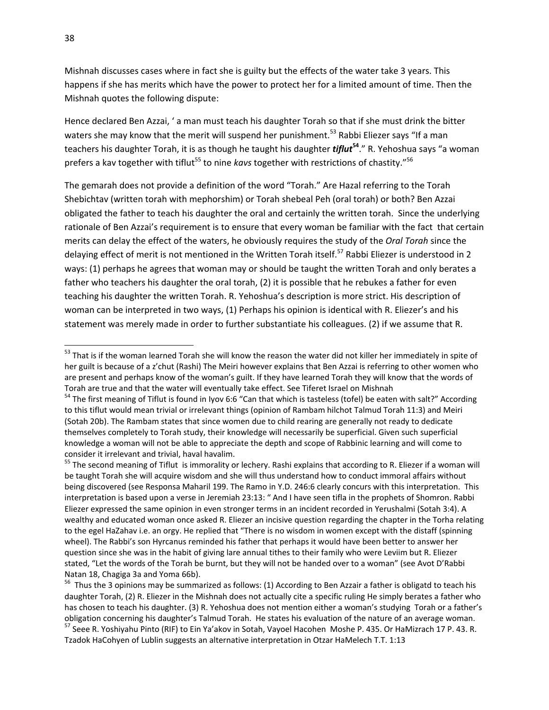Mishnah discusses cases where in fact she is guilty but the effects of the water take 3 years. This happens if she has merits which have the power to protect her for a limited amount of time. Then the Mishnah quotes the following dispute:

Hence declared Ben Azzai, ' a man must teach his daughter Torah so that if she must drink the bitter waters she may know that the merit will suspend her punishment.<sup>53</sup> Rabbi Eliezer says "If a man teachers his daughter Torah, it is as though he taught his daughter *tiflut***<sup>54</sup>**." R. Yehoshua says "a woman prefers a kav together with tiflut<sup>55</sup> to nine *kavs* together with restrictions of chastity."<sup>56</sup>

The gemarah does not provide a definition of the word "Torah." Are Hazal referring to the Torah Shebichtav (written torah with mephorshim) or Torah shebeal Peh (oral torah) or both? Ben Azzai obligated the father to teach his daughter the oral and certainly the written torah. Since the underlying rationale of Ben Azzai's requirement is to ensure that every woman be familiar with the fact that certain merits can delay the effect of the waters, he obviously requires the study of the *Oral Torah* since the delaying effect of merit is not mentioned in the Written Torah itself.<sup>57</sup> Rabbi Eliezer is understood in 2 ways: (1) perhaps he agrees that woman may or should be taught the written Torah and only berates a father who teachers his daughter the oral torah, (2) it is possible that he rebukes a father for even teaching his daughter the written Torah. R. Yehoshua's description is more strict. His description of woman can be interpreted in two ways, (1) Perhaps his opinion is identical with R. Eliezer's and his statement was merely made in order to further substantiate his colleagues. (2) if we assume that R.

<sup>&</sup>lt;sup>53</sup> That is if the woman learned Torah she will know the reason the water did not killer her immediately in spite of her guilt is because of a z'chut (Rashi) The Meiri however explains that Ben Azzai is referring to other women who are present and perhaps know of the woman's guilt. If they have learned Torah they will know that the words of Torah are true and that the water will eventually take effect. See Tiferet Israel on Mishnah<br><sup>54</sup> The first meaning of Tiflut is found in Iyov 6:6 "Can that which is tasteless (tofel) be eaten with salt?" According

to this tiflut would mean trivial or irrelevant things (opinion of Rambam hilchot Talmud Torah 11:3) and Meiri (Sotah 20b). The Rambam states that since women due to child rearing are generally not ready to dedicate themselves completely to Torah study, their knowledge will necessarily be superficial. Given such superficial knowledge a woman will not be able to appreciate the depth and scope of Rabbinic learning and will come to consider it irrelevant and trivial, haval havalim.<br>
<sup>55</sup> The second meaning of Tiflut is immorality or lechery. Rashi explains that according to R. Eliezer if a woman will

be taught Torah she will acquire wisdom and she will thus understand how to conduct immoral affairs without being discovered (see Responsa Maharil 199. The Ramo in Y.D. 246:6 clearly concurs with this interpretation. This interpretation is based upon a verse in Jeremiah 23:13: " And I have seen tifla in the prophets of Shomron. Rabbi Eliezer expressed the same opinion in even stronger terms in an incident recorded in Yerushalmi (Sotah 3:4). A wealthy and educated woman once asked R. Eliezer an incisive question regarding the chapter in the Torha relating to the egel HaZahav i.e. an orgy. He replied that "There is no wisdom in women except with the distaff (spinning wheel). The Rabbi's son Hyrcanus reminded his father that perhaps it would have been better to answer her question since she was in the habit of giving lare annual tithes to their family who were Leviim but R. Eliezer stated, "Let the words of the Torah be burnt, but they will not be handed over to a woman" (see Avot D'Rabbi

Natan 18, Chagiga 3a and Yoma 66b).<br><sup>56</sup> Thus the 3 opinions may be summarized as follows: (1) According to Ben Azzair a father is obligatd to teach his daughter Torah, (2) R. Eliezer in the Mishnah does not actually cite a specific ruling He simply berates a father who has chosen to teach his daughter. (3) R. Yehoshua does not mention either a woman's studying Torah or a father's obligation concerning his daughter's Talmud Torah. He states his evaluation of the nature of an average woman.<br><sup>57</sup> Seee R. Yoshiyahu Pinto (RIF) to Ein Ya'akov in Sotah, Vayoel Hacohen Moshe P. 435. Or HaMizrach 17 P. 43.

Tzadok HaCohyen of Lublin suggests an alternative interpretation in Otzar HaMelech T.T. 1:13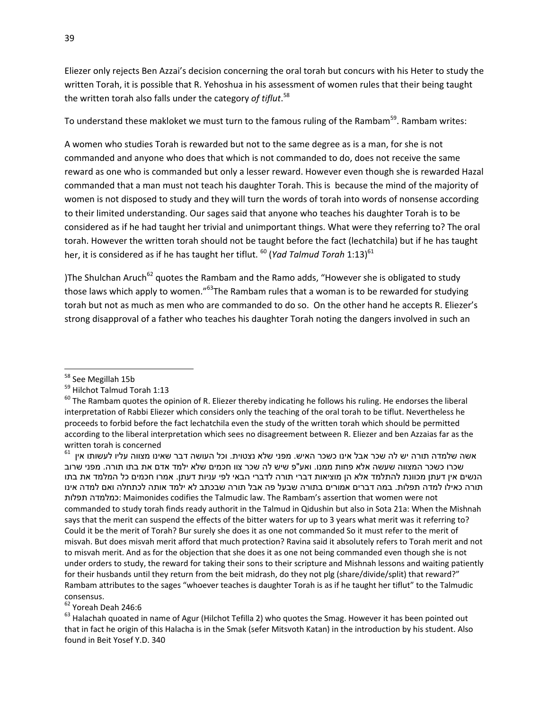Eliezer only rejects Ben Azzai's decision concerning the oral torah but concurs with his Heter to study the written Torah, it is possible that R. Yehoshua in his assessment of women rules that their being taught the written torah also falls under the category *of tiflut*. 58

To understand these makloket we must turn to the famous ruling of the Rambam<sup>59</sup>. Rambam writes:

A women who studies Torah is rewarded but not to the same degree as is a man, for she is not commanded and anyone who does that which is not commanded to do, does not receive the same reward as one who is commanded but only a lesser reward. However even though she is rewarded Hazal commanded that a man must not teach his daughter Torah. This is because the mind of the majority of women is not disposed to study and they will turn the words of torah into words of nonsense according to their limited understanding. Our sages said that anyone who teaches his daughter Torah is to be considered as if he had taught her trivial and unimportant things. What were they referring to? The oral torah. However the written torah should not be taught before the fact (lechatchila) but if he has taught her, it is considered as if he has taught her tiflut. <sup>60</sup> (*Yad Talmud Torah* 1:13)<sup>61</sup>

)The Shulchan Aruch<sup>62</sup> quotes the Rambam and the Ramo adds, "However she is obligated to study those laws which apply to women."<sup>63</sup>The Rambam rules that a woman is to be rewarded for studying torah but not as much as men who are commanded to do so. On the other hand he accepts R. Eliezer's strong disapproval of a father who teaches his daughter Torah noting the dangers involved in such an

<sup>&</sup>lt;sup>58</sup> See Megillah 15b<br><sup>59</sup> Hilchot Talmud Torah 1:13<br><sup>60</sup> The Rambam quotes the opinion of R. Eliezer thereby indicating he follows his ruling. He endorses the liberal interpretation of Rabbi Eliezer which considers only the teaching of the oral torah to be tiflut. Nevertheless he proceeds to forbid before the fact lechatchila even the study of the written torah which should be permitted according to the liberal interpretation which sees no disagreement between R. Eliezer and ben Azzaias far as the written torah is concerned<br><sup>61</sup> אשה שלמדה תורה יש לה שכר אבל אינו כשכר האיש. מפני שלא נצטוית. וכל העושה דבר שאינו מצווה עליו לעשותו אין

שכרו כשכר המצווה שעשה אלא פחות ממנו. ואע"פ שיש לה שכר צוו חכמים שלא ילמד אדם את בתו תורה. מפני שרוב הנשים אין דעתן מכוונת להתלמד אלא הן מוציאות דברי תורה לדברי הבאי לפי עניות דעתן. אמרו חכמים כל המלמד את בתו תורה כאילו למדה תפלות. במה דברים אמורים בתורה שבעל פה אבל תורה שבכתב לא ילמד אותה לכתחלה ואם למדה אינו תפלות כמלמדה: Maimonides codifies the Talmudic law. The Rambam's assertion that women were not commanded to study torah finds ready authorit in the Talmud in Qidushin but also in Sota 21a: When the Mishnah says that the merit can suspend the effects of the bitter waters for up to 3 years what merit was it referring to? Could it be the merit of Torah? Bur surely she does it as one not commanded So it must refer to the merit of misvah. But does misvah merit afford that much protection? Ravina said it absolutely refers to Torah merit and not to misvah merit. And as for the objection that she does it as one not being commanded even though she is not under orders to study, the reward for taking their sons to their scripture and Mishnah lessons and waiting patiently for their husbands until they return from the beit midrash, do they not plg (share/divide/split) that reward?" Rambam attributes to the sages "whoever teaches is daughter Torah is as if he taught her tiflut" to the Talmudic consensus.<br><sup>62</sup> Yoreah Deah 246:6

 $63$  Halachah quoated in name of Agur (Hilchot Tefilla 2) who quotes the Smag. However it has been pointed out that in fact he origin of this Halacha is in the Smak (sefer Mitsvoth Katan) in the introduction by his student. Also found in Beit Yosef Y.D. 340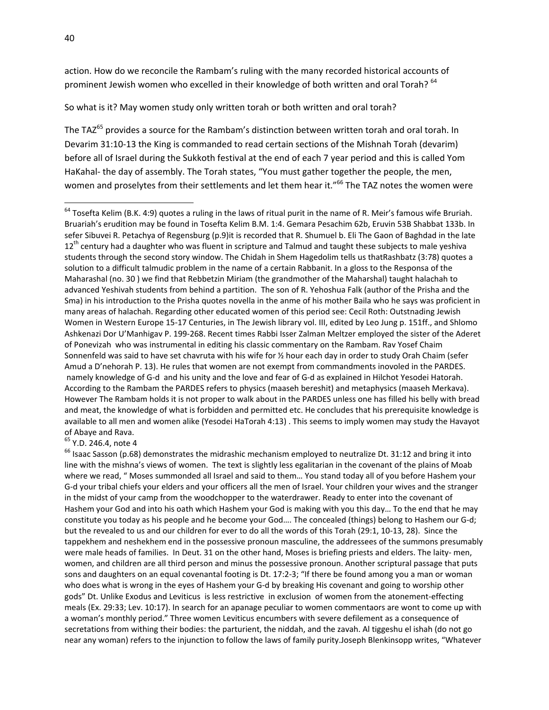action. How do we reconcile the Rambam's ruling with the many recorded historical accounts of prominent Jewish women who excelled in their knowledge of both written and oral Torah?<sup>64</sup>

### So what is it? May women study only written torah or both written and oral torah?

The TAZ<sup>65</sup> provides a source for the Rambam's distinction between written torah and oral torah. In Devarim 31:10‐13 the King is commanded to read certain sections of the Mishnah Torah (devarim) before all of Israel during the Sukkoth festival at the end of each 7 year period and this is called Yom HaKahal- the day of assembly. The Torah states, "You must gather together the people, the men, women and proselytes from their settlements and let them hear it."<sup>66</sup> The TAZ notes the women were

 $^{64}$  Tosefta Kelim (B.K. 4:9) quotes a ruling in the laws of ritual purit in the name of R. Meir's famous wife Bruriah. Bruariah's erudition may be found in Tosefta Kelim B.M. 1:4. Gemara Pesachim 62b, Eruvin 53B Shabbat 133b. In sefer Sibuvei R. Petachya of Regensburg (p.9)it is recorded that R. Shumuel b. Eli The Gaon of Baghdad in the late  $12<sup>th</sup>$  century had a daughter who was fluent in scripture and Talmud and taught these subjects to male yeshiva students through the second story window. The Chidah in Shem Hagedolim tells us thatRashbatz (3:78) quotes a solution to a difficult talmudic problem in the name of a certain Rabbanit. In a gloss to the Responsa of the Maharashal (no. 30 ) we find that Rebbetzin Miriam (the grandmother of the Maharshal) taught halachah to advanced Yeshivah students from behind a partition. The son of R. Yehoshua Falk (author of the Prisha and the Sma) in his introduction to the Prisha quotes novella in the anme of his mother Baila who he says was proficient in many areas of halachah. Regarding other educated women of this period see: Cecil Roth: Outstnading Jewish Women in Western Europe 15‐17 Centuries, in The Jewish library vol. III, edited by Leo Jung p. 151ff., and Shlomo Ashkenazi Dor U'Manhigav P. 199‐268. Recent times Rabbi Isser Zalman Meltzer employed the sister of the Aderet of Ponevizah who was instrumental in editing his classic commentary on the Rambam. Rav Yosef Chaim Sonnenfeld was said to have set chavruta with his wife for ½ hour each day in order to study Orah Chaim (sefer Amud a D'nehorah P. 13). He rules that women are not exempt from commandments inovoled in the PARDES. namely knowledge of G‐d and his unity and the love and fear of G‐d as explained in Hilchot Yesodei Hatorah. According to the Rambam the PARDES refers to physics (maaseh bereshit) and metaphysics (maaseh Merkava). However The Rambam holds it is not proper to walk about in the PARDES unless one has filled his belly with bread and meat, the knowledge of what is forbidden and permitted etc. He concludes that his prerequisite knowledge is available to all men and women alike (Yesodei HaTorah 4:13) . This seems to imply women may study the Havayot

of Abaye and Rava.<br><sup>65</sup> Y.D. 246.4, note 4<br><sup>66</sup> Isaac Sasson (p.68) demonstrates the midrashic mechanism employed to neutralize Dt. 31:12 and bring it into line with the mishna's views of women. The text is slightly less egalitarian in the covenant of the plains of Moab where we read, " Moses summonded all Israel and said to them… You stand today all of you before Hashem your G‐d your tribal chiefs your elders and your officers all the men of Israel. Your children your wives and the stranger in the midst of your camp from the woodchopper to the waterdrawer. Ready to enter into the covenant of Hashem your God and into his oath which Hashem your God is making with you this day… To the end that he may constitute you today as his people and he become your God…. The concealed (things) belong to Hashem our G‐d; but the revealed to us and our children for ever to do all the words of this Torah (29:1, 10‐13, 28). Since the tappekhem and neshekhem end in the possessive pronoun masculine, the addressees of the summons presumably were male heads of families. In Deut. 31 on the other hand, Moses is briefing priests and elders. The laity-men, women, and children are all third person and minus the possessive pronoun. Another scriptural passage that puts sons and daughters on an equal covenantal footing is Dt. 17:2-3; "If there be found among you a man or woman who does what is wrong in the eyes of Hashem your G-d by breaking His covenant and going to worship other gods" Dt. Unlike Exodus and Leviticus is less restrictive in exclusion of women from the atonement‐effecting meals (Ex. 29:33; Lev. 10:17). In search for an apanage peculiar to women commentaors are wont to come up with a woman's monthly period." Three women Leviticus encumbers with severe defilement as a consequence of secretations from withing their bodies: the parturient, the niddah, and the zavah. Al tiggeshu el ishah (do not go near any woman) refers to the injunction to follow the laws of family purity.Joseph Blenkinsopp writes, "Whatever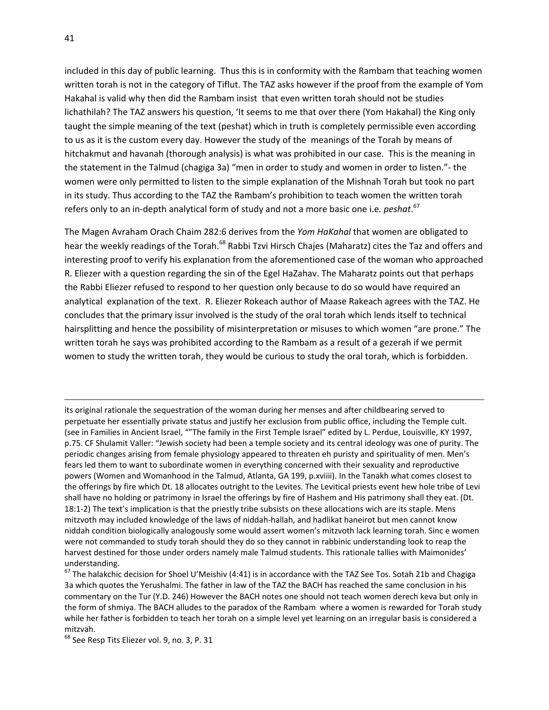included in this day of public learning. Thus this is in conformity with the Rambam that teaching women written torah is not in the category of Tiflut. The TAZ asks however if the proof from the example of Yom Hakahal is valid why then did the Rambam insist that even written torah should not be studies lichathilah? The TAZ answers his question, 'It seems to me that over there (Yom Hakahal) the King only taught the simple meaning of the text (peshat) which in truth is completely permissible even according to us as it is the custom every day. However the study of the meanings of the Torah by means of hitchakmut and havanah (thorough analysis) is what was prohibited in our case. This is the meaning in the statement in the Talmud (chagiga 3a) "men in order to study and women in order to listen."‐ the women were only permitted to listen to the simple explanation of the Mishnah Torah but took no part in its study. Thus according to the TAZ the Rambam's prohibition to teach women the written torah refers only to an in‐depth analytical form of study and not a more basic one i.e*. peshat*. 67

The Magen Avraham Orach Chaim 282:6 derives from the *Yom HaKahal* that women are obligated to hear the weekly readings of the Torah.<sup>68</sup> Rabbi Tzvi Hirsch Chajes (Maharatz) cites the Taz and offers and interesting proof to verify his explanation from the aforementioned case of the woman who approached R. Eliezer with a question regarding the sin of the Egel HaZahav. The Maharatz points out that perhaps the Rabbi Eliezer refused to respond to her question only because to do so would have required an analytical explanation of the text. R. Eliezer Rokeach author of Maase Rakeach agrees with the TAZ. He concludes that the primary issur involved is the study of the oral torah which lends itself to technical hairsplitting and hence the possibility of misinterpretation or misuses to which women "are prone." The written torah he says was prohibited according to the Rambam as a result of a gezerah if we permit women to study the written torah, they would be curious to study the oral torah, which is forbidden.

its original rationale the sequestration of the woman during her menses and after childbearing served to perpetuate her essentially private status and justify her exclusion from public office, including the Temple cult. (see in Families in Ancient Israel, ""The family in the First Temple Israel" edited by L. Perdue, Louisville, KY 1997, p.75. CF Shulamit Valler: "Jewish society had been a temple society and its central ideology was one of purity. The periodic changes arising from female physiology appeared to threaten eh puristy and spirituality of men. Men's fears led them to want to subordinate women in everything concerned with their sexuality and reproductive powers (Women and Womanhood in the Talmud, Atlanta, GA 199, p.xviiii). In the Tanakh what comes closest to the offerings by fire which Dt. 18 allocates outright to the Levites. The Levitical priests event hew hole tribe of Levi shall have no holding or patrimony in Israel the offerings by fire of Hashem and His patrimony shall they eat. (Dt. 18:1-2) The text's implication is that the priestly tribe subsists on these allocations wich are its staple. Mens mitzvoth may included knowledge of the laws of niddah‐hallah, and hadlikat haneirot but men cannot know niddah condition biologically analogously some would assert women's mitzvoth lack learning torah. Sinc e women were not commanded to study torah should they do so they cannot in rabbinic understanding look to reap the harvest destined for those under orders namely male Talmud students. This rationale tallies with Maimonides' understanding.

<u> Andrewski politika (za obrazu za obrazu za obrazu za obrazu za obrazu za obrazu za obrazu za obrazu za obrazu</u>

 $67$  The halakchic decision for Shoel U'Meishiv (4:41) is in accordance with the TAZ See Tos. Sotah 21b and Chagiga 3a which quotes the Yerushalmi. The father in law of the TAZ the BACH has reached the same conclusion in his commentary on the Tur (Y.D. 246) However the BACH notes one should not teach women derech keva but only in the form of shmiya. The BACH alludes to the paradox of the Rambam where a women is rewarded for Torah study while her father is forbidden to teach her torah on a simple level yet learning on an irregular basis is considered a mitzvah.<br><sup>68</sup> See Resp Tits Eliezer vol. 9, no. 3, P. 31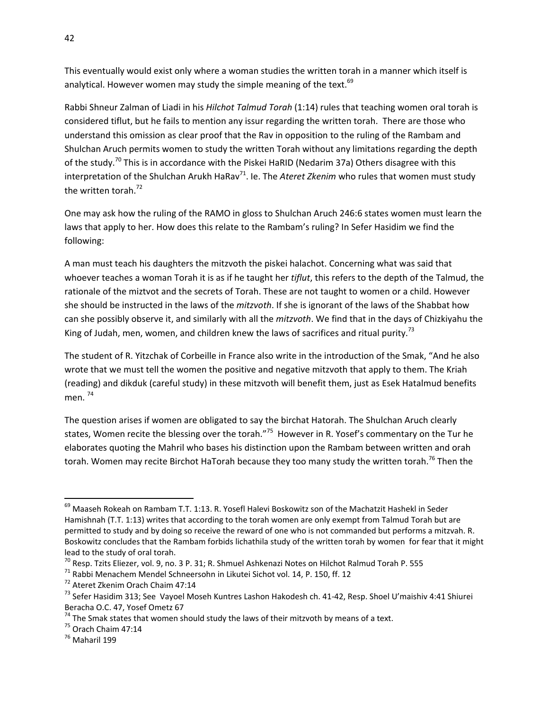This eventually would exist only where a woman studies the written torah in a manner which itself is analytical. However women may study the simple meaning of the text.<sup>69</sup>

Rabbi Shneur Zalman of Liadi in his *Hilchot Talmud Torah* (1:14) rules that teaching women oral torah is considered tiflut, but he fails to mention any issur regarding the written torah. There are those who understand this omission as clear proof that the Rav in opposition to the ruling of the Rambam and Shulchan Aruch permits women to study the written Torah without any limitations regarding the depth of the study.<sup>70</sup> This is in accordance with the Piskei HaRID (Nedarim 37a) Others disagree with this interpretation of the Shulchan Arukh HaRav<sup>71</sup>. Ie. The *Ateret Zkenim* who rules that women must study the written torah.<sup>72</sup>

One may ask how the ruling of the RAMO in gloss to Shulchan Aruch 246:6 states women must learn the laws that apply to her. How does this relate to the Rambam's ruling? In Sefer Hasidim we find the following:

A man must teach his daughters the mitzvoth the piskei halachot. Concerning what was said that whoever teaches a woman Torah it is as if he taught her *tiflut*, this refers to the depth of the Talmud, the rationale of the miztvot and the secrets of Torah. These are not taught to women or a child. However she should be instructed in the laws of the *mitzvoth*. If she is ignorant of the laws of the Shabbat how can she possibly observe it, and similarly with all the *mitzvoth*. We find that in the days of Chizkiyahu the King of Judah, men, women, and children knew the laws of sacrifices and ritual purity.<sup>73</sup>

The student of R. Yitzchak of Corbeille in France also write in the introduction of the Smak, "And he also wrote that we must tell the women the positive and negative mitzvoth that apply to them. The Kriah (reading) and dikduk (careful study) in these mitzvoth will benefit them, just as Esek Hatalmud benefits men.  $74$ 

The question arises if women are obligated to say the birchat Hatorah. The Shulchan Aruch clearly states, Women recite the blessing over the torah."<sup>75</sup> However in R. Yosef's commentary on the Tur he elaborates quoting the Mahril who bases his distinction upon the Rambam between written and orah torah. Women may recite Birchot HaTorah because they too many study the written torah.<sup>76</sup> Then the

 $^{69}$  Maaseh Rokeah on Rambam T.T. 1:13. R. Yosefl Halevi Boskowitz son of the Machatzit Hashekl in Seder Hamishnah (T.T. 1:13) writes that according to the torah women are only exempt from Talmud Torah but are permitted to study and by doing so receive the reward of one who is not commanded but performs a mitzvah. R. Boskowitz concludes that the Rambam forbids lichathila study of the written torah by women for fear that it might lead to the study of oral torah.<br><sup>70</sup> Resp. Tzits Eliezer, vol. 9, no. 3 P. 31; R. Shmuel Ashkenazi Notes on Hilchot Ralmud Torah P. 555<br><sup>71</sup> Rabbi Menachem Mendel Schneersohn in Likutei Sichot vol. 14, P. 150, ff. 12<br><sup>72</sup>

Beracha O.C. 47, Yosef Ometz 67<br><sup>74</sup> The Smak states that women should study the laws of their mitzvoth by means of a text.<br><sup>75</sup> Orach Chaim 47:14<br><sup>76</sup> Maharil 199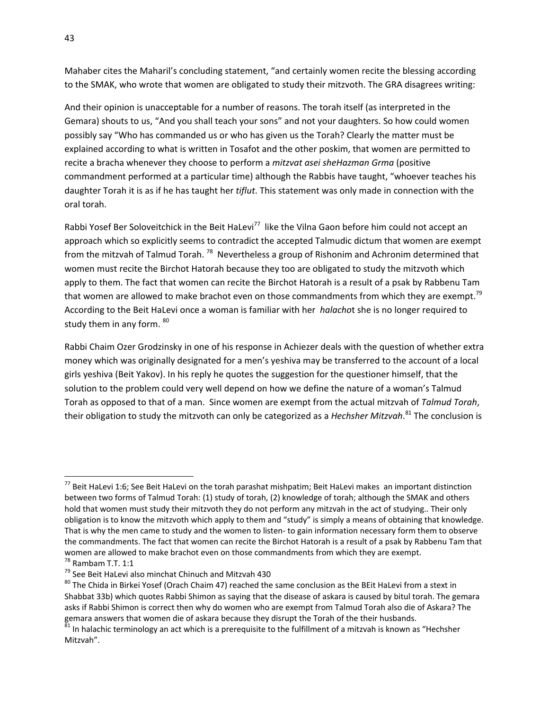Mahaber cites the Maharil's concluding statement, "and certainly women recite the blessing according to the SMAK, who wrote that women are obligated to study their mitzvoth. The GRA disagrees writing:

And their opinion is unacceptable for a number of reasons. The torah itself (as interpreted in the Gemara) shouts to us, "And you shall teach your sons" and not your daughters. So how could women possibly say "Who has commanded us or who has given us the Torah? Clearly the matter must be explained according to what is written in Tosafot and the other poskim, that women are permitted to recite a bracha whenever they choose to perform a *mitzvat asei sheHazman Grma* (positive commandment performed at a particular time) although the Rabbis have taught, "whoever teaches his daughter Torah it is as if he has taught her *tiflut*. This statement was only made in connection with the oral torah.

Rabbi Yosef Ber Soloveitchick in the Beit HaLevi<sup>77</sup> like the Vilna Gaon before him could not accept an approach which so explicitly seems to contradict the accepted Talmudic dictum that women are exempt from the mitzvah of Talmud Torah.<sup>78</sup> Nevertheless a group of Rishonim and Achronim determined that women must recite the Birchot Hatorah because they too are obligated to study the mitzvoth which apply to them. The fact that women can recite the Birchot Hatorah is a result of a psak by Rabbenu Tam that women are allowed to make brachot even on those commandments from which they are exempt.<sup>79</sup> According to the Beit HaLevi once a woman is familiar with her *halacho*t she is no longer required to study them in any form. <sup>80</sup>

Rabbi Chaim Ozer Grodzinsky in one of his response in Achiezer deals with the question of whether extra money which was originally designated for a men's yeshiva may be transferred to the account of a local girls yeshiva (Beit Yakov). In his reply he quotes the suggestion for the questioner himself, that the solution to the problem could very well depend on how we define the nature of a woman's Talmud Torah as opposed to that of a man. Since women are exempt from the actual mitzvah of *Talmud Torah*, their obligation to study the mitzvoth can only be categorized as a *Hechsher Mitzvah*. <sup>81</sup> The conclusion is

 $^{77}$  Beit HaLevi 1:6; See Beit HaLevi on the torah parashat mishpatim; Beit HaLevi makes an important distinction between two forms of Talmud Torah: (1) study of torah, (2) knowledge of torah; although the SMAK and others hold that women must study their mitzvoth they do not perform any mitzvah in the act of studying.. Their only obligation is to know the mitzvoth which apply to them and "study" is simply a means of obtaining that knowledge. That is why the men came to study and the women to listen‐ to gain information necessary form them to observe the commandments. The fact that women can recite the Birchot Hatorah is a result of a psak by Rabbenu Tam that women are allowed to make brachot even on those commandments from which they are exempt.<br><sup>78</sup> Rambam T.T. 1:1<br><sup>79</sup> See Beit HaLevi also minchat Chinuch and Mitzvah 430<br><sup>80</sup> The Chida in Birkei Yosef (Orach Chaim 47) reach

Shabbat 33b) which quotes Rabbi Shimon as saying that the disease of askara is caused by bitul torah. The gemara asks if Rabbi Shimon is correct then why do women who are exempt from Talmud Torah also die of Askara? The gemara answers that women die of askara because they disrupt the Torah of the their husbands.<br><sup>81</sup> In halachic terminology an act which is a prerequisite to the fulfillment of a mitzvah is known as "Hechsher

Mitzvah".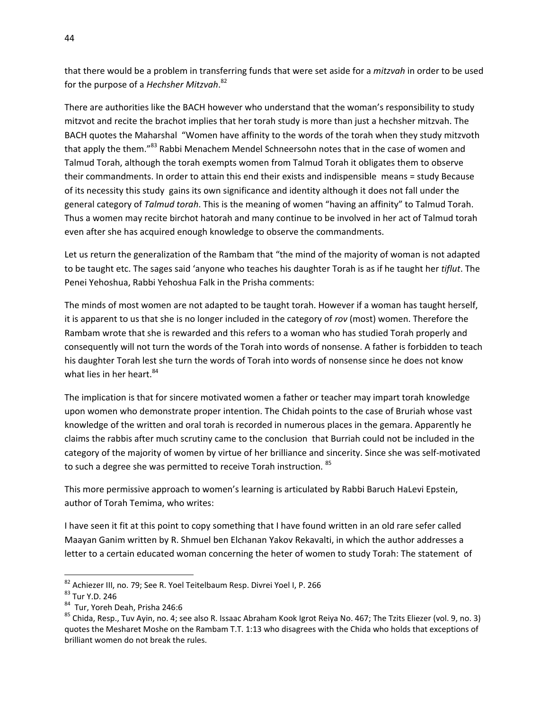that there would be a problem in transferring funds that were set aside for a *mitzvah* in order to be used for the purpose of a *Hechsher Mitzvah*. 82

There are authorities like the BACH however who understand that the woman's responsibility to study mitzvot and recite the brachot implies that her torah study is more than just a hechsher mitzvah. The BACH quotes the Maharshal "Women have affinity to the words of the torah when they study mitzvoth that apply the them."<sup>83</sup> Rabbi Menachem Mendel Schneersohn notes that in the case of women and Talmud Torah, although the torah exempts women from Talmud Torah it obligates them to observe their commandments. In order to attain this end their exists and indispensible means = study Because of its necessity this study gains its own significance and identity although it does not fall under the general category of *Talmud torah*. This is the meaning of women "having an affinity" to Talmud Torah. Thus a women may recite birchot hatorah and many continue to be involved in her act of Talmud torah even after she has acquired enough knowledge to observe the commandments.

Let us return the generalization of the Rambam that "the mind of the majority of woman is not adapted to be taught etc. The sages said 'anyone who teaches his daughter Torah is as if he taught her *tiflut*. The Penei Yehoshua, Rabbi Yehoshua Falk in the Prisha comments:

The minds of most women are not adapted to be taught torah. However if a woman has taught herself, it is apparent to us that she is no longer included in the category of *rov* (most) women. Therefore the Rambam wrote that she is rewarded and this refers to a woman who has studied Torah properly and consequently will not turn the words of the Torah into words of nonsense. A father is forbidden to teach his daughter Torah lest she turn the words of Torah into words of nonsense since he does not know what lies in her heart.<sup>84</sup>

The implication is that for sincere motivated women a father or teacher may impart torah knowledge upon women who demonstrate proper intention. The Chidah points to the case of Bruriah whose vast knowledge of the written and oral torah is recorded in numerous places in the gemara. Apparently he claims the rabbis after much scrutiny came to the conclusion that Burriah could not be included in the category of the majority of women by virtue of her brilliance and sincerity. Since she was self-motivated to such a degree she was permitted to receive Torah instruction. 85

This more permissive approach to women's learning is articulated by Rabbi Baruch HaLevi Epstein, author of Torah Temima, who writes:

I have seen it fit at this point to copy something that I have found written in an old rare sefer called Maayan Ganim written by R. Shmuel ben Elchanan Yakov Rekavalti, in which the author addresses a letter to a certain educated woman concerning the heter of women to study Torah: The statement of

<sup>&</sup>lt;sup>82</sup> Achiezer III, no. 79; See R. Yoel Teitelbaum Resp. Divrei Yoel I, P. 266<br><sup>83</sup> Tur Y.D. 246<br><sup>84</sup> Tur, Yoreh Deah, Prisha 246:6<br><sup>85</sup> Chida, Resp., Tuv Ayin, no. 4; see also R. Issaac Abraham Kook Igrot Reiya No. 467; Th quotes the Mesharet Moshe on the Rambam T.T. 1:13 who disagrees with the Chida who holds that exceptions of brilliant women do not break the rules.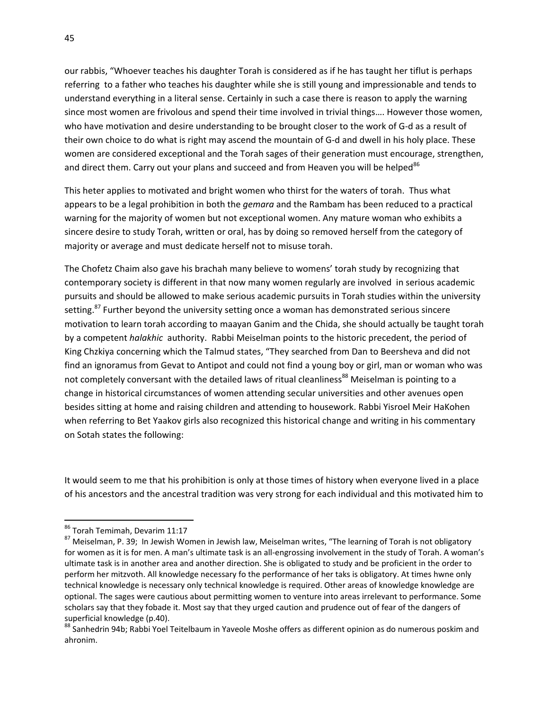our rabbis, "Whoever teaches his daughter Torah is considered as if he has taught her tiflut is perhaps referring to a father who teaches his daughter while she is still young and impressionable and tends to understand everything in a literal sense. Certainly in such a case there is reason to apply the warning since most women are frivolous and spend their time involved in trivial things…. However those women, who have motivation and desire understanding to be brought closer to the work of G-d as a result of their own choice to do what is right may ascend the mountain of G‐d and dwell in his holy place. These women are considered exceptional and the Torah sages of their generation must encourage, strengthen, and direct them. Carry out your plans and succeed and from Heaven you will be helped $^{86}$ 

This heter applies to motivated and bright women who thirst for the waters of torah. Thus what appears to be a legal prohibition in both the *gemara* and the Rambam has been reduced to a practical warning for the majority of women but not exceptional women. Any mature woman who exhibits a sincere desire to study Torah, written or oral, has by doing so removed herself from the category of majority or average and must dedicate herself not to misuse torah.

The Chofetz Chaim also gave his brachah many believe to womens' torah study by recognizing that contemporary society is different in that now many women regularly are involved in serious academic pursuits and should be allowed to make serious academic pursuits in Torah studies within the university setting.<sup>87</sup> Further beyond the university setting once a woman has demonstrated serious sincere motivation to learn torah according to maayan Ganim and the Chida, she should actually be taught torah by a competent *halakhic* authority. Rabbi Meiselman points to the historic precedent, the period of King Chzkiya concerning which the Talmud states, "They searched from Dan to Beersheva and did not find an ignoramus from Gevat to Antipot and could not find a young boy or girl, man or woman who was not completely conversant with the detailed laws of ritual cleanliness<sup>88</sup> Meiselman is pointing to a change in historical circumstances of women attending secular universities and other avenues open besides sitting at home and raising children and attending to housework. Rabbi Yisroel Meir HaKohen when referring to Bet Yaakov girls also recognized this historical change and writing in his commentary on Sotah states the following:

It would seem to me that his prohibition is only at those times of history when everyone lived in a place of his ancestors and the ancestral tradition was very strong for each individual and this motivated him to

<sup>86</sup> Torah Temimah, Devarim 11:17

 $87$  Meiselman, P. 39; In Jewish Women in Jewish law, Meiselman writes, "The learning of Torah is not obligatory for women as it is for men. A man's ultimate task is an all-engrossing involvement in the study of Torah. A woman's ultimate task is in another area and another direction. She is obligated to study and be proficient in the order to perform her mitzvoth. All knowledge necessary fo the performance of her taks is obligatory. At times hwne only technical knowledge is necessary only technical knowledge is required. Other areas of knowledge knowledge are optional. The sages were cautious about permitting women to venture into areas irrelevant to performance. Some scholars say that they fobade it. Most say that they urged caution and prudence out of fear of the dangers of

superficial knowledge (p.40).<br><sup>88</sup> Sanhedrin 94b; Rabbi Yoel Teitelbaum in Yaveole Moshe offers as different opinion as do numerous poskim and ahronim.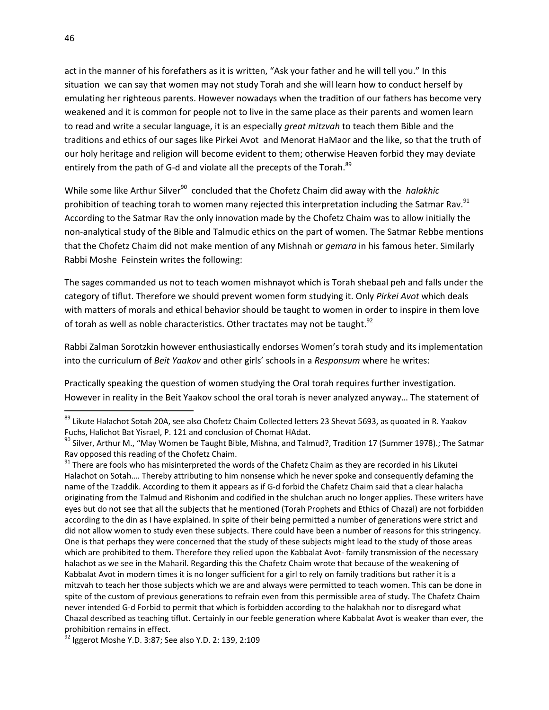act in the manner of his forefathers as it is written, "Ask your father and he will tell you." In this situation we can say that women may not study Torah and she will learn how to conduct herself by emulating her righteous parents. However nowadays when the tradition of our fathers has become very weakened and it is common for people not to live in the same place as their parents and women learn to read and write a secular language, it is an especially *great mitzvah* to teach them Bible and the traditions and ethics of our sages like Pirkei Avot and Menorat HaMaor and the like, so that the truth of our holy heritage and religion will become evident to them; otherwise Heaven forbid they may deviate entirely from the path of G-d and violate all the precepts of the Torah.<sup>89</sup>

While some like Arthur Silver<sup>90</sup> concluded that the Chofetz Chaim did away with the *halakhic* prohibition of teaching torah to women many rejected this interpretation including the Satmar Rav.<sup>91</sup> According to the Satmar Rav the only innovation made by the Chofetz Chaim was to allow initially the non-analytical study of the Bible and Talmudic ethics on the part of women. The Satmar Rebbe mentions that the Chofetz Chaim did not make mention of any Mishnah or *gemara* in his famous heter. Similarly Rabbi Moshe Feinstein writes the following:

The sages commanded us not to teach women mishnayot which is Torah shebaal peh and falls under the category of tiflut. Therefore we should prevent women form studying it. Only *Pirkei Avot* which deals with matters of morals and ethical behavior should be taught to women in order to inspire in them love of torah as well as noble characteristics. Other tractates may not be taught.<sup>92</sup>

Rabbi Zalman Sorotzkin however enthusiastically endorses Women's torah study and its implementation into the curriculum of *Beit Yaakov* and other girls' schools in a *Responsum* where he writes:

Practically speaking the question of women studying the Oral torah requires further investigation. However in reality in the Beit Yaakov school the oral torah is never analyzed anyway… The statement of

<sup>&</sup>lt;sup>89</sup> Likute Halachot Sotah 20A, see also Chofetz Chaim Collected letters 23 Shevat 5693, as quoated in R. Yaakov Fuchs, Halichot Bat Yisrael, P. 121 and conclusion of Chomat HAdat.<br><sup>90</sup> Silver, Arthur M., "May Women be Taught Bible, Mishna, and Talmud?, Tradition 17 (Summer 1978).; The Satmar

Rav opposed this reading of the Chofetz Chaim.<br><sup>91</sup> There are fools who has misinterpreted the words of the Chafetz Chaim as they are recorded in his Likutei

Halachot on Sotah…. Thereby attributing to him nonsense which he never spoke and consequently defaming the name of the Tzaddik. According to them it appears as if G‐d forbid the Chafetz Chaim said that a clear halacha originating from the Talmud and Rishonim and codified in the shulchan aruch no longer applies. These writers have eyes but do not see that all the subjects that he mentioned (Torah Prophets and Ethics of Chazal) are not forbidden according to the din as I have explained. In spite of their being permitted a number of generations were strict and did not allow women to study even these subjects. There could have been a number of reasons for this stringency. One is that perhaps they were concerned that the study of these subjects might lead to the study of those areas which are prohibited to them. Therefore they relied upon the Kabbalat Avot- family transmission of the necessary halachot as we see in the Maharil. Regarding this the Chafetz Chaim wrote that because of the weakening of Kabbalat Avot in modern times it is no longer sufficient for a girl to rely on family traditions but rather it is a mitzvah to teach her those subjects which we are and always were permitted to teach women. This can be done in spite of the custom of previous generations to refrain even from this permissible area of study. The Chafetz Chaim never intended G‐d Forbid to permit that which is forbidden according to the halakhah nor to disregard what Chazal described as teaching tiflut. Certainly in our feeble generation where Kabbalat Avot is weaker than ever, the prohibition remains in effect.<br><sup>92</sup> Iggerot Moshe Y.D. 3:87; See also Y.D. 2: 139, 2:109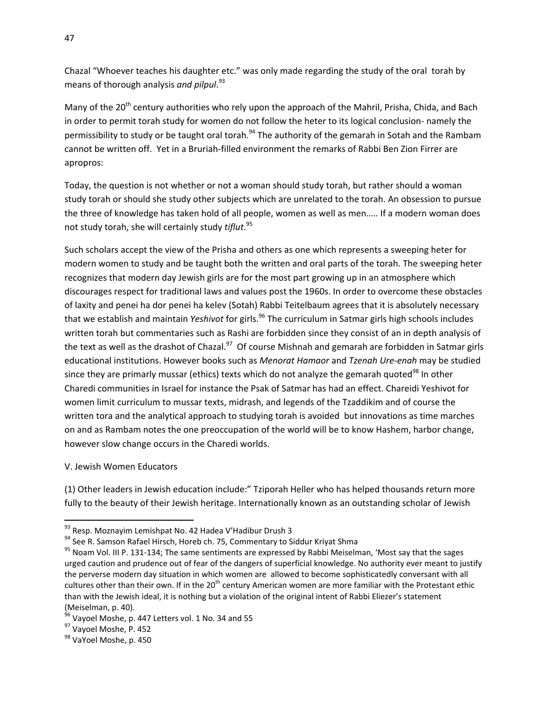Chazal "Whoever teaches his daughter etc." was only made regarding the study of the oral torah by means of thorough analysis *and pilpul*. 93

Many of the 20<sup>th</sup> century authorities who rely upon the approach of the Mahril, Prisha, Chida, and Bach in order to permit torah study for women do not follow the heter to its logical conclusion‐ namely the permissibility to study or be taught oral torah.<sup>94</sup> The authority of the gemarah in Sotah and the Rambam cannot be written off. Yet in a Bruriah‐filled environment the remarks of Rabbi Ben Zion Firrer are apropros:

Today, the question is not whether or not a woman should study torah, but rather should a woman study torah or should she study other subjects which are unrelated to the torah. An obsession to pursue the three of knowledge has taken hold of all people, women as well as men….. If a modern woman does not study torah, she will certainly study *tiflut*. 95

Such scholars accept the view of the Prisha and others as one which represents a sweeping heter for modern women to study and be taught both the written and oral parts of the torah. The sweeping heter recognizes that modern day Jewish girls are for the most part growing up in an atmosphere which discourages respect for traditional laws and values post the 1960s. In order to overcome these obstacles of laxity and penei ha dor penei ha kelev (Sotah) Rabbi Teitelbaum agrees that it is absolutely necessary that we establish and maintain *Yeshivot* for girls.<sup>96</sup> The curriculum in Satmar girls high schools includes written torah but commentaries such as Rashi are forbidden since they consist of an in depth analysis of the text as well as the drashot of Chazal.<sup>97</sup> Of course Mishnah and gemarah are forbidden in Satmar girls educational institutions. However books such as *Menorat Hamaor* and *Tzenah Ure‐enah* may be studied since they are primarly mussar (ethics) texts which do not analyze the gemarah quoted<sup>98</sup> In other Charedi communities in Israel for instance the Psak of Satmar has had an effect. Chareidi Yeshivot for women limit curriculum to mussar texts, midrash, and legends of the Tzaddikim and of course the written tora and the analytical approach to studying torah is avoided but innovations as time marches on and as Rambam notes the one preoccupation of the world will be to know Hashem, harbor change, however slow change occurs in the Charedi worlds.

## V. Jewish Women Educators

(1) Other leaders in Jewish education include:" Tziporah Heller who has helped thousands return more fully to the beauty of their Jewish heritage. Internationally known as an outstanding scholar of Jewish

<sup>&</sup>lt;sup>93</sup> Resp. Moznayim Lemishpat No. 42 Hadea V'Hadibur Drush 3

<sup>94&</sup>lt;br>See R. Samson Rafael Hirsch, Horeb ch. 75, Commentary to Siddur Kriyat Shma<br>95 Noam Vol. III P. 131-134; The same sentiments are expressed by Rabbi Meiselman, 'Most say that the sages urged caution and prudence out of fear of the dangers of superficial knowledge. No authority ever meant to justify the perverse modern day situation in which women are allowed to become sophisticatedly conversant with all cultures other than their own. If in the 20<sup>th</sup> century American women are more familiar with the Protestant ethic than with the Jewish ideal, it is nothing but a violation of the original intent of Rabbi Eliezer's statement

<sup>(</sup>Meiselman, p. 40).<br>
<sup>96</sup> Vayoel Moshe, p. 447 Letters vol. 1 No. 34 and 55<br>
<sup>97</sup> Vayoel Moshe, P. 452<br>
<sup>98</sup> VaYoel Moshe, p. 450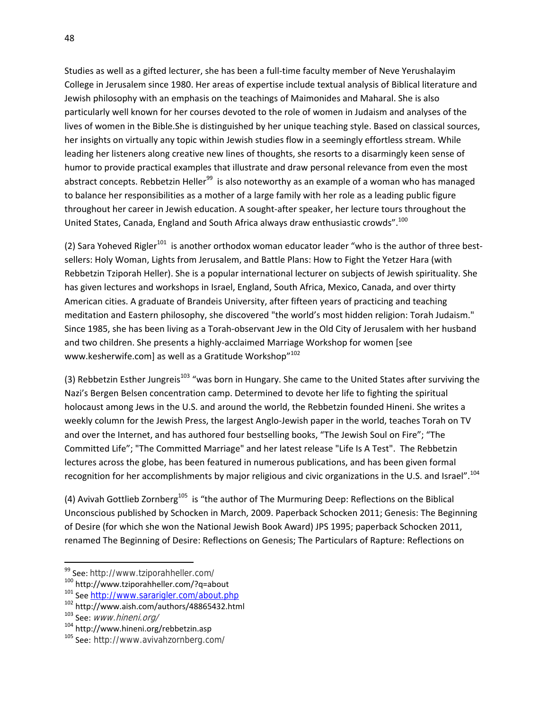Studies as well as a gifted lecturer, she has been a full‐time faculty member of Neve Yerushalayim College in Jerusalem since 1980. Her areas of expertise include textual analysis of Biblical literature and Jewish philosophy with an emphasis on the teachings of Maimonides and Maharal. She is also particularly well known for her courses devoted to the role of women in Judaism and analyses of the lives of women in the Bible.She is distinguished by her unique teaching style. Based on classical sources, her insights on virtually any topic within Jewish studies flow in a seemingly effortless stream. While leading her listeners along creative new lines of thoughts, she resorts to a disarmingly keen sense of humor to provide practical examples that illustrate and draw personal relevance from even the most abstract concepts. Rebbetzin Heller<sup>99</sup> is also noteworthy as an example of a woman who has managed to balance her responsibilities as a mother of a large family with her role as a leading public figure throughout her career in Jewish education. A sought‐after speaker, her lecture tours throughout the United States, Canada, England and South Africa always draw enthusiastic crowds".<sup>100</sup>

(2) Sara Yoheved Rigler<sup>101</sup> is another orthodox woman educator leader "who is the author of three bestsellers: Holy Woman, Lights from Jerusalem, and Battle Plans: How to Fight the Yetzer Hara (with Rebbetzin Tziporah Heller). She is a popular international lecturer on subjects of Jewish spirituality. She has given lectures and workshops in Israel, England, South Africa, Mexico, Canada, and over thirty American cities. A graduate of Brandeis University, after fifteen years of practicing and teaching meditation and Eastern philosophy, she discovered "the world's most hidden religion: Torah Judaism." Since 1985, she has been living as a Torah‐observant Jew in the Old City of Jerusalem with her husband and two children. She presents a highly‐acclaimed Marriage Workshop for women [see www.kesherwife.com] as well as a Gratitude Workshop"<sup>102</sup>

(3) Rebbetzin Esther Jungreis<sup>103</sup> "was born in Hungary. She came to the United States after surviving the Nazi's Bergen Belsen concentration camp. Determined to devote her life to fighting the spiritual holocaust among Jews in the U.S. and around the world, the Rebbetzin founded Hineni. She writes a weekly column for the Jewish Press, the largest Anglo-Jewish paper in the world, teaches Torah on TV and over the Internet, and has authored four bestselling books, "The Jewish Soul on Fire"; "The Committed Life"; "The Committed Marriage" and her latest release "Life Is A Test". The Rebbetzin lectures across the globe, has been featured in numerous publications, and has been given formal recognition for her accomplishments by major religious and civic organizations in the U.S. and Israel".<sup>104</sup>

(4) Avivah Gottlieb Zornberg<sup>105</sup> is "the author of The Murmuring Deep: Reflections on the Biblical Unconscious published by Schocken in March, 2009. Paperback Schocken 2011; Genesis: The Beginning of Desire (for which she won the National Jewish Book Award) JPS 1995; paperback Schocken 2011, renamed The Beginning of Desire: Reflections on Genesis; The Particulars of Rapture: Reflections on

<sup>&</sup>lt;sup>99</sup> See: http://www.tziporahheller.com/<br><sup>100</sup> http://www.tziporahheller.com/?q=about<br><sup>101</sup> See http:<u>//www.sararigler.com/about.php</u>

<sup>&</sup>lt;sup>102</sup> http://www.aish.com/authors/48865432.html<br><sup>103</sup> See: *www.hineni.org/* 

 $104$  http://www.hineni.org/rebbetzin.asp

<sup>105</sup> See: http://www.avivahzornberg.com/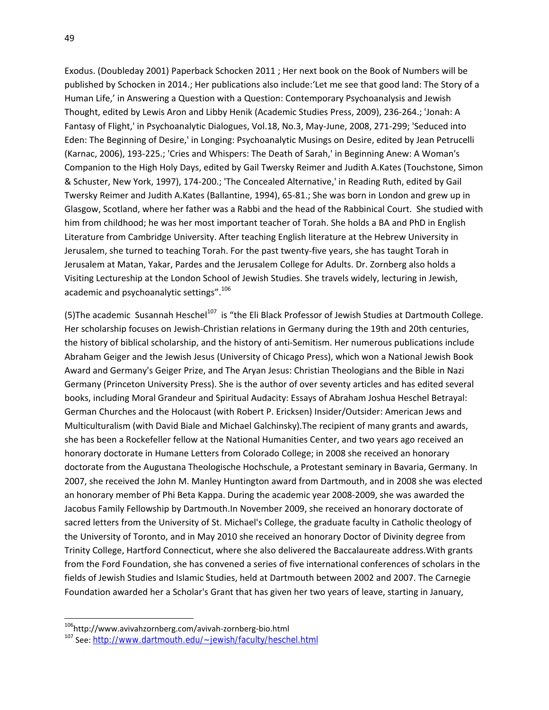Exodus. (Doubleday 2001) Paperback Schocken 2011 ; Her next book on the Book of Numbers will be published by Schocken in 2014.; Her publications also include:'Let me see that good land: The Story of a Human Life,' in Answering a Question with a Question: Contemporary Psychoanalysis and Jewish Thought, edited by Lewis Aron and Libby Henik (Academic Studies Press, 2009), 236‐264.; 'Jonah: A Fantasy of Flight,' in Psychoanalytic Dialogues, Vol.18, No.3, May‐June, 2008, 271‐299; 'Seduced into Eden: The Beginning of Desire,' in Longing: Psychoanalytic Musings on Desire, edited by Jean Petrucelli (Karnac, 2006), 193‐225.; 'Cries and Whispers: The Death of Sarah,' in Beginning Anew: A Woman's Companion to the High Holy Days, edited by Gail Twersky Reimer and Judith A.Kates (Touchstone, Simon & Schuster, New York, 1997), 174‐200.; 'The Concealed Alternative,' in Reading Ruth, edited by Gail Twersky Reimer and Judith A.Kates (Ballantine, 1994), 65‐81.; She was born in London and grew up in Glasgow, Scotland, where her father was a Rabbi and the head of the Rabbinical Court. She studied with him from childhood; he was her most important teacher of Torah. She holds a BA and PhD in English Literature from Cambridge University. After teaching English literature at the Hebrew University in Jerusalem, she turned to teaching Torah. For the past twenty‐five years, she has taught Torah in Jerusalem at Matan, Yakar, Pardes and the Jerusalem College for Adults. Dr. Zornberg also holds a Visiting Lectureship at the London School of Jewish Studies. She travels widely, lecturing in Jewish, academic and psychoanalytic settings".<sup>106</sup>

(5) The academic Susannah Heschel<sup>107</sup> is "the Eli Black Professor of Jewish Studies at Dartmouth College. Her scholarship focuses on Jewish‐Christian relations in Germany during the 19th and 20th centuries, the history of biblical scholarship, and the history of anti‐Semitism. Her numerous publications include Abraham Geiger and the Jewish Jesus (University of Chicago Press), which won a National Jewish Book Award and Germany's Geiger Prize, and The Aryan Jesus: Christian Theologians and the Bible in Nazi Germany (Princeton University Press). She is the author of over seventy articles and has edited several books, including Moral Grandeur and Spiritual Audacity: Essays of Abraham Joshua Heschel Betrayal: German Churches and the Holocaust (with Robert P. Ericksen) Insider/Outsider: American Jews and Multiculturalism (with David Biale and Michael Galchinsky).The recipient of many grants and awards, she has been a Rockefeller fellow at the National Humanities Center, and two years ago received an honorary doctorate in Humane Letters from Colorado College; in 2008 she received an honorary doctorate from the Augustana Theologische Hochschule, a Protestant seminary in Bavaria, Germany. In 2007, she received the John M. Manley Huntington award from Dartmouth, and in 2008 she was elected an honorary member of Phi Beta Kappa. During the academic year 2008‐2009, she was awarded the Jacobus Family Fellowship by Dartmouth.In November 2009, she received an honorary doctorate of sacred letters from the University of St. Michael's College, the graduate faculty in Catholic theology of the University of Toronto, and in May 2010 she received an honorary Doctor of Divinity degree from Trinity College, Hartford Connecticut, where she also delivered the Baccalaureate address.With grants from the Ford Foundation, she has convened a series of five international conferences of scholars in the fields of Jewish Studies and Islamic Studies, held at Dartmouth between 2002 and 2007. The Carnegie Foundation awarded her a Scholar's Grant that has given her two years of leave, starting in January,

<sup>106</sup>http://www.avivahzornberg.com/avivah‐zornberg‐bio.html

 $107$  See: http://www.dartmouth.edu/~jewish/faculty/heschel.html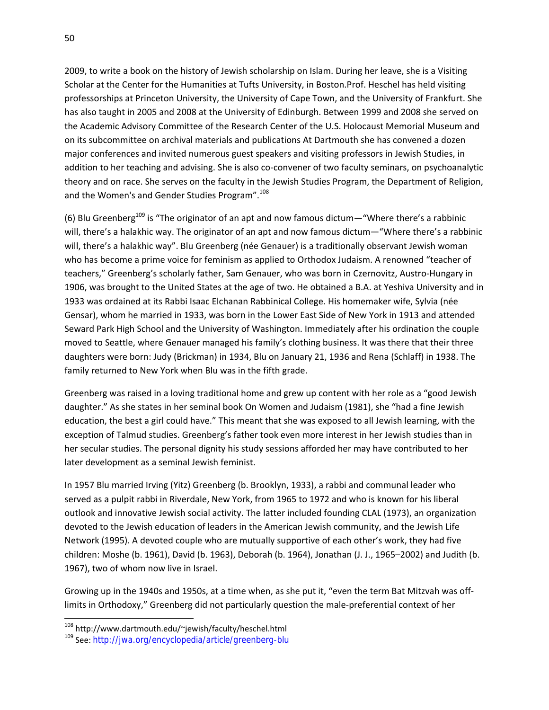2009, to write a book on the history of Jewish scholarship on Islam. During her leave, she is a Visiting Scholar at the Center for the Humanities at Tufts University, in Boston.Prof. Heschel has held visiting professorships at Princeton University, the University of Cape Town, and the University of Frankfurt. She has also taught in 2005 and 2008 at the University of Edinburgh. Between 1999 and 2008 she served on the Academic Advisory Committee of the Research Center of the U.S. Holocaust Memorial Museum and on its subcommittee on archival materials and publications At Dartmouth she has convened a dozen major conferences and invited numerous guest speakers and visiting professors in Jewish Studies, in addition to her teaching and advising. She is also co-convener of two faculty seminars, on psychoanalytic theory and on race. She serves on the faculty in the Jewish Studies Program, the Department of Religion, and the Women's and Gender Studies Program".<sup>108</sup>

(6) Blu Greenberg<sup>109</sup> is "The originator of an apt and now famous dictum—"Where there's a rabbinic will, there's a halakhic way. The originator of an apt and now famous dictum—"Where there's a rabbinic will, there's a halakhic way". Blu Greenberg (née Genauer) is a traditionally observant Jewish woman who has become a prime voice for feminism as applied to Orthodox Judaism. A renowned "teacher of teachers," Greenberg's scholarly father, Sam Genauer, who was born in Czernovitz, Austro‐Hungary in 1906, was brought to the United States at the age of two. He obtained a B.A. at Yeshiva University and in 1933 was ordained at its Rabbi Isaac Elchanan Rabbinical College. His homemaker wife, Sylvia (née Gensar), whom he married in 1933, was born in the Lower East Side of New York in 1913 and attended Seward Park High School and the University of Washington. Immediately after his ordination the couple moved to Seattle, where Genauer managed his family's clothing business. It was there that their three daughters were born: Judy (Brickman) in 1934, Blu on January 21, 1936 and Rena (Schlaff) in 1938. The family returned to New York when Blu was in the fifth grade.

Greenberg was raised in a loving traditional home and grew up content with her role as a "good Jewish daughter." As she states in her seminal book On Women and Judaism (1981), she "had a fine Jewish education, the best a girl could have." This meant that she was exposed to all Jewish learning, with the exception of Talmud studies. Greenberg's father took even more interest in her Jewish studies than in her secular studies. The personal dignity his study sessions afforded her may have contributed to her later development as a seminal Jewish feminist.

In 1957 Blu married Irving (Yitz) Greenberg (b. Brooklyn, 1933), a rabbi and communal leader who served as a pulpit rabbi in Riverdale, New York, from 1965 to 1972 and who is known for his liberal outlook and innovative Jewish social activity. The latter included founding CLAL (1973), an organization devoted to the Jewish education of leaders in the American Jewish community, and the Jewish Life Network (1995). A devoted couple who are mutually supportive of each other's work, they had five children: Moshe (b. 1961), David (b. 1963), Deborah (b. 1964), Jonathan (J. J., 1965–2002) and Judith (b. 1967), two of whom now live in Israel.

Growing up in the 1940s and 1950s, at a time when, as she put it, "even the term Bat Mitzvah was off‐ limits in Orthodoxy," Greenberg did not particularly question the male-preferential context of her

<sup>108</sup> http://www.dartmouth.edu/~jewish/faculty/heschel.html

<sup>109</sup> See: http://jwa.org/encyclopedia/article/greenberg-blu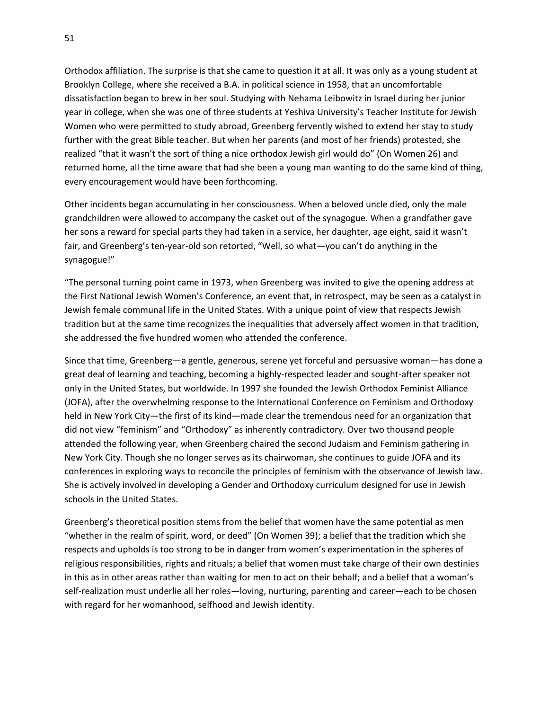Orthodox affiliation. The surprise is that she came to question it at all. It was only as a young student at Brooklyn College, where she received a B.A. in political science in 1958, that an uncomfortable dissatisfaction began to brew in her soul. Studying with Nehama Leibowitz in Israel during her junior year in college, when she was one of three students at Yeshiva University's Teacher Institute for Jewish Women who were permitted to study abroad, Greenberg fervently wished to extend her stay to study further with the great Bible teacher. But when her parents (and most of her friends) protested, she realized "that it wasn't the sort of thing a nice orthodox Jewish girl would do" (On Women 26) and returned home, all the time aware that had she been a young man wanting to do the same kind of thing, every encouragement would have been forthcoming.

Other incidents began accumulating in her consciousness. When a beloved uncle died, only the male grandchildren were allowed to accompany the casket out of the synagogue. When a grandfather gave her sons a reward for special parts they had taken in a service, her daughter, age eight, said it wasn't fair, and Greenberg's ten-year-old son retorted, "Well, so what—you can't do anything in the synagogue!"

"The personal turning point came in 1973, when Greenberg was invited to give the opening address at the First National Jewish Women's Conference, an event that, in retrospect, may be seen as a catalyst in Jewish female communal life in the United States. With a unique point of view that respects Jewish tradition but at the same time recognizes the inequalities that adversely affect women in that tradition, she addressed the five hundred women who attended the conference.

Since that time, Greenberg—a gentle, generous, serene yet forceful and persuasive woman—has done a great deal of learning and teaching, becoming a highly‐respected leader and sought‐after speaker not only in the United States, but worldwide. In 1997 she founded the Jewish Orthodox Feminist Alliance (JOFA), after the overwhelming response to the International Conference on Feminism and Orthodoxy held in New York City—the first of its kind—made clear the tremendous need for an organization that did not view "feminism" and "Orthodoxy" as inherently contradictory. Over two thousand people attended the following year, when Greenberg chaired the second Judaism and Feminism gathering in New York City. Though she no longer serves as its chairwoman, she continues to guide JOFA and its conferences in exploring ways to reconcile the principles of feminism with the observance of Jewish law. She is actively involved in developing a Gender and Orthodoxy curriculum designed for use in Jewish schools in the United States.

Greenberg's theoretical position stems from the belief that women have the same potential as men "whether in the realm of spirit, word, or deed" (On Women 39); a belief that the tradition which she respects and upholds is too strong to be in danger from women's experimentation in the spheres of religious responsibilities, rights and rituals; a belief that women must take charge of their own destinies in this as in other areas rather than waiting for men to act on their behalf; and a belief that a woman's self-realization must underlie all her roles—loving, nurturing, parenting and career—each to be chosen with regard for her womanhood, selfhood and Jewish identity.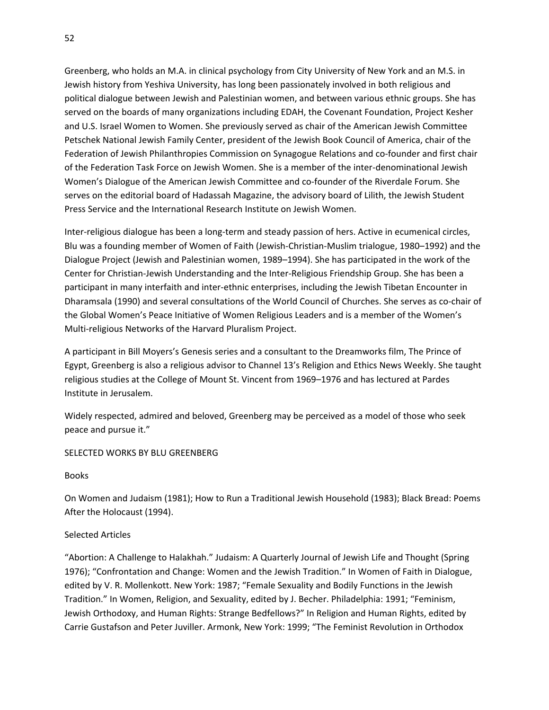Greenberg, who holds an M.A. in clinical psychology from City University of New York and an M.S. in Jewish history from Yeshiva University, has long been passionately involved in both religious and political dialogue between Jewish and Palestinian women, and between various ethnic groups. She has served on the boards of many organizations including EDAH, the Covenant Foundation, Project Kesher and U.S. Israel Women to Women. She previously served as chair of the American Jewish Committee Petschek National Jewish Family Center, president of the Jewish Book Council of America, chair of the Federation of Jewish Philanthropies Commission on Synagogue Relations and co-founder and first chair of the Federation Task Force on Jewish Women. She is a member of the inter‐denominational Jewish Women's Dialogue of the American Jewish Committee and co-founder of the Riverdale Forum. She serves on the editorial board of Hadassah Magazine, the advisory board of Lilith, the Jewish Student Press Service and the International Research Institute on Jewish Women.

Inter-religious dialogue has been a long-term and steady passion of hers. Active in ecumenical circles, Blu was a founding member of Women of Faith (Jewish‐Christian‐Muslim trialogue, 1980–1992) and the Dialogue Project (Jewish and Palestinian women, 1989–1994). She has participated in the work of the Center for Christian‐Jewish Understanding and the Inter‐Religious Friendship Group. She has been a participant in many interfaith and inter-ethnic enterprises, including the Jewish Tibetan Encounter in Dharamsala (1990) and several consultations of the World Council of Churches. She serves as co‐chair of the Global Women's Peace Initiative of Women Religious Leaders and is a member of the Women's Multi‐religious Networks of the Harvard Pluralism Project.

A participant in Bill Moyers's Genesis series and a consultant to the Dreamworks film, The Prince of Egypt, Greenberg is also a religious advisor to Channel 13's Religion and Ethics News Weekly. She taught religious studies at the College of Mount St. Vincent from 1969–1976 and has lectured at Pardes Institute in Jerusalem.

Widely respected, admired and beloved, Greenberg may be perceived as a model of those who seek peace and pursue it."

### SELECTED WORKS BY BLU GREENBERG

### Books

On Women and Judaism (1981); How to Run a Traditional Jewish Household (1983); Black Bread: Poems After the Holocaust (1994).

### Selected Articles

"Abortion: A Challenge to Halakhah." Judaism: A Quarterly Journal of Jewish Life and Thought (Spring 1976); "Confrontation and Change: Women and the Jewish Tradition." In Women of Faith in Dialogue, edited by V. R. Mollenkott. New York: 1987; "Female Sexuality and Bodily Functions in the Jewish Tradition." In Women, Religion, and Sexuality, edited by J. Becher. Philadelphia: 1991; "Feminism, Jewish Orthodoxy, and Human Rights: Strange Bedfellows?" In Religion and Human Rights, edited by Carrie Gustafson and Peter Juviller. Armonk, New York: 1999; "The Feminist Revolution in Orthodox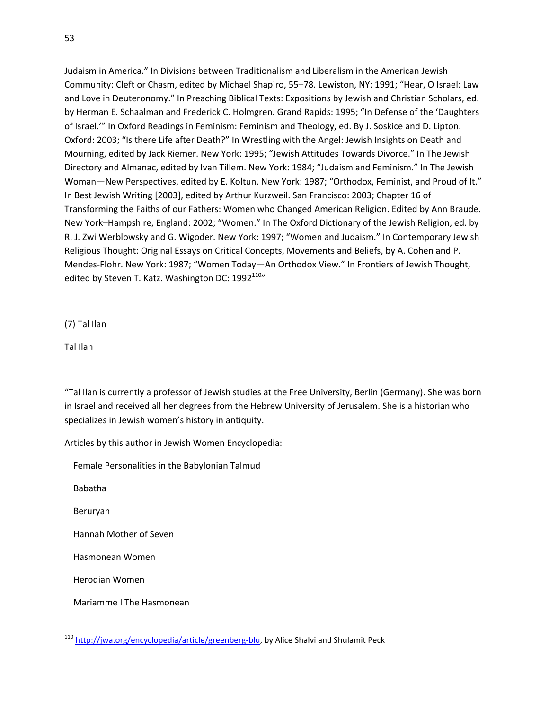Judaism in America." In Divisions between Traditionalism and Liberalism in the American Jewish Community: Cleft or Chasm, edited by Michael Shapiro, 55–78. Lewiston, NY: 1991; "Hear, O Israel: Law and Love in Deuteronomy." In Preaching Biblical Texts: Expositions by Jewish and Christian Scholars, ed. by Herman E. Schaalman and Frederick C. Holmgren. Grand Rapids: 1995; "In Defense of the 'Daughters of Israel.'" In Oxford Readings in Feminism: Feminism and Theology, ed. By J. Soskice and D. Lipton. Oxford: 2003; "Is there Life after Death?" In Wrestling with the Angel: Jewish Insights on Death and Mourning, edited by Jack Riemer. New York: 1995; "Jewish Attitudes Towards Divorce." In The Jewish Directory and Almanac, edited by Ivan Tillem. New York: 1984; "Judaism and Feminism." In The Jewish Woman—New Perspectives, edited by E. Koltun. New York: 1987; "Orthodox, Feminist, and Proud of It." In Best Jewish Writing [2003], edited by Arthur Kurzweil. San Francisco: 2003; Chapter 16 of Transforming the Faiths of our Fathers: Women who Changed American Religion. Edited by Ann Braude. New York–Hampshire, England: 2002; "Women." In The Oxford Dictionary of the Jewish Religion, ed. by R. J. Zwi Werblowsky and G. Wigoder. New York: 1997; "Women and Judaism." In Contemporary Jewish Religious Thought: Original Essays on Critical Concepts, Movements and Beliefs, by A. Cohen and P. Mendes‐Flohr. New York: 1987; "Women Today—An Orthodox View." In Frontiers of Jewish Thought, edited by Steven T. Katz. Washington DC:  $1992^{110}$ "

#### (7) Tal Ilan

Tal Ilan

"Tal Ilan is currently a professor of Jewish studies at the Free University, Berlin (Germany). She was born in Israel and received all her degrees from the Hebrew University of Jerusalem. She is a historian who specializes in Jewish women's history in antiquity.

Articles by this author in Jewish Women Encyclopedia:

Female Personalities in the Babylonian Talmud

Babatha

Beruryah

Hannah Mother of Seven

Hasmonean Women

Herodian Women

Mariamme I The Hasmonean

<sup>110</sup> http://jwa.org/encyclopedia/article/greenberg-blu, by Alice Shalvi and Shulamit Peck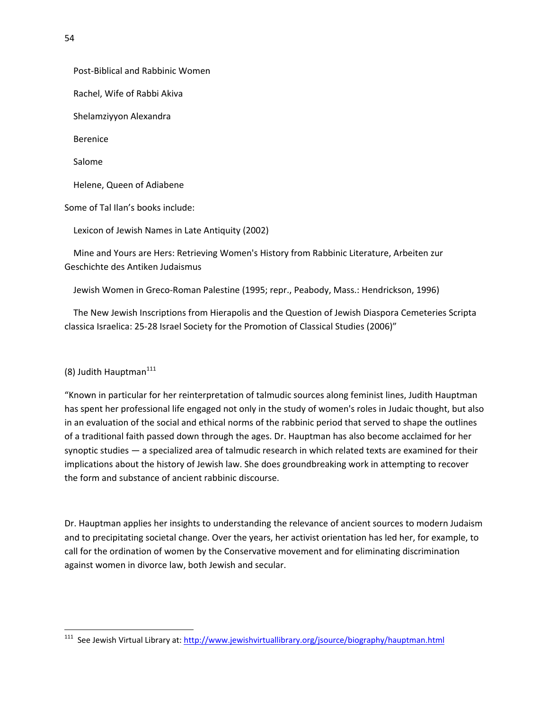Post‐Biblical and Rabbinic Women Rachel, Wife of Rabbi Akiva Shelamziyyon Alexandra Berenice Salome Helene, Queen of Adiabene Some of Tal Ilan's books include: Lexicon of Jewish Names in Late Antiquity (2002)

 Mine and Yours are Hers: Retrieving Women's History from Rabbinic Literature, Arbeiten zur Geschichte des Antiken Judaismus

Jewish Women in Greco‐Roman Palestine (1995; repr., Peabody, Mass.: Hendrickson, 1996)

 The New Jewish Inscriptions from Hierapolis and the Question of Jewish Diaspora Cemeteries Scripta classica Israelica: 25‐28 Israel Society for the Promotion of Classical Studies (2006)"

## (8) Judith Hauptman $^{111}$

"Known in particular for her reinterpretation of talmudic sources along feminist lines, Judith Hauptman has spent her professional life engaged not only in the study of women's roles in Judaic thought, but also in an evaluation of the social and ethical norms of the rabbinic period that served to shape the outlines of a traditional faith passed down through the ages. Dr. Hauptman has also become acclaimed for her synoptic studies — a specialized area of talmudic research in which related texts are examined for their implications about the history of Jewish law. She does groundbreaking work in attempting to recover the form and substance of ancient rabbinic discourse.

Dr. Hauptman applies her insights to understanding the relevance of ancient sources to modern Judaism and to precipitating societal change. Over the years, her activist orientation has led her, for example, to call for the ordination of women by the Conservative movement and for eliminating discrimination against women in divorce law, both Jewish and secular.

<sup>&</sup>lt;sup>111</sup> See Jewish Virtual Library at: http://www.jewishvirtuallibrary.org/jsource/biography/hauptman.html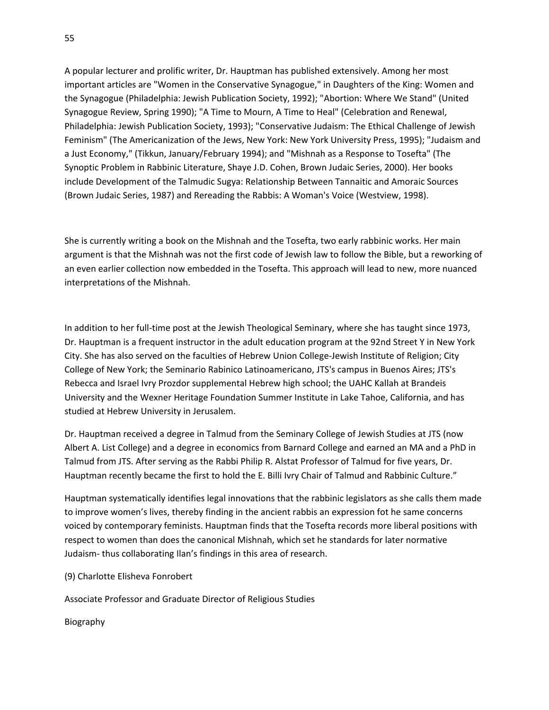A popular lecturer and prolific writer, Dr. Hauptman has published extensively. Among her most important articles are "Women in the Conservative Synagogue," in Daughters of the King: Women and the Synagogue (Philadelphia: Jewish Publication Society, 1992); "Abortion: Where We Stand" (United Synagogue Review, Spring 1990); "A Time to Mourn, A Time to Heal" (Celebration and Renewal, Philadelphia: Jewish Publication Society, 1993); "Conservative Judaism: The Ethical Challenge of Jewish Feminism" (The Americanization of the Jews, New York: New York University Press, 1995); "Judaism and a Just Economy," (Tikkun, January/February 1994); and "Mishnah as a Response to Tosefta" (The Synoptic Problem in Rabbinic Literature, Shaye J.D. Cohen, Brown Judaic Series, 2000). Her books include Development of the Talmudic Sugya: Relationship Between Tannaitic and Amoraic Sources (Brown Judaic Series, 1987) and Rereading the Rabbis: A Woman's Voice (Westview, 1998).

She is currently writing a book on the Mishnah and the Tosefta, two early rabbinic works. Her main argument is that the Mishnah was not the first code of Jewish law to follow the Bible, but a reworking of an even earlier collection now embedded in the Tosefta. This approach will lead to new, more nuanced interpretations of the Mishnah.

In addition to her full‐time post at the Jewish Theological Seminary, where she has taught since 1973, Dr. Hauptman is a frequent instructor in the adult education program at the 92nd Street Y in New York City. She has also served on the faculties of Hebrew Union College‐Jewish Institute of Religion; City College of New York; the Seminario Rabinico Latinoamericano, JTS's campus in Buenos Aires; JTS's Rebecca and Israel Ivry Prozdor supplemental Hebrew high school; the UAHC Kallah at Brandeis University and the Wexner Heritage Foundation Summer Institute in Lake Tahoe, California, and has studied at Hebrew University in Jerusalem.

Dr. Hauptman received a degree in Talmud from the Seminary College of Jewish Studies at JTS (now Albert A. List College) and a degree in economics from Barnard College and earned an MA and a PhD in Talmud from JTS. After serving as the Rabbi Philip R. Alstat Professor of Talmud for five years, Dr. Hauptman recently became the first to hold the E. Billi Ivry Chair of Talmud and Rabbinic Culture."

Hauptman systematically identifies legal innovations that the rabbinic legislators as she calls them made to improve women's lives, thereby finding in the ancient rabbis an expression fot he same concerns voiced by contemporary feminists. Hauptman finds that the Tosefta records more liberal positions with respect to women than does the canonical Mishnah, which set he standards for later normative Judaism‐ thus collaborating Ilan's findings in this area of research.

(9) Charlotte Elisheva Fonrobert

Associate Professor and Graduate Director of Religious Studies

Biography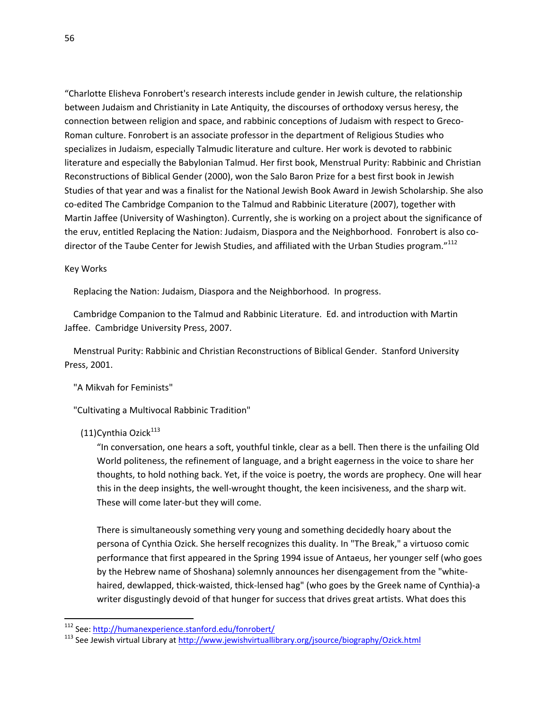"Charlotte Elisheva Fonrobert's research interests include gender in Jewish culture, the relationship between Judaism and Christianity in Late Antiquity, the discourses of orthodoxy versus heresy, the connection between religion and space, and rabbinic conceptions of Judaism with respect to Greco‐ Roman culture. Fonrobert is an associate professor in the department of Religious Studies who specializes in Judaism, especially Talmudic literature and culture. Her work is devoted to rabbinic literature and especially the Babylonian Talmud. Her first book, Menstrual Purity: Rabbinic and Christian Reconstructions of Biblical Gender (2000), won the Salo Baron Prize for a best first book in Jewish Studies of that year and was a finalist for the National Jewish Book Award in Jewish Scholarship. She also co-edited The Cambridge Companion to the Talmud and Rabbinic Literature (2007), together with Martin Jaffee (University of Washington). Currently, she is working on a project about the significance of the eruv, entitled Replacing the Nation: Judaism, Diaspora and the Neighborhood. Fonrobert is also co‐ director of the Taube Center for Jewish Studies, and affiliated with the Urban Studies program."<sup>112</sup>

## Key Works

Replacing the Nation: Judaism, Diaspora and the Neighborhood. In progress.

 Cambridge Companion to the Talmud and Rabbinic Literature. Ed. and introduction with Martin Jaffee. Cambridge University Press, 2007.

 Menstrual Purity: Rabbinic and Christian Reconstructions of Biblical Gender. Stanford University Press, 2001.

## "A Mikvah for Feminists"

"Cultivating a Multivocal Rabbinic Tradition"

# $(11)$ Cynthia Ozick $^{113}$

"In conversation, one hears a soft, youthful tinkle, clear as a bell. Then there is the unfailing Old World politeness, the refinement of language, and a bright eagerness in the voice to share her thoughts, to hold nothing back. Yet, if the voice is poetry, the words are prophecy. One will hear this in the deep insights, the well‐wrought thought, the keen incisiveness, and the sharp wit. These will come later‐but they will come.

There is simultaneously something very young and something decidedly hoary about the persona of Cynthia Ozick. She herself recognizes this duality. In "The Break," a virtuoso comic performance that first appeared in the Spring 1994 issue of Antaeus, her younger self (who goes by the Hebrew name of Shoshana) solemnly announces her disengagement from the "white‐ haired, dewlapped, thick-waisted, thick-lensed hag" (who goes by the Greek name of Cynthia)-a writer disgustingly devoid of that hunger for success that drives great artists. What does this

<sup>&</sup>lt;sup>112</sup> See: http://humanexperience.stanford.edu/fonrobert/

<sup>113</sup> See Jewish virtual Library at http://www.jewishvirtuallibrary.org/jsource/biography/Ozick.html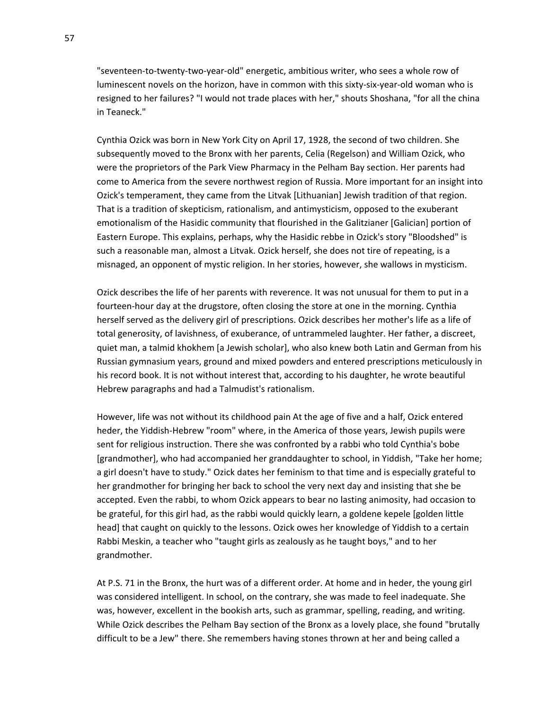"seventeen‐to‐twenty‐two‐year‐old" energetic, ambitious writer, who sees a whole row of luminescent novels on the horizon, have in common with this sixty-six-year-old woman who is resigned to her failures? "I would not trade places with her," shouts Shoshana, "for all the china in Teaneck."

Cynthia Ozick was born in New York City on April 17, 1928, the second of two children. She subsequently moved to the Bronx with her parents, Celia (Regelson) and William Ozick, who were the proprietors of the Park View Pharmacy in the Pelham Bay section. Her parents had come to America from the severe northwest region of Russia. More important for an insight into Ozick's temperament, they came from the Litvak [Lithuanian] Jewish tradition of that region. That is a tradition of skepticism, rationalism, and antimysticism, opposed to the exuberant emotionalism of the Hasidic community that flourished in the Galitzianer [Galician] portion of Eastern Europe. This explains, perhaps, why the Hasidic rebbe in Ozick's story "Bloodshed" is such a reasonable man, almost a Litvak. Ozick herself, she does not tire of repeating, is a misnaged, an opponent of mystic religion. In her stories, however, she wallows in mysticism.

Ozick describes the life of her parents with reverence. It was not unusual for them to put in a fourteen‐hour day at the drugstore, often closing the store at one in the morning. Cynthia herself served as the delivery girl of prescriptions. Ozick describes her mother's life as a life of total generosity, of lavishness, of exuberance, of untrammeled laughter. Her father, a discreet, quiet man, a talmid khokhem [a Jewish scholar], who also knew both Latin and German from his Russian gymnasium years, ground and mixed powders and entered prescriptions meticulously in his record book. It is not without interest that, according to his daughter, he wrote beautiful Hebrew paragraphs and had a Talmudist's rationalism.

However, life was not without its childhood pain At the age of five and a half, Ozick entered heder, the Yiddish‐Hebrew "room" where, in the America of those years, Jewish pupils were sent for religious instruction. There she was confronted by a rabbi who told Cynthia's bobe [grandmother], who had accompanied her granddaughter to school, in Yiddish, "Take her home; a girl doesn't have to study." Ozick dates her feminism to that time and is especially grateful to her grandmother for bringing her back to school the very next day and insisting that she be accepted. Even the rabbi, to whom Ozick appears to bear no lasting animosity, had occasion to be grateful, for this girl had, as the rabbi would quickly learn, a goldene kepele [golden little head] that caught on quickly to the lessons. Ozick owes her knowledge of Yiddish to a certain Rabbi Meskin, a teacher who "taught girls as zealously as he taught boys," and to her grandmother.

At P.S. 71 in the Bronx, the hurt was of a different order. At home and in heder, the young girl was considered intelligent. In school, on the contrary, she was made to feel inadequate. She was, however, excellent in the bookish arts, such as grammar, spelling, reading, and writing. While Ozick describes the Pelham Bay section of the Bronx as a lovely place, she found "brutally difficult to be a Jew" there. She remembers having stones thrown at her and being called a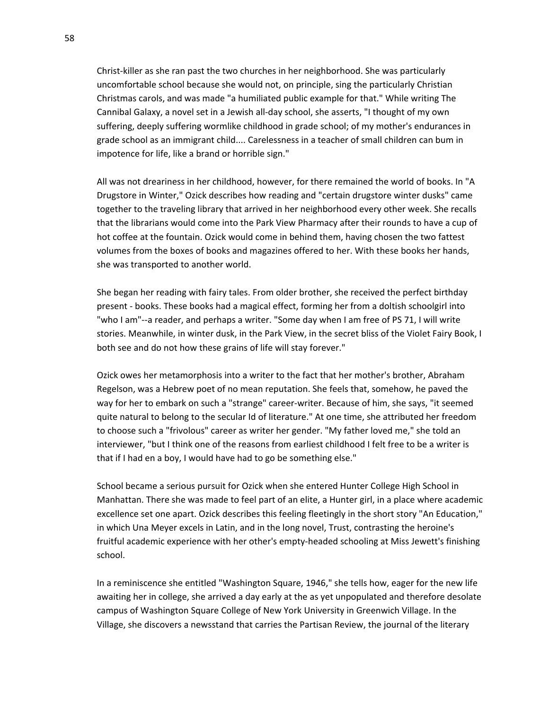Christ‐killer as she ran past the two churches in her neighborhood. She was particularly uncomfortable school because she would not, on principle, sing the particularly Christian Christmas carols, and was made "a humiliated public example for that." While writing The Cannibal Galaxy, a novel set in a Jewish all‐day school, she asserts, "I thought of my own suffering, deeply suffering wormlike childhood in grade school; of my mother's endurances in grade school as an immigrant child.... Carelessness in a teacher of small children can bum in impotence for life, like a brand or horrible sign."

All was not dreariness in her childhood, however, for there remained the world of books. In "A Drugstore in Winter," Ozick describes how reading and "certain drugstore winter dusks" came together to the traveling library that arrived in her neighborhood every other week. She recalls that the librarians would come into the Park View Pharmacy after their rounds to have a cup of hot coffee at the fountain. Ozick would come in behind them, having chosen the two fattest volumes from the boxes of books and magazines offered to her. With these books her hands, she was transported to another world.

She began her reading with fairy tales. From older brother, she received the perfect birthday present ‐ books. These books had a magical effect, forming her from a doltish schoolgirl into "who I am"‐‐a reader, and perhaps a writer. "Some day when I am free of PS 71, I will write stories. Meanwhile, in winter dusk, in the Park View, in the secret bliss of the Violet Fairy Book, I both see and do not how these grains of life will stay forever."

Ozick owes her metamorphosis into a writer to the fact that her mother's brother, Abraham Regelson, was a Hebrew poet of no mean reputation. She feels that, somehow, he paved the way for her to embark on such a "strange" career-writer. Because of him, she says, "it seemed quite natural to belong to the secular Id of literature." At one time, she attributed her freedom to choose such a "frivolous" career as writer her gender. "My father loved me," she told an interviewer, "but I think one of the reasons from earliest childhood I felt free to be a writer is that if I had en a boy, I would have had to go be something else."

School became a serious pursuit for Ozick when she entered Hunter College High School in Manhattan. There she was made to feel part of an elite, a Hunter girl, in a place where academic excellence set one apart. Ozick describes this feeling fleetingly in the short story "An Education," in which Una Meyer excels in Latin, and in the long novel, Trust, contrasting the heroine's fruitful academic experience with her other's empty‐headed schooling at Miss Jewett's finishing school.

In a reminiscence she entitled "Washington Square, 1946," she tells how, eager for the new life awaiting her in college, she arrived a day early at the as yet unpopulated and therefore desolate campus of Washington Square College of New York University in Greenwich Village. In the Village, she discovers a newsstand that carries the Partisan Review, the journal of the literary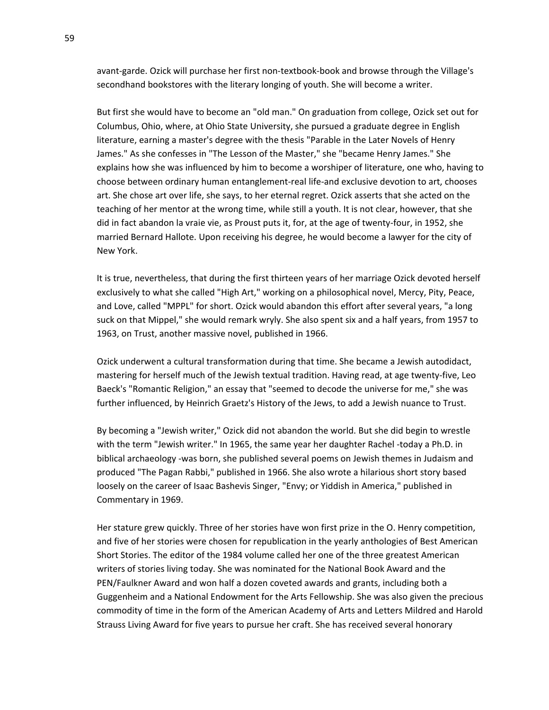avant‐garde. Ozick will purchase her first non‐textbook‐book and browse through the Village's secondhand bookstores with the literary longing of youth. She will become a writer.

But first she would have to become an "old man." On graduation from college, Ozick set out for Columbus, Ohio, where, at Ohio State University, she pursued a graduate degree in English literature, earning a master's degree with the thesis "Parable in the Later Novels of Henry James." As she confesses in "The Lesson of the Master," she "became Henry James." She explains how she was influenced by him to become a worshiper of literature, one who, having to choose between ordinary human entanglement‐real life‐and exclusive devotion to art, chooses art. She chose art over life, she says, to her eternal regret. Ozick asserts that she acted on the teaching of her mentor at the wrong time, while still a youth. It is not clear, however, that she did in fact abandon la vraie vie, as Proust puts it, for, at the age of twenty‐four, in 1952, she married Bernard Hallote. Upon receiving his degree, he would become a lawyer for the city of New York.

It is true, nevertheless, that during the first thirteen years of her marriage Ozick devoted herself exclusively to what she called "High Art," working on a philosophical novel, Mercy, Pity, Peace, and Love, called "MPPL" for short. Ozick would abandon this effort after several years, "a long suck on that Mippel," she would remark wryly. She also spent six and a half years, from 1957 to 1963, on Trust, another massive novel, published in 1966.

Ozick underwent a cultural transformation during that time. She became a Jewish autodidact, mastering for herself much of the Jewish textual tradition. Having read, at age twenty‐five, Leo Baeck's "Romantic Religion," an essay that "seemed to decode the universe for me," she was further influenced, by Heinrich Graetz's History of the Jews, to add a Jewish nuance to Trust.

By becoming a "Jewish writer," Ozick did not abandon the world. But she did begin to wrestle with the term "Jewish writer." In 1965, the same year her daughter Rachel ‐today a Ph.D. in biblical archaeology ‐was born, she published several poems on Jewish themes in Judaism and produced "The Pagan Rabbi," published in 1966. She also wrote a hilarious short story based loosely on the career of Isaac Bashevis Singer, "Envy; or Yiddish in America," published in Commentary in 1969.

Her stature grew quickly. Three of her stories have won first prize in the O. Henry competition, and five of her stories were chosen for republication in the yearly anthologies of Best American Short Stories. The editor of the 1984 volume called her one of the three greatest American writers of stories living today. She was nominated for the National Book Award and the PEN/Faulkner Award and won half a dozen coveted awards and grants, including both a Guggenheim and a National Endowment for the Arts Fellowship. She was also given the precious commodity of time in the form of the American Academy of Arts and Letters Mildred and Harold Strauss Living Award for five years to pursue her craft. She has received several honorary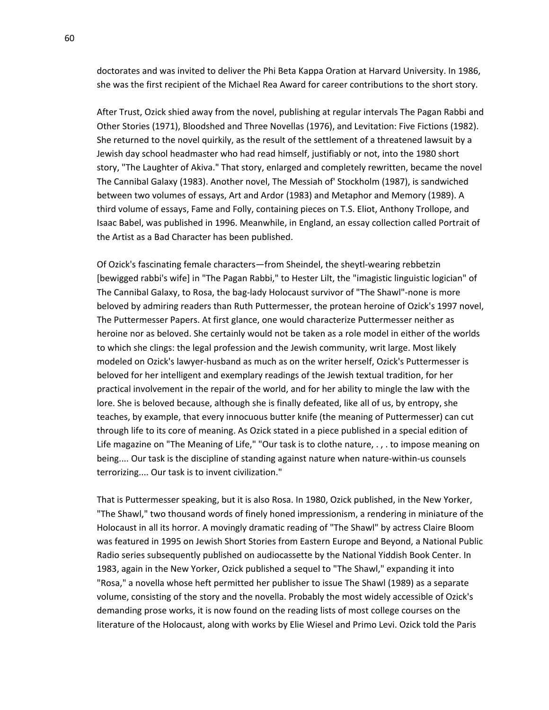doctorates and was invited to deliver the Phi Beta Kappa Oration at Harvard University. In 1986, she was the first recipient of the Michael Rea Award for career contributions to the short story.

After Trust, Ozick shied away from the novel, publishing at regular intervals The Pagan Rabbi and Other Stories (1971), Bloodshed and Three Novellas (1976), and Levitation: Five Fictions (1982). She returned to the novel quirkily, as the result of the settlement of a threatened lawsuit by a Jewish day school headmaster who had read himself, justifiably or not, into the 1980 short story, "The Laughter of Akiva." That story, enlarged and completely rewritten, became the novel The Cannibal Galaxy (1983). Another novel, The Messiah of' Stockholm (1987), is sandwiched between two volumes of essays, Art and Ardor (1983) and Metaphor and Memory (1989). A third volume of essays, Fame and Folly, containing pieces on T.S. Eliot, Anthony Trollope, and Isaac Babel, was published in 1996. Meanwhile, in England, an essay collection called Portrait of the Artist as a Bad Character has been published.

Of Ozick's fascinating female characters—from Sheindel, the sheytl‐wearing rebbetzin [bewigged rabbi's wife] in "The Pagan Rabbi," to Hester Lilt, the "imagistic linguistic logician" of The Cannibal Galaxy, to Rosa, the bag-lady Holocaust survivor of "The Shawl"-none is more beloved by admiring readers than Ruth Puttermesser, the protean heroine of Ozick's 1997 novel, The Puttermesser Papers. At first glance, one would characterize Puttermesser neither as heroine nor as beloved. She certainly would not be taken as a role model in either of the worlds to which she clings: the legal profession and the Jewish community, writ large. Most likely modeled on Ozick's lawyer‐husband as much as on the writer herself, Ozick's Puttermesser is beloved for her intelligent and exemplary readings of the Jewish textual tradition, for her practical involvement in the repair of the world, and for her ability to mingle the law with the lore. She is beloved because, although she is finally defeated, like all of us, by entropy, she teaches, by example, that every innocuous butter knife (the meaning of Puttermesser) can cut through life to its core of meaning. As Ozick stated in a piece published in a special edition of Life magazine on "The Meaning of Life," "Our task is to clothe nature, . , . to impose meaning on being.... Our task is the discipline of standing against nature when nature-within-us counsels terrorizing.... Our task is to invent civilization."

That is Puttermesser speaking, but it is also Rosa. In 1980, Ozick published, in the New Yorker, "The Shawl," two thousand words of finely honed impressionism, a rendering in miniature of the Holocaust in all its horror. A movingly dramatic reading of "The Shawl" by actress Claire Bloom was featured in 1995 on Jewish Short Stories from Eastern Europe and Beyond, a National Public Radio series subsequently published on audiocassette by the National Yiddish Book Center. In 1983, again in the New Yorker, Ozick published a sequel to "The Shawl," expanding it into "Rosa," a novella whose heft permitted her publisher to issue The Shawl (1989) as a separate volume, consisting of the story and the novella. Probably the most widely accessible of Ozick's demanding prose works, it is now found on the reading lists of most college courses on the literature of the Holocaust, along with works by Elie Wiesel and Primo Levi. Ozick told the Paris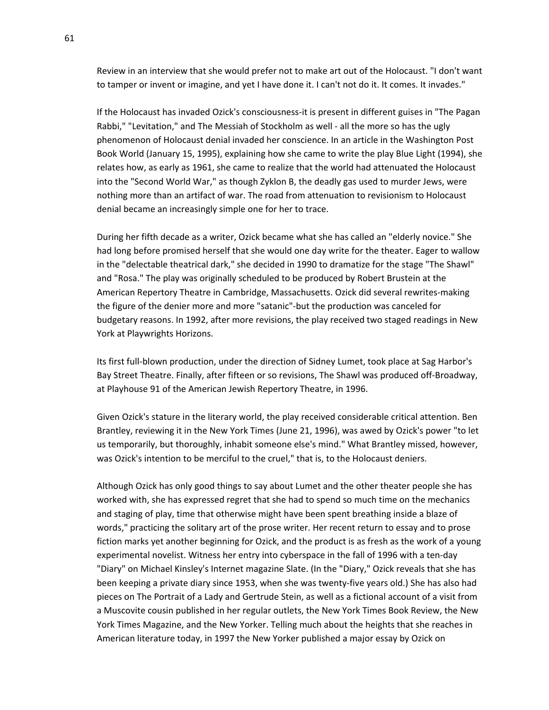Review in an interview that she would prefer not to make art out of the Holocaust. "I don't want to tamper or invent or imagine, and yet I have done it. I can't not do it. It comes. It invades."

If the Holocaust has invaded Ozick's consciousness‐it is present in different guises in "The Pagan Rabbi," "Levitation," and The Messiah of Stockholm as well ‐ all the more so has the ugly phenomenon of Holocaust denial invaded her conscience. In an article in the Washington Post Book World (January 15, 1995), explaining how she came to write the play Blue Light (1994), she relates how, as early as 1961, she came to realize that the world had attenuated the Holocaust into the "Second World War," as though Zyklon B, the deadly gas used to murder Jews, were nothing more than an artifact of war. The road from attenuation to revisionism to Holocaust denial became an increasingly simple one for her to trace.

During her fifth decade as a writer, Ozick became what she has called an "elderly novice." She had long before promised herself that she would one day write for the theater. Eager to wallow in the "delectable theatrical dark," she decided in 1990 to dramatize for the stage "The Shawl" and "Rosa." The play was originally scheduled to be produced by Robert Brustein at the American Repertory Theatre in Cambridge, Massachusetts. Ozick did several rewrites‐making the figure of the denier more and more "satanic"‐but the production was canceled for budgetary reasons. In 1992, after more revisions, the play received two staged readings in New York at Playwrights Horizons.

Its first full‐blown production, under the direction of Sidney Lumet, took place at Sag Harbor's Bay Street Theatre. Finally, after fifteen or so revisions, The Shawl was produced off‐Broadway, at Playhouse 91 of the American Jewish Repertory Theatre, in 1996.

Given Ozick's stature in the literary world, the play received considerable critical attention. Ben Brantley, reviewing it in the New York Times (June 21, 1996), was awed by Ozick's power "to let us temporarily, but thoroughly, inhabit someone else's mind." What Brantley missed, however, was Ozick's intention to be merciful to the cruel," that is, to the Holocaust deniers.

Although Ozick has only good things to say about Lumet and the other theater people she has worked with, she has expressed regret that she had to spend so much time on the mechanics and staging of play, time that otherwise might have been spent breathing inside a blaze of words," practicing the solitary art of the prose writer. Her recent return to essay and to prose fiction marks yet another beginning for Ozick, and the product is as fresh as the work of a young experimental novelist. Witness her entry into cyberspace in the fall of 1996 with a ten‐day "Diary" on Michael Kinsley's Internet magazine Slate. (In the "Diary," Ozick reveals that she has been keeping a private diary since 1953, when she was twenty‐five years old.) She has also had pieces on The Portrait of a Lady and Gertrude Stein, as well as a fictional account of a visit from a Muscovite cousin published in her regular outlets, the New York Times Book Review, the New York Times Magazine, and the New Yorker. Telling much about the heights that she reaches in American literature today, in 1997 the New Yorker published a major essay by Ozick on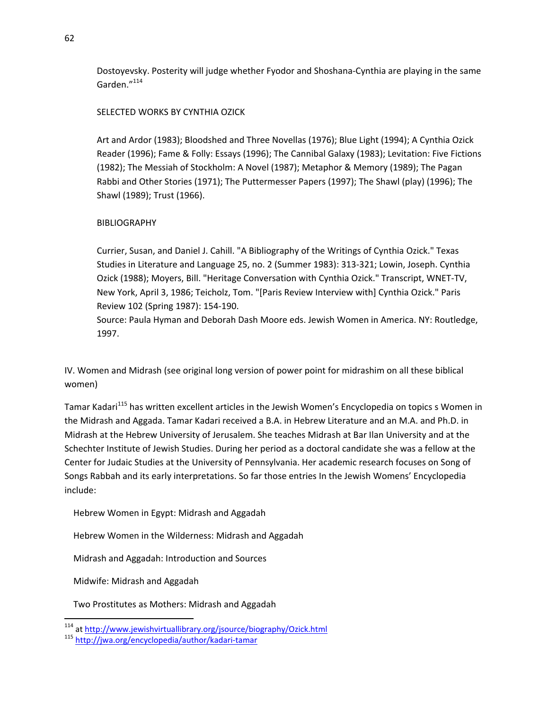Dostoyevsky. Posterity will judge whether Fyodor and Shoshana‐Cynthia are playing in the same Garden."<sup>114</sup>

## SELECTED WORKS BY CYNTHIA OZICK

Art and Ardor (1983); Bloodshed and Three Novellas (1976); Blue Light (1994); A Cynthia Ozick Reader (1996); Fame & Folly: Essays (1996); The Cannibal Galaxy (1983); Levitation: Five Fictions (1982); The Messiah of Stockholm: A Novel (1987); Metaphor & Memory (1989); The Pagan Rabbi and Other Stories (1971); The Puttermesser Papers (1997); The Shawl (play) (1996); The Shawl (1989); Trust (1966).

## BIBLIOGRAPHY

Currier, Susan, and Daniel J. Cahill. "A Bibliography of the Writings of Cynthia Ozick." Texas Studies in Literature and Language 25, no. 2 (Summer 1983): 313‐321; Lowin, Joseph. Cynthia Ozick (1988); Moyers, Bill. "Heritage Conversation with Cynthia Ozick." Transcript, WNET‐TV, New York, April 3, 1986; Teicholz, Tom. "[Paris Review Interview with] Cynthia Ozick." Paris Review 102 (Spring 1987): 154‐190.

Source: Paula Hyman and Deborah Dash Moore eds. Jewish Women in America. NY: Routledge, 1997.

IV. Women and Midrash (see original long version of power point for midrashim on all these biblical women)

Tamar Kadari<sup>115</sup> has written excellent articles in the Jewish Women's Encyclopedia on topics s Women in the Midrash and Aggada. Tamar Kadari received a B.A. in Hebrew Literature and an M.A. and Ph.D. in Midrash at the Hebrew University of Jerusalem. She teaches Midrash at Bar Ilan University and at the Schechter Institute of Jewish Studies. During her period as a doctoral candidate she was a fellow at the Center for Judaic Studies at the University of Pennsylvania. Her academic research focuses on Song of Songs Rabbah and its early interpretations. So far those entries In the Jewish Womens' Encyclopedia include:

Hebrew Women in Egypt: Midrash and Aggadah

Hebrew Women in the Wilderness: Midrash and Aggadah

Midrash and Aggadah: Introduction and Sources

Midwife: Midrash and Aggadah

Two Prostitutes as Mothers: Midrash and Aggadah

<sup>114</sup> at http://www.jewishvirtuallibrary.org/jsource/biography/Ozick.html 
115 http://jwa.org/encyclopedia/author/kadari-tamar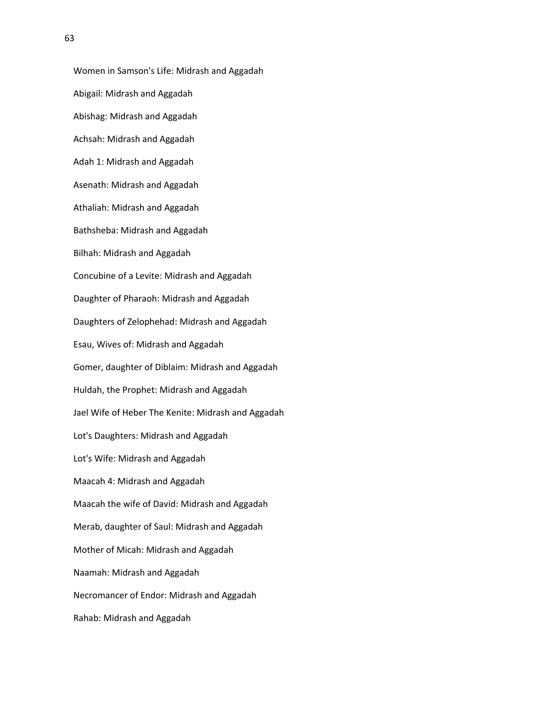Women in Samson's Life: Midrash and Aggadah Abigail: Midrash and Aggadah Abishag: Midrash and Aggadah Achsah: Midrash and Aggadah Adah 1: Midrash and Aggadah Asenath: Midrash and Aggadah Athaliah: Midrash and Aggadah Bathsheba: Midrash and Aggadah Bilhah: Midrash and Aggadah Concubine of a Levite: Midrash and Aggadah Daughter of Pharaoh: Midrash and Aggadah Daughters of Zelophehad: Midrash and Aggadah Esau, Wives of: Midrash and Aggadah Gomer, daughter of Diblaim: Midrash and Aggadah Huldah, the Prophet: Midrash and Aggadah Jael Wife of Heber The Kenite: Midrash and Aggadah Lot's Daughters: Midrash and Aggadah Lot's Wife: Midrash and Aggadah Maacah 4: Midrash and Aggadah Maacah the wife of David: Midrash and Aggadah Merab, daughter of Saul: Midrash and Aggadah Mother of Micah: Midrash and Aggadah Naamah: Midrash and Aggadah Necromancer of Endor: Midrash and Aggadah Rahab: Midrash and Aggadah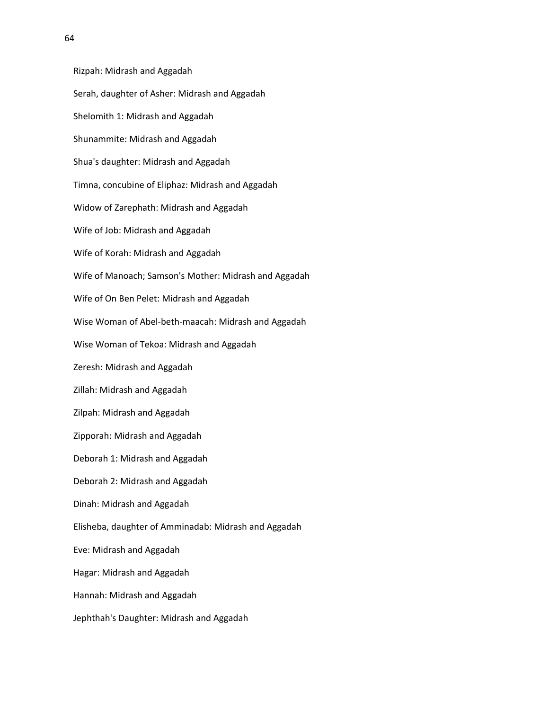Rizpah: Midrash and Aggadah Serah, daughter of Asher: Midrash and Aggadah Shelomith 1: Midrash and Aggadah Shunammite: Midrash and Aggadah Shua's daughter: Midrash and Aggadah Timna, concubine of Eliphaz: Midrash and Aggadah Widow of Zarephath: Midrash and Aggadah Wife of Job: Midrash and Aggadah Wife of Korah: Midrash and Aggadah Wife of Manoach; Samson's Mother: Midrash and Aggadah Wife of On Ben Pelet: Midrash and Aggadah Wise Woman of Abel‐beth‐maacah: Midrash and Aggadah Wise Woman of Tekoa: Midrash and Aggadah Zeresh: Midrash and Aggadah Zillah: Midrash and Aggadah Zilpah: Midrash and Aggadah Zipporah: Midrash and Aggadah Deborah 1: Midrash and Aggadah Deborah 2: Midrash and Aggadah Dinah: Midrash and Aggadah Elisheba, daughter of Amminadab: Midrash and Aggadah Eve: Midrash and Aggadah Hagar: Midrash and Aggadah Hannah: Midrash and Aggadah Jephthah's Daughter: Midrash and Aggadah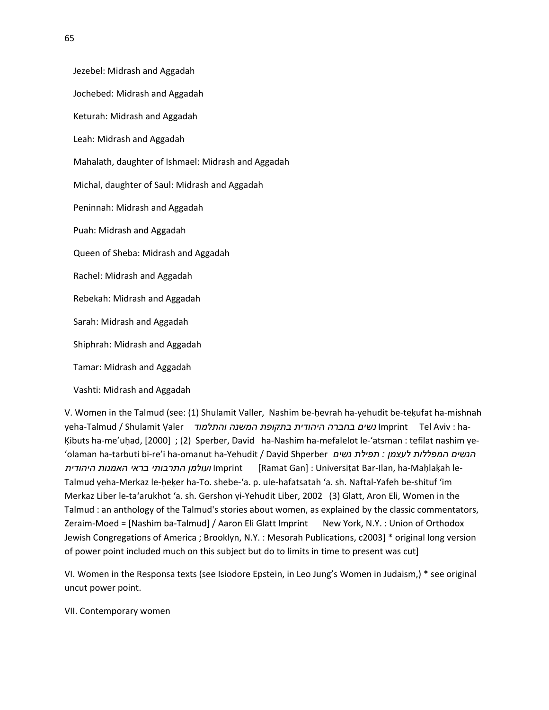Jezebel: Midrash and Aggadah Jochebed: Midrash and Aggadah Keturah: Midrash and Aggadah Leah: Midrash and Aggadah Mahalath, daughter of Ishmael: Midrash and Aggadah Michal, daughter of Saul: Midrash and Aggadah Peninnah: Midrash and Aggadah Puah: Midrash and Aggadah Queen of Sheba: Midrash and Aggadah Rachel: Midrash and Aggadah Rebekah: Midrash and Aggadah Sarah: Midrash and Aggadah Shiphrah: Midrash and Aggadah Tamar: Midrash and Aggadah Vashti: Midrash and Aggadah

V. Women in the Talmud (see: (1) Shulamit Valler, Nashim be‐ḥevrah ha‐yehudit be‐teḳufat ha‐mishnah ṿeha‐Talmud / Shulamit Ṿaler *והתלמוד המשנה בתקופת היהודית בחברה נשים* Imprint Tel Aviv : ha‐ Ḳibuts ha‐me'uḥad, [2000] ; (2) Sperber, David ha‐Nashim ha‐mefalelot le‐ʻatsman : tefilat nashim ṿe‐ ʻolaman ha‐tarbuti bi‐re'i ha‐omanut ha‐Yehudit / Daṿid Shperber *נשים תפילת : לעצמן המפללות הנשים היהודית האמנות בראי התרבותי ועולמן* Imprint [Ramat Gan] : Universiṭat Bar‐Ilan, ha‐Maḥlaḳah le‐ Talmud ṿeha‐Merkaz le‐ḥeḳer ha‐To. shebe‐ʻa. p. ule‐hafatsatah ʻa. sh. Naftal‐Yafeh be‐shituf ʻim Merkaz Liber le-ta'arukhot 'a. sh. Gershon yi-Yehudit Liber, 2002 (3) Glatt, Aron Eli, Women in the Talmud : an anthology of the Talmud's stories about women, as explained by the classic commentators, Zeraim‐Moed = [Nashim ba‐Talmud] / Aaron Eli Glatt Imprint New York, N.Y. : Union of Orthodox Jewish Congregations of America ; Brooklyn, N.Y. : Mesorah Publications, c2003] \* original long version of power point included much on this subject but do to limits in time to present was cut]

VI. Women in the Responsa texts (see Isiodore Epstein, in Leo Jung's Women in Judaism,) \* see original uncut power point.

VII. Contemporary women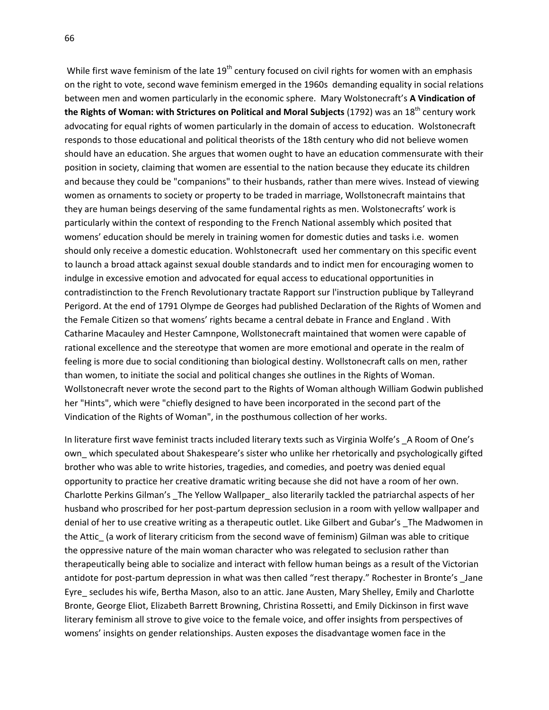While first wave feminism of the late 19<sup>th</sup> century focused on civil rights for women with an emphasis on the right to vote, second wave feminism emerged in the 1960s demanding equality in social relations between men and women particularly in the economic sphere. Mary Wolstonecraft's **A Vindication of the Rights of Woman: with Strictures on Political and Moral Subjects** (1792) was an 18th century work advocating for equal rights of women particularly in the domain of access to education. Wolstonecraft responds to those educational and political theorists of the 18th century who did not believe women should have an education. She argues that women ought to have an education commensurate with their position in society, claiming that women are essential to the nation because they educate its children and because they could be "companions" to their husbands, rather than mere wives. Instead of viewing women as ornaments to society or property to be traded in marriage, Wollstonecraft maintains that they are human beings deserving of the same fundamental rights as men. Wolstonecrafts' work is particularly within the context of responding to the French National assembly which posited that womens' education should be merely in training women for domestic duties and tasks i.e. women should only receive a domestic education. Wohlstonecraft used her commentary on this specific event to launch a broad attack against sexual double standards and to indict men for encouraging women to indulge in excessive emotion and advocated for equal access to educational opportunities in contradistinction to the French Revolutionary tractate Rapport sur l'instruction publique by Talleyrand Perigord. At the end of 1791 Olympe de Georges had published Declaration of the Rights of Women and the Female Citizen so that womens' rights became a central debate in France and England . With Catharine Macauley and Hester Camnpone, Wollstonecraft maintained that women were capable of rational excellence and the stereotype that women are more emotional and operate in the realm of feeling is more due to social conditioning than biological destiny. Wollstonecraft calls on men, rather than women, to initiate the social and political changes she outlines in the Rights of Woman. Wollstonecraft never wrote the second part to the Rights of Woman although William Godwin published her "Hints", which were "chiefly designed to have been incorporated in the second part of the Vindication of the Rights of Woman", in the posthumous collection of her works.

In literature first wave feminist tracts included literary texts such as Virginia Wolfe's A Room of One's own\_ which speculated about Shakespeare's sister who unlike her rhetorically and psychologically gifted brother who was able to write histories, tragedies, and comedies, and poetry was denied equal opportunity to practice her creative dramatic writing because she did not have a room of her own. Charlotte Perkins Gilman's \_The Yellow Wallpaper\_ also literarily tackled the patriarchal aspects of her husband who proscribed for her post-partum depression seclusion in a room with yellow wallpaper and denial of her to use creative writing as a therapeutic outlet. Like Gilbert and Gubar's \_The Madwomen in the Attic\_ (a work of literary criticism from the second wave of feminism) Gilman was able to critique the oppressive nature of the main woman character who was relegated to seclusion rather than therapeutically being able to socialize and interact with fellow human beings as a result of the Victorian antidote for post-partum depression in what was then called "rest therapy." Rochester in Bronte's Jane Eyre\_ secludes his wife, Bertha Mason, also to an attic. Jane Austen, Mary Shelley, Emily and Charlotte Bronte, George Eliot, Elizabeth Barrett Browning, Christina Rossetti, and Emily Dickinson in first wave literary feminism all strove to give voice to the female voice, and offer insights from perspectives of womens' insights on gender relationships. Austen exposes the disadvantage women face in the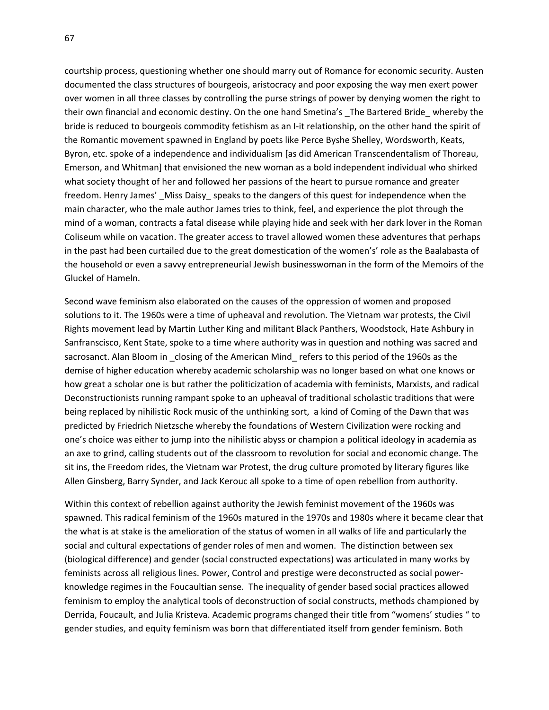courtship process, questioning whether one should marry out of Romance for economic security. Austen documented the class structures of bourgeois, aristocracy and poor exposing the way men exert power over women in all three classes by controlling the purse strings of power by denying women the right to their own financial and economic destiny. On the one hand Smetina's \_The Bartered Bride\_ whereby the bride is reduced to bourgeois commodity fetishism as an I‐it relationship, on the other hand the spirit of the Romantic movement spawned in England by poets like Perce Byshe Shelley, Wordsworth, Keats, Byron, etc. spoke of a independence and individualism [as did American Transcendentalism of Thoreau, Emerson, and Whitman] that envisioned the new woman as a bold independent individual who shirked what society thought of her and followed her passions of the heart to pursue romance and greater freedom. Henry James' \_Miss Daisy\_ speaks to the dangers of this quest for independence when the main character, who the male author James tries to think, feel, and experience the plot through the mind of a woman, contracts a fatal disease while playing hide and seek with her dark lover in the Roman Coliseum while on vacation. The greater access to travel allowed women these adventures that perhaps in the past had been curtailed due to the great domestication of the women's' role as the Baalabasta of the household or even a savvy entrepreneurial Jewish businesswoman in the form of the Memoirs of the Gluckel of Hameln.

Second wave feminism also elaborated on the causes of the oppression of women and proposed solutions to it. The 1960s were a time of upheaval and revolution. The Vietnam war protests, the Civil Rights movement lead by Martin Luther King and militant Black Panthers, Woodstock, Hate Ashbury in Sanfranscisco, Kent State, spoke to a time where authority was in question and nothing was sacred and sacrosanct. Alan Bloom in closing of the American Mind refers to this period of the 1960s as the demise of higher education whereby academic scholarship was no longer based on what one knows or how great a scholar one is but rather the politicization of academia with feminists, Marxists, and radical Deconstructionists running rampant spoke to an upheaval of traditional scholastic traditions that were being replaced by nihilistic Rock music of the unthinking sort, a kind of Coming of the Dawn that was predicted by Friedrich Nietzsche whereby the foundations of Western Civilization were rocking and one's choice was either to jump into the nihilistic abyss or champion a political ideology in academia as an axe to grind, calling students out of the classroom to revolution for social and economic change. The sit ins, the Freedom rides, the Vietnam war Protest, the drug culture promoted by literary figures like Allen Ginsberg, Barry Synder, and Jack Kerouc all spoke to a time of open rebellion from authority.

Within this context of rebellion against authority the Jewish feminist movement of the 1960s was spawned. This radical feminism of the 1960s matured in the 1970s and 1980s where it became clear that the what is at stake is the amelioration of the status of women in all walks of life and particularly the social and cultural expectations of gender roles of men and women. The distinction between sex (biological difference) and gender (social constructed expectations) was articulated in many works by feminists across all religious lines. Power, Control and prestige were deconstructed as social power‐ knowledge regimes in the Foucaultian sense. The inequality of gender based social practices allowed feminism to employ the analytical tools of deconstruction of social constructs, methods championed by Derrida, Foucault, and Julia Kristeva. Academic programs changed their title from "womens' studies " to gender studies, and equity feminism was born that differentiated itself from gender feminism. Both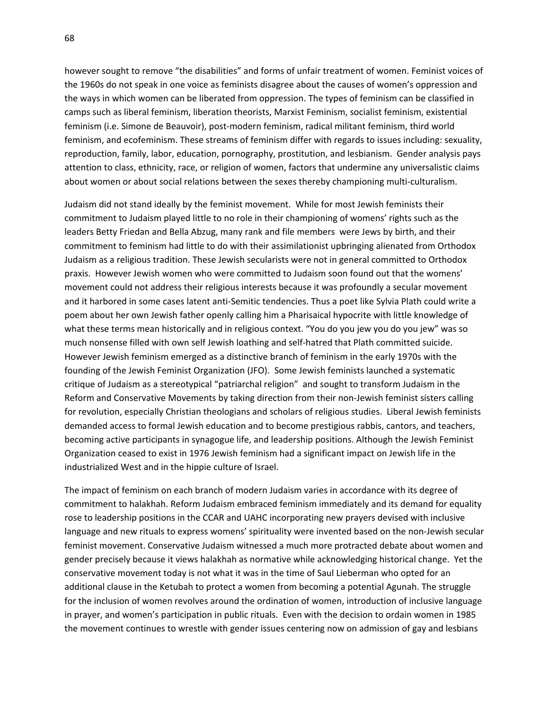however sought to remove "the disabilities" and forms of unfair treatment of women. Feminist voices of the 1960s do not speak in one voice as feminists disagree about the causes of women's oppression and the ways in which women can be liberated from oppression. The types of feminism can be classified in camps such as liberal feminism, liberation theorists, Marxist Feminism, socialist feminism, existential feminism (i.e. Simone de Beauvoir), post‐modern feminism, radical militant feminism, third world feminism, and ecofeminism. These streams of feminism differ with regards to issues including: sexuality, reproduction, family, labor, education, pornography, prostitution, and lesbianism. Gender analysis pays attention to class, ethnicity, race, or religion of women, factors that undermine any universalistic claims about women or about social relations between the sexes thereby championing multi‐culturalism.

Judaism did not stand ideally by the feminist movement. While for most Jewish feminists their commitment to Judaism played little to no role in their championing of womens' rights such as the leaders Betty Friedan and Bella Abzug, many rank and file members were Jews by birth, and their commitment to feminism had little to do with their assimilationist upbringing alienated from Orthodox Judaism as a religious tradition. These Jewish secularists were not in general committed to Orthodox praxis. However Jewish women who were committed to Judaism soon found out that the womens' movement could not address their religious interests because it was profoundly a secular movement and it harbored in some cases latent anti‐Semitic tendencies. Thus a poet like Sylvia Plath could write a poem about her own Jewish father openly calling him a Pharisaical hypocrite with little knowledge of what these terms mean historically and in religious context. "You do you jew you do you jew" was so much nonsense filled with own self Jewish loathing and self‐hatred that Plath committed suicide. However Jewish feminism emerged as a distinctive branch of feminism in the early 1970s with the founding of the Jewish Feminist Organization (JFO). Some Jewish feminists launched a systematic critique of Judaism as a stereotypical "patriarchal religion" and sought to transform Judaism in the Reform and Conservative Movements by taking direction from their non‐Jewish feminist sisters calling for revolution, especially Christian theologians and scholars of religious studies. Liberal Jewish feminists demanded access to formal Jewish education and to become prestigious rabbis, cantors, and teachers, becoming active participants in synagogue life, and leadership positions. Although the Jewish Feminist Organization ceased to exist in 1976 Jewish feminism had a significant impact on Jewish life in the industrialized West and in the hippie culture of Israel.

The impact of feminism on each branch of modern Judaism varies in accordance with its degree of commitment to halakhah. Reform Judaism embraced feminism immediately and its demand for equality rose to leadership positions in the CCAR and UAHC incorporating new prayers devised with inclusive language and new rituals to express womens' spirituality were invented based on the non‐Jewish secular feminist movement. Conservative Judaism witnessed a much more protracted debate about women and gender precisely because it views halakhah as normative while acknowledging historical change. Yet the conservative movement today is not what it was in the time of Saul Lieberman who opted for an additional clause in the Ketubah to protect a women from becoming a potential Agunah. The struggle for the inclusion of women revolves around the ordination of women, introduction of inclusive language in prayer, and women's participation in public rituals. Even with the decision to ordain women in 1985 the movement continues to wrestle with gender issues centering now on admission of gay and lesbians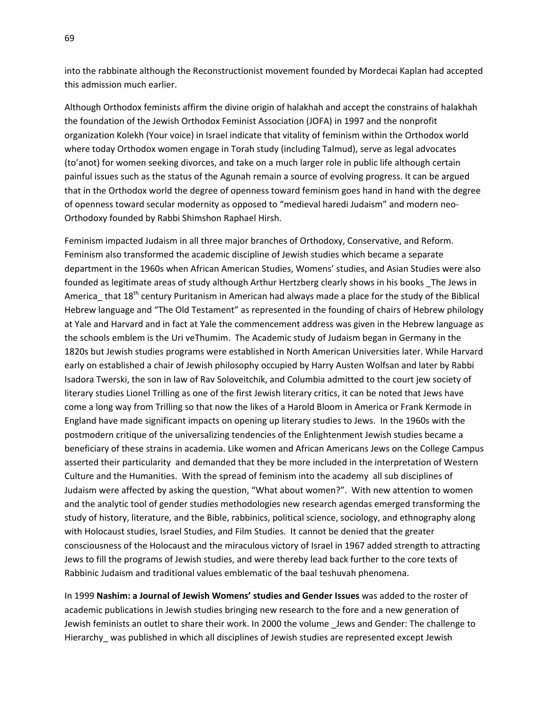into the rabbinate although the Reconstructionist movement founded by Mordecai Kaplan had accepted this admission much earlier.

Although Orthodox feminists affirm the divine origin of halakhah and accept the constrains of halakhah the foundation of the Jewish Orthodox Feminist Association (JOFA) in 1997 and the nonprofit organization Kolekh (Your voice) in Israel indicate that vitality of feminism within the Orthodox world where today Orthodox women engage in Torah study (including Talmud), serve as legal advocates (to'anot) for women seeking divorces, and take on a much larger role in public life although certain painful issues such as the status of the Agunah remain a source of evolving progress. It can be argued that in the Orthodox world the degree of openness toward feminism goes hand in hand with the degree of openness toward secular modernity as opposed to "medieval haredi Judaism" and modern neo‐ Orthodoxy founded by Rabbi Shimshon Raphael Hirsh.

Feminism impacted Judaism in all three major branches of Orthodoxy, Conservative, and Reform. Feminism also transformed the academic discipline of Jewish studies which became a separate department in the 1960s when African American Studies, Womens' studies, and Asian Studies were also founded as legitimate areas of study although Arthur Hertzberg clearly shows in his books \_The Jews in America that 18<sup>th</sup> century Puritanism in American had always made a place for the study of the Biblical Hebrew language and "The Old Testament" as represented in the founding of chairs of Hebrew philology at Yale and Harvard and in fact at Yale the commencement address was given in the Hebrew language as the schools emblem is the Uri veThumim. The Academic study of Judaism began in Germany in the 1820s but Jewish studies programs were established in North American Universities later. While Harvard early on established a chair of Jewish philosophy occupied by Harry Austen Wolfsan and later by Rabbi Isadora Twerski, the son in law of Rav Soloveitchik, and Columbia admitted to the court jew society of literary studies Lionel Trilling as one of the first Jewish literary critics, it can be noted that Jews have come a long way from Trilling so that now the likes of a Harold Bloom in America or Frank Kermode in England have made significant impacts on opening up literary studies to Jews. In the 1960s with the postmodern critique of the universalizing tendencies of the Enlightenment Jewish studies became a beneficiary of these strains in academia. Like women and African Americans Jews on the College Campus asserted their particularity and demanded that they be more included in the interpretation of Western Culture and the Humanities. With the spread of feminism into the academy all sub disciplines of Judaism were affected by asking the question, "What about women?". With new attention to women and the analytic tool of gender studies methodologies new research agendas emerged transforming the study of history, literature, and the Bible, rabbinics, political science, sociology, and ethnography along with Holocaust studies, Israel Studies, and Film Studies. It cannot be denied that the greater consciousness of the Holocaust and the miraculous victory of Israel in 1967 added strength to attracting Jews to fill the programs of Jewish studies, and were thereby lead back further to the core texts of Rabbinic Judaism and traditional values emblematic of the baal teshuvah phenomena.

In 1999 **Nashim: a Journal of Jewish Womens' studies and Gender Issues** was added to the roster of academic publications in Jewish studies bringing new research to the fore and a new generation of Jewish feminists an outlet to share their work. In 2000 the volume \_Jews and Gender: The challenge to Hierarchy was published in which all disciplines of Jewish studies are represented except Jewish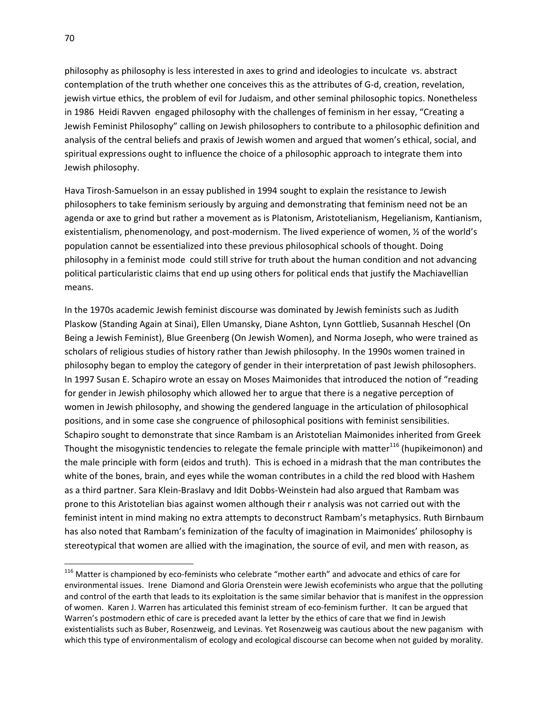philosophy as philosophy is less interested in axes to grind and ideologies to inculcate vs. abstract contemplation of the truth whether one conceives this as the attributes of G‐d, creation, revelation, jewish virtue ethics, the problem of evil for Judaism, and other seminal philosophic topics. Nonetheless in 1986 Heidi Ravven engaged philosophy with the challenges of feminism in her essay, "Creating a Jewish Feminist Philosophy" calling on Jewish philosophers to contribute to a philosophic definition and analysis of the central beliefs and praxis of Jewish women and argued that women's ethical, social, and spiritual expressions ought to influence the choice of a philosophic approach to integrate them into Jewish philosophy.

Hava Tirosh‐Samuelson in an essay published in 1994 sought to explain the resistance to Jewish philosophers to take feminism seriously by arguing and demonstrating that feminism need not be an agenda or axe to grind but rather a movement as is Platonism, Aristotelianism, Hegelianism, Kantianism, existentialism, phenomenology, and post-modernism. The lived experience of women,  $\frac{1}{2}$  of the world's population cannot be essentialized into these previous philosophical schools of thought. Doing philosophy in a feminist mode could still strive for truth about the human condition and not advancing political particularistic claims that end up using others for political ends that justify the Machiavellian means.

In the 1970s academic Jewish feminist discourse was dominated by Jewish feminists such as Judith Plaskow (Standing Again at Sinai), Ellen Umansky, Diane Ashton, Lynn Gottlieb, Susannah Heschel (On Being a Jewish Feminist), Blue Greenberg (On Jewish Women), and Norma Joseph, who were trained as scholars of religious studies of history rather than Jewish philosophy. In the 1990s women trained in philosophy began to employ the category of gender in their interpretation of past Jewish philosophers. In 1997 Susan E. Schapiro wrote an essay on Moses Maimonides that introduced the notion of "reading for gender in Jewish philosophy which allowed her to argue that there is a negative perception of women in Jewish philosophy, and showing the gendered language in the articulation of philosophical positions, and in some case she congruence of philosophical positions with feminist sensibilities. Schapiro sought to demonstrate that since Rambam is an Aristotelian Maimonides inherited from Greek Thought the misogynistic tendencies to relegate the female principle with matter<sup>116</sup> (hupikeimonon) and the male principle with form (eidos and truth). This is echoed in a midrash that the man contributes the white of the bones, brain, and eyes while the woman contributes in a child the red blood with Hashem as a third partner. Sara Klein‐Braslavy and Idit Dobbs‐Weinstein had also argued that Rambam was prone to this Aristotelian bias against women although their r analysis was not carried out with the feminist intent in mind making no extra attempts to deconstruct Rambam's metaphysics. Ruth Birnbaum has also noted that Rambam's feminization of the faculty of imagination in Maimonides' philosophy is stereotypical that women are allied with the imagination, the source of evil, and men with reason, as

 $^{116}$  Matter is championed by eco-feminists who celebrate "mother earth" and advocate and ethics of care for environmental issues. Irene Diamond and Gloria Orenstein were Jewish ecofeminists who argue that the polluting and control of the earth that leads to its exploitation is the same similar behavior that is manifest in the oppression of women. Karen J. Warren has articulated this feminist stream of eco-feminism further. It can be argued that Warren's postmodern ethic of care is preceded avant la letter by the ethics of care that we find in Jewish existentialists such as Buber, Rosenzweig, and Levinas. Yet Rosenzweig was cautious about the new paganism with which this type of environmentalism of ecology and ecological discourse can become when not guided by morality.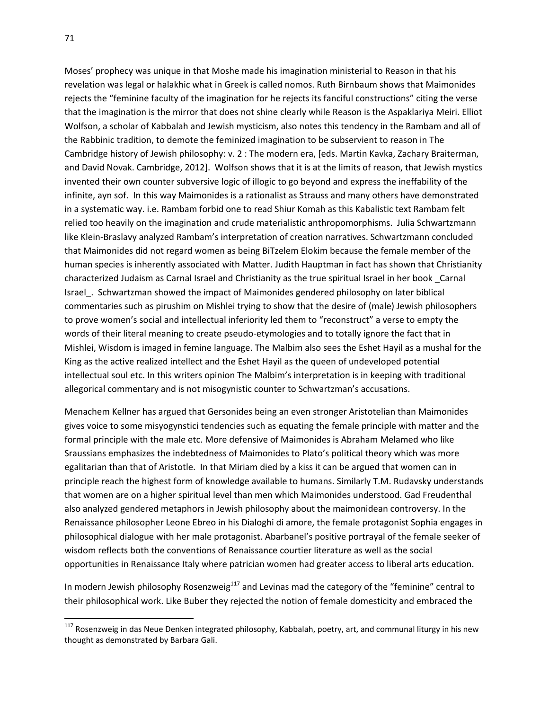Moses' prophecy was unique in that Moshe made his imagination ministerial to Reason in that his revelation was legal or halakhic what in Greek is called nomos. Ruth Birnbaum shows that Maimonides rejects the "feminine faculty of the imagination for he rejects its fanciful constructions" citing the verse that the imagination is the mirror that does not shine clearly while Reason is the Aspaklariya Meiri. Elliot Wolfson, a scholar of Kabbalah and Jewish mysticism, also notes this tendency in the Rambam and all of the Rabbinic tradition, to demote the feminized imagination to be subservient to reason in The Cambridge history of Jewish philosophy: v. 2 : The modern era, [eds. Martin Kavka, Zachary Braiterman, and David Novak. Cambridge, 2012]. Wolfson shows that it is at the limits of reason, that Jewish mystics invented their own counter subversive logic of illogic to go beyond and express the ineffability of the infinite, ayn sof. In this way Maimonides is a rationalist as Strauss and many others have demonstrated in a systematic way. i.e. Rambam forbid one to read Shiur Komah as this Kabalistic text Rambam felt relied too heavily on the imagination and crude materialistic anthropomorphisms. Julia Schwartzmann like Klein‐Braslavy analyzed Rambam's interpretation of creation narratives. Schwartzmann concluded that Maimonides did not regard women as being BiTzelem Elokim because the female member of the human species is inherently associated with Matter. Judith Hauptman in fact has shown that Christianity characterized Judaism as Carnal Israel and Christianity as the true spiritual Israel in her book \_Carnal Israel. Schwartzman showed the impact of Maimonides gendered philosophy on later biblical commentaries such as pirushim on Mishlei trying to show that the desire of (male) Jewish philosophers to prove women's social and intellectual inferiority led them to "reconstruct" a verse to empty the words of their literal meaning to create pseudo-etymologies and to totally ignore the fact that in Mishlei, Wisdom is imaged in femine language. The Malbim also sees the Eshet Hayil as a mushal for the King as the active realized intellect and the Eshet Hayil as the queen of undeveloped potential intellectual soul etc. In this writers opinion The Malbim's interpretation is in keeping with traditional allegorical commentary and is not misogynistic counter to Schwartzman's accusations.

Menachem Kellner has argued that Gersonides being an even stronger Aristotelian than Maimonides gives voice to some misyogynstici tendencies such as equating the female principle with matter and the formal principle with the male etc. More defensive of Maimonides is Abraham Melamed who like Sraussians emphasizes the indebtedness of Maimonides to Plato's political theory which was more egalitarian than that of Aristotle. In that Miriam died by a kiss it can be argued that women can in principle reach the highest form of knowledge available to humans. Similarly T.M. Rudavsky understands that women are on a higher spiritual level than men which Maimonides understood. Gad Freudenthal also analyzed gendered metaphors in Jewish philosophy about the maimonidean controversy. In the Renaissance philosopher Leone Ebreo in his Dialoghi di amore, the female protagonist Sophia engages in philosophical dialogue with her male protagonist. Abarbanel's positive portrayal of the female seeker of wisdom reflects both the conventions of Renaissance courtier literature as well as the social opportunities in Renaissance Italy where patrician women had greater access to liberal arts education.

In modern Jewish philosophy Rosenzweig<sup>117</sup> and Levinas mad the category of the "feminine" central to their philosophical work. Like Buber they rejected the notion of female domesticity and embraced the

<sup>&</sup>lt;sup>117</sup> Rosenzweig in das Neue Denken integrated philosophy, Kabbalah, poetry, art, and communal liturgy in his new thought as demonstrated by Barbara Gali.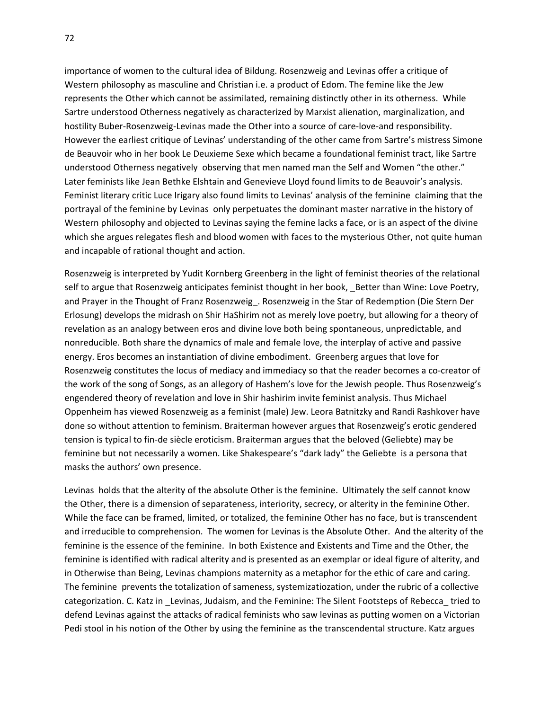importance of women to the cultural idea of Bildung. Rosenzweig and Levinas offer a critique of Western philosophy as masculine and Christian i.e. a product of Edom. The femine like the Jew represents the Other which cannot be assimilated, remaining distinctly other in its otherness. While Sartre understood Otherness negatively as characterized by Marxist alienation, marginalization, and hostility Buber‐Rosenzweig‐Levinas made the Other into a source of care‐love‐and responsibility. However the earliest critique of Levinas' understanding of the other came from Sartre's mistress Simone de Beauvoir who in her book Le Deuxieme Sexe which became a foundational feminist tract, like Sartre understood Otherness negatively observing that men named man the Self and Women "the other." Later feminists like Jean Bethke Elshtain and Genevieve Lloyd found limits to de Beauvoir's analysis. Feminist literary critic Luce Irigary also found limits to Levinas' analysis of the feminine claiming that the portrayal of the feminine by Levinas only perpetuates the dominant master narrative in the history of Western philosophy and objected to Levinas saying the femine lacks a face, or is an aspect of the divine which she argues relegates flesh and blood women with faces to the mysterious Other, not quite human and incapable of rational thought and action.

Rosenzweig is interpreted by Yudit Kornberg Greenberg in the light of feminist theories of the relational self to argue that Rosenzweig anticipates feminist thought in her book, \_Better than Wine: Love Poetry, and Prayer in the Thought of Franz Rosenzweig. Rosenzweig in the Star of Redemption (Die Stern Der Erlosung) develops the midrash on Shir HaShirim not as merely love poetry, but allowing for a theory of revelation as an analogy between eros and divine love both being spontaneous, unpredictable, and nonreducible. Both share the dynamics of male and female love, the interplay of active and passive energy. Eros becomes an instantiation of divine embodiment. Greenberg argues that love for Rosenzweig constitutes the locus of mediacy and immediacy so that the reader becomes a co-creator of the work of the song of Songs, as an allegory of Hashem's love for the Jewish people. Thus Rosenzweig's engendered theory of revelation and love in Shir hashirim invite feminist analysis. Thus Michael Oppenheim has viewed Rosenzweig as a feminist (male) Jew. Leora Batnitzky and Randi Rashkover have done so without attention to feminism. Braiterman however argues that Rosenzweig's erotic gendered tension is typical to fin‐de siècle eroticism. Braiterman argues that the beloved (Geliebte) may be feminine but not necessarily a women. Like Shakespeare's "dark lady" the Geliebte is a persona that masks the authors' own presence.

Levinas holds that the alterity of the absolute Other is the feminine. Ultimately the self cannot know the Other, there is a dimension of separateness, interiority, secrecy, or alterity in the feminine Other. While the face can be framed, limited, or totalized, the feminine Other has no face, but is transcendent and irreducible to comprehension. The women for Levinas is the Absolute Other. And the alterity of the feminine is the essence of the feminine. In both Existence and Existents and Time and the Other, the feminine is identified with radical alterity and is presented as an exemplar or ideal figure of alterity, and in Otherwise than Being, Levinas champions maternity as a metaphor for the ethic of care and caring. The feminine prevents the totalization of sameness, systemizatiozation, under the rubric of a collective categorization. C. Katz in \_Levinas, Judaism, and the Feminine: The Silent Footsteps of Rebecca\_ tried to defend Levinas against the attacks of radical feminists who saw levinas as putting women on a Victorian Pedi stool in his notion of the Other by using the feminine as the transcendental structure. Katz argues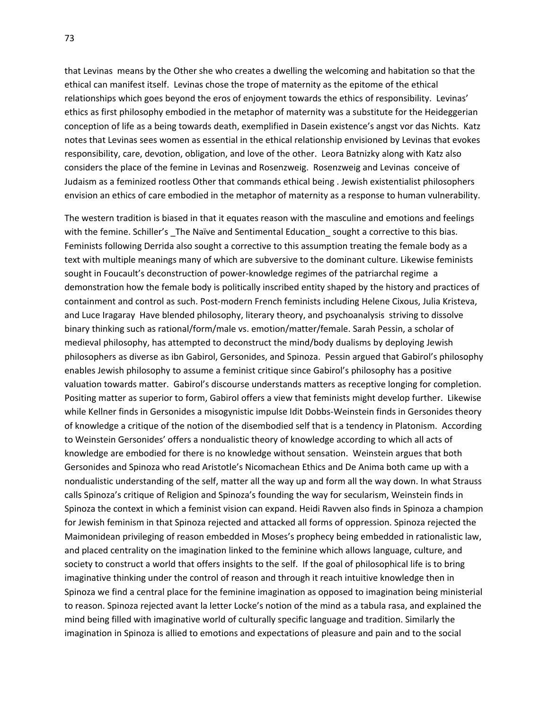that Levinas means by the Other she who creates a dwelling the welcoming and habitation so that the ethical can manifest itself. Levinas chose the trope of maternity as the epitome of the ethical relationships which goes beyond the eros of enjoyment towards the ethics of responsibility. Levinas' ethics as first philosophy embodied in the metaphor of maternity was a substitute for the Heideggerian conception of life as a being towards death, exemplified in Dasein existence's angst vor das Nichts. Katz notes that Levinas sees women as essential in the ethical relationship envisioned by Levinas that evokes responsibility, care, devotion, obligation, and love of the other. Leora Batnizky along with Katz also considers the place of the femine in Levinas and Rosenzweig. Rosenzweig and Levinas conceive of Judaism as a feminized rootless Other that commands ethical being . Jewish existentialist philosophers envision an ethics of care embodied in the metaphor of maternity as a response to human vulnerability.

The western tradition is biased in that it equates reason with the masculine and emotions and feelings with the femine. Schiller's \_The Naïve and Sentimental Education\_ sought a corrective to this bias. Feminists following Derrida also sought a corrective to this assumption treating the female body as a text with multiple meanings many of which are subversive to the dominant culture. Likewise feminists sought in Foucault's deconstruction of power-knowledge regimes of the patriarchal regime a demonstration how the female body is politically inscribed entity shaped by the history and practices of containment and control as such. Post‐modern French feminists including Helene Cixous, Julia Kristeva, and Luce Iragaray Have blended philosophy, literary theory, and psychoanalysis striving to dissolve binary thinking such as rational/form/male vs. emotion/matter/female. Sarah Pessin, a scholar of medieval philosophy, has attempted to deconstruct the mind/body dualisms by deploying Jewish philosophers as diverse as ibn Gabirol, Gersonides, and Spinoza. Pessin argued that Gabirol's philosophy enables Jewish philosophy to assume a feminist critique since Gabirol's philosophy has a positive valuation towards matter. Gabirol's discourse understands matters as receptive longing for completion. Positing matter as superior to form, Gabirol offers a view that feminists might develop further. Likewise while Kellner finds in Gersonides a misogynistic impulse Idit Dobbs-Weinstein finds in Gersonides theory of knowledge a critique of the notion of the disembodied self that is a tendency in Platonism. According to Weinstein Gersonides' offers a nondualistic theory of knowledge according to which all acts of knowledge are embodied for there is no knowledge without sensation. Weinstein argues that both Gersonides and Spinoza who read Aristotle's Nicomachean Ethics and De Anima both came up with a nondualistic understanding of the self, matter all the way up and form all the way down. In what Strauss calls Spinoza's critique of Religion and Spinoza's founding the way for secularism, Weinstein finds in Spinoza the context in which a feminist vision can expand. Heidi Ravven also finds in Spinoza a champion for Jewish feminism in that Spinoza rejected and attacked all forms of oppression. Spinoza rejected the Maimonidean privileging of reason embedded in Moses's prophecy being embedded in rationalistic law, and placed centrality on the imagination linked to the feminine which allows language, culture, and society to construct a world that offers insights to the self. If the goal of philosophical life is to bring imaginative thinking under the control of reason and through it reach intuitive knowledge then in Spinoza we find a central place for the feminine imagination as opposed to imagination being ministerial to reason. Spinoza rejected avant la letter Locke's notion of the mind as a tabula rasa, and explained the mind being filled with imaginative world of culturally specific language and tradition. Similarly the imagination in Spinoza is allied to emotions and expectations of pleasure and pain and to the social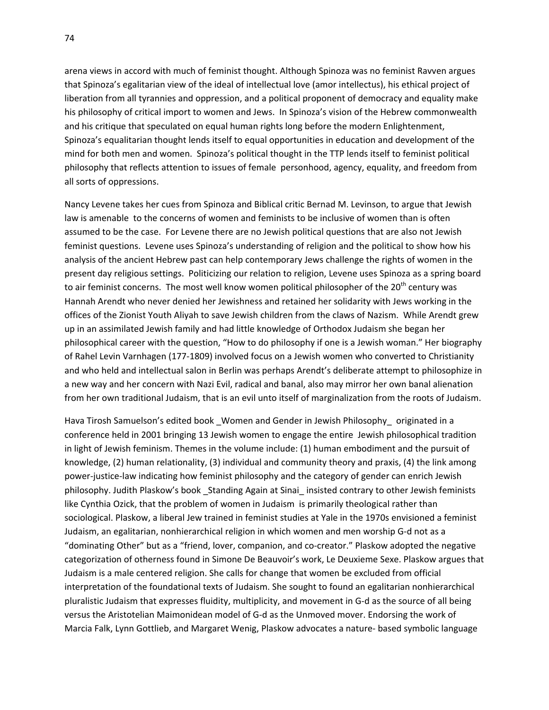arena views in accord with much of feminist thought. Although Spinoza was no feminist Ravven argues that Spinoza's egalitarian view of the ideal of intellectual love (amor intellectus), his ethical project of liberation from all tyrannies and oppression, and a political proponent of democracy and equality make his philosophy of critical import to women and Jews. In Spinoza's vision of the Hebrew commonwealth and his critique that speculated on equal human rights long before the modern Enlightenment, Spinoza's equalitarian thought lends itself to equal opportunities in education and development of the mind for both men and women. Spinoza's political thought in the TTP lends itself to feminist political philosophy that reflects attention to issues of female personhood, agency, equality, and freedom from all sorts of oppressions.

Nancy Levene takes her cues from Spinoza and Biblical critic Bernad M. Levinson, to argue that Jewish law is amenable to the concerns of women and feminists to be inclusive of women than is often assumed to be the case. For Levene there are no Jewish political questions that are also not Jewish feminist questions. Levene uses Spinoza's understanding of religion and the political to show how his analysis of the ancient Hebrew past can help contemporary Jews challenge the rights of women in the present day religious settings. Politicizing our relation to religion, Levene uses Spinoza as a spring board to air feminist concerns. The most well know women political philosopher of the 20<sup>th</sup> century was Hannah Arendt who never denied her Jewishness and retained her solidarity with Jews working in the offices of the Zionist Youth Aliyah to save Jewish children from the claws of Nazism. While Arendt grew up in an assimilated Jewish family and had little knowledge of Orthodox Judaism she began her philosophical career with the question, "How to do philosophy if one is a Jewish woman." Her biography of Rahel Levin Varnhagen (177‐1809) involved focus on a Jewish women who converted to Christianity and who held and intellectual salon in Berlin was perhaps Arendt's deliberate attempt to philosophize in a new way and her concern with Nazi Evil, radical and banal, also may mirror her own banal alienation from her own traditional Judaism, that is an evil unto itself of marginalization from the roots of Judaism.

Hava Tirosh Samuelson's edited book Women and Gender in Jewish Philosophy originated in a conference held in 2001 bringing 13 Jewish women to engage the entire Jewish philosophical tradition in light of Jewish feminism. Themes in the volume include: (1) human embodiment and the pursuit of knowledge, (2) human relationality, (3) individual and community theory and praxis, (4) the link among power-justice-law indicating how feminist philosophy and the category of gender can enrich Jewish philosophy. Judith Plaskow's book \_Standing Again at Sinai\_ insisted contrary to other Jewish feminists like Cynthia Ozick, that the problem of women in Judaism is primarily theological rather than sociological. Plaskow, a liberal Jew trained in feminist studies at Yale in the 1970s envisioned a feminist Judaism, an egalitarian, nonhierarchical religion in which women and men worship G‐d not as a "dominating Other" but as a "friend, lover, companion, and co‐creator." Plaskow adopted the negative categorization of otherness found in Simone De Beauvoir's work, Le Deuxieme Sexe. Plaskow argues that Judaism is a male centered religion. She calls for change that women be excluded from official interpretation of the foundational texts of Judaism. She sought to found an egalitarian nonhierarchical pluralistic Judaism that expresses fluidity, multiplicity, and movement in G‐d as the source of all being versus the Aristotelian Maimonidean model of G‐d as the Unmoved mover. Endorsing the work of Marcia Falk, Lynn Gottlieb, and Margaret Wenig, Plaskow advocates a nature‐ based symbolic language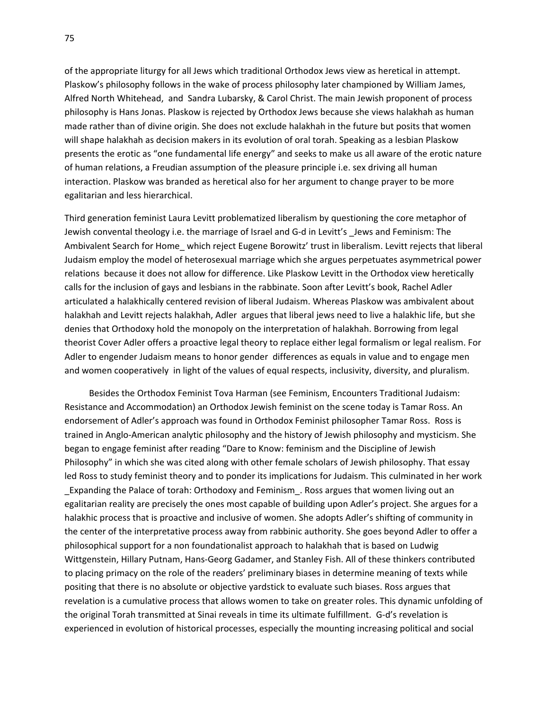of the appropriate liturgy for all Jews which traditional Orthodox Jews view as heretical in attempt. Plaskow's philosophy follows in the wake of process philosophy later championed by William James, Alfred North Whitehead, and Sandra Lubarsky, & Carol Christ. The main Jewish proponent of process philosophy is Hans Jonas. Plaskow is rejected by Orthodox Jews because she views halakhah as human made rather than of divine origin. She does not exclude halakhah in the future but posits that women will shape halakhah as decision makers in its evolution of oral torah. Speaking as a lesbian Plaskow presents the erotic as "one fundamental life energy" and seeks to make us all aware of the erotic nature of human relations, a Freudian assumption of the pleasure principle i.e. sex driving all human interaction. Plaskow was branded as heretical also for her argument to change prayer to be more egalitarian and less hierarchical.

Third generation feminist Laura Levitt problematized liberalism by questioning the core metaphor of Jewish convental theology i.e. the marriage of Israel and G‐d in Levitt's \_Jews and Feminism: The Ambivalent Search for Home\_ which reject Eugene Borowitz' trust in liberalism. Levitt rejects that liberal Judaism employ the model of heterosexual marriage which she argues perpetuates asymmetrical power relations because it does not allow for difference. Like Plaskow Levitt in the Orthodox view heretically calls for the inclusion of gays and lesbians in the rabbinate. Soon after Levitt's book, Rachel Adler articulated a halakhically centered revision of liberal Judaism. Whereas Plaskow was ambivalent about halakhah and Levitt rejects halakhah, Adler argues that liberal jews need to live a halakhic life, but she denies that Orthodoxy hold the monopoly on the interpretation of halakhah. Borrowing from legal theorist Cover Adler offers a proactive legal theory to replace either legal formalism or legal realism. For Adler to engender Judaism means to honor gender differences as equals in value and to engage men and women cooperatively in light of the values of equal respects, inclusivity, diversity, and pluralism.

 Besides the Orthodox Feminist Tova Harman (see Feminism, Encounters Traditional Judaism: Resistance and Accommodation) an Orthodox Jewish feminist on the scene today is Tamar Ross. An endorsement of Adler's approach was found in Orthodox Feminist philosopher Tamar Ross. Ross is trained in Anglo‐American analytic philosophy and the history of Jewish philosophy and mysticism. She began to engage feminist after reading "Dare to Know: feminism and the Discipline of Jewish Philosophy" in which she was cited along with other female scholars of Jewish philosophy. That essay led Ross to study feminist theory and to ponder its implications for Judaism. This culminated in her work \_Expanding the Palace of torah: Orthodoxy and Feminism\_. Ross argues that women living out an egalitarian reality are precisely the ones most capable of building upon Adler's project. She argues for a halakhic process that is proactive and inclusive of women. She adopts Adler's shifting of community in the center of the interpretative process away from rabbinic authority. She goes beyond Adler to offer a philosophical support for a non foundationalist approach to halakhah that is based on Ludwig Wittgenstein, Hillary Putnam, Hans‐Georg Gadamer, and Stanley Fish. All of these thinkers contributed to placing primacy on the role of the readers' preliminary biases in determine meaning of texts while positing that there is no absolute or objective yardstick to evaluate such biases. Ross argues that revelation is a cumulative process that allows women to take on greater roles. This dynamic unfolding of the original Torah transmitted at Sinai reveals in time its ultimate fulfillment. G‐d's revelation is experienced in evolution of historical processes, especially the mounting increasing political and social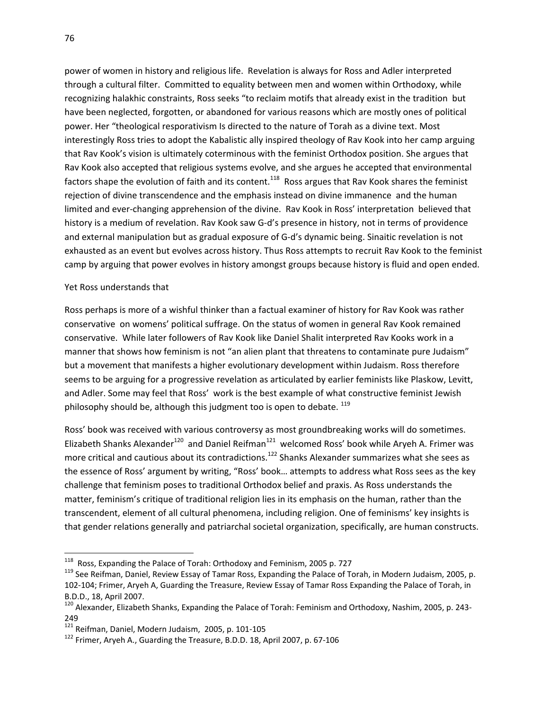power of women in history and religious life. Revelation is always for Ross and Adler interpreted through a cultural filter. Committed to equality between men and women within Orthodoxy, while recognizing halakhic constraints, Ross seeks "to reclaim motifs that already exist in the tradition but have been neglected, forgotten, or abandoned for various reasons which are mostly ones of political power. Her "theological resporativism Is directed to the nature of Torah as a divine text. Most interestingly Ross tries to adopt the Kabalistic ally inspired theology of Rav Kook into her camp arguing that Rav Kook's vision is ultimately coterminous with the feminist Orthodox position. She argues that Rav Kook also accepted that religious systems evolve, and she argues he accepted that environmental factors shape the evolution of faith and its content.<sup>118</sup> Ross argues that Rav Kook shares the feminist rejection of divine transcendence and the emphasis instead on divine immanence and the human limited and ever-changing apprehension of the divine. Rav Kook in Ross' interpretation believed that history is a medium of revelation. Rav Kook saw G‐d's presence in history, not in terms of providence and external manipulation but as gradual exposure of G‐d's dynamic being. Sinaitic revelation is not exhausted as an event but evolves across history. Thus Ross attempts to recruit Rav Kook to the feminist camp by arguing that power evolves in history amongst groups because history is fluid and open ended.

## Yet Ross understands that

Ross perhaps is more of a wishful thinker than a factual examiner of history for Rav Kook was rather conservative on womens' political suffrage. On the status of women in general Rav Kook remained conservative. While later followers of Rav Kook like Daniel Shalit interpreted Rav Kooks work in a manner that shows how feminism is not "an alien plant that threatens to contaminate pure Judaism" but a movement that manifests a higher evolutionary development within Judaism. Ross therefore seems to be arguing for a progressive revelation as articulated by earlier feminists like Plaskow, Levitt, and Adler. Some may feel that Ross' work is the best example of what constructive feminist Jewish philosophy should be, although this judgment too is open to debate. <sup>119</sup>

Ross' book was received with various controversy as most groundbreaking works will do sometimes. Elizabeth Shanks Alexander<sup>120</sup> and Daniel Reifman<sup>121</sup> welcomed Ross' book while Aryeh A. Frimer was more critical and cautious about its contradictions.<sup>122</sup> Shanks Alexander summarizes what she sees as the essence of Ross' argument by writing, "Ross' book… attempts to address what Ross sees as the key challenge that feminism poses to traditional Orthodox belief and praxis. As Ross understands the matter, feminism's critique of traditional religion lies in its emphasis on the human, rather than the transcendent, element of all cultural phenomena, including religion. One of feminisms' key insights is that gender relations generally and patriarchal societal organization, specifically, are human constructs.

<sup>&</sup>lt;sup>118</sup> Ross. Expanding the Palace of Torah: Orthodoxy and Feminism, 2005 p. 727

<sup>&</sup>lt;sup>119</sup> See Reifman, Daniel, Review Essay of Tamar Ross, Expanding the Palace of Torah, in Modern Judaism, 2005, p. 102‐104; Frimer, Aryeh A, Guarding the Treasure, Review Essay of Tamar Ross Expanding the Palace of Torah, in B.D.D., 18, April 2007.<br><sup>120</sup> Alexander, Elizabeth Shanks, Expanding the Palace of Torah: Feminism and Orthodoxy, Nashim, 2005, p. 243-

<sup>249&</sup>lt;br><sup>121</sup> Reifman, Daniel, Modern Judaism, 2005, p. 101-105

<sup>122</sup> Frimer, Arveh A., Guarding the Treasure, B.D.D. 18, April 2007, p. 67-106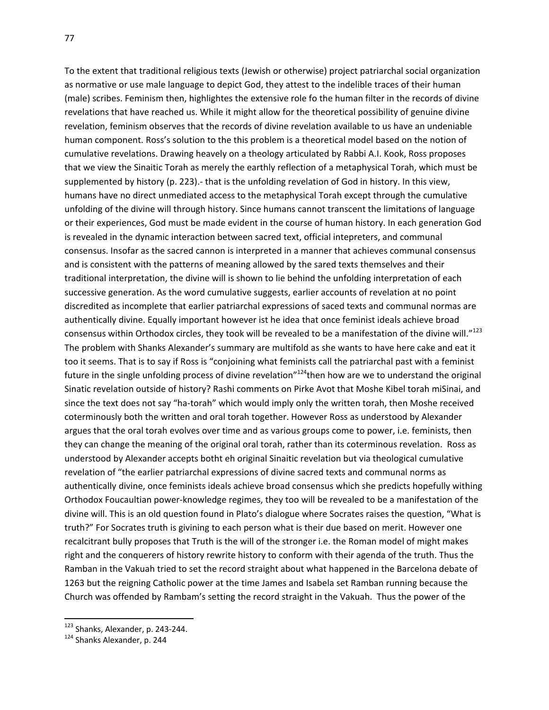To the extent that traditional religious texts (Jewish or otherwise) project patriarchal social organization as normative or use male language to depict God, they attest to the indelible traces of their human (male) scribes. Feminism then, highlightes the extensive role fo the human filter in the records of divine revelations that have reached us. While it might allow for the theoretical possibility of genuine divine revelation, feminism observes that the records of divine revelation available to us have an undeniable human component. Ross's solution to the this problem is a theoretical model based on the notion of cumulative revelations. Drawing heavely on a theology articulated by Rabbi A.I. Kook, Ross proposes that we view the Sinaitic Torah as merely the earthly reflection of a metaphysical Torah, which must be supplemented by history (p. 223). - that is the unfolding revelation of God in history. In this view, humans have no direct unmediated access to the metaphysical Torah except through the cumulative unfolding of the divine will through history. Since humans cannot transcent the limitations of language or their experiences, God must be made evident in the course of human history. In each generation God is revealed in the dynamic interaction between sacred text, official intepreters, and communal consensus. Insofar as the sacred cannon is interpreted in a manner that achieves communal consensus and is consistent with the patterns of meaning allowed by the sared texts themselves and their traditional interpretation, the divine will is shown to lie behind the unfolding interpretation of each successive generation. As the word cumulative suggests, earlier accounts of revelation at no point discredited as incomplete that earlier patriarchal expressions of saced texts and communal normas are authentically divine. Equally important however ist he idea that once feminist ideals achieve broad consensus within Orthodox circles, they took will be revealed to be a manifestation of the divine will."<sup>123</sup> The problem with Shanks Alexander's summary are multifold as she wants to have here cake and eat it too it seems. That is to say if Ross is "conjoining what feminists call the patriarchal past with a feminist future in the single unfolding process of divine revelation"<sup>124</sup>then how are we to understand the original Sinatic revelation outside of history? Rashi comments on Pirke Avot that Moshe Kibel torah miSinai, and since the text does not say "ha-torah" which would imply only the written torah, then Moshe received coterminously both the written and oral torah together. However Ross as understood by Alexander argues that the oral torah evolves over time and as various groups come to power, i.e. feminists, then they can change the meaning of the original oral torah, rather than its coterminous revelation. Ross as understood by Alexander accepts botht eh original Sinaitic revelation but via theological cumulative revelation of "the earlier patriarchal expressions of divine sacred texts and communal norms as authentically divine, once feminists ideals achieve broad consensus which she predicts hopefully withing Orthodox Foucaultian power‐knowledge regimes, they too will be revealed to be a manifestation of the divine will. This is an old question found in Plato's dialogue where Socrates raises the question, "What is truth?" For Socrates truth is givining to each person what is their due based on merit. However one recalcitrant bully proposes that Truth is the will of the stronger i.e. the Roman model of might makes right and the conquerers of history rewrite history to conform with their agenda of the truth. Thus the Ramban in the Vakuah tried to set the record straight about what happened in the Barcelona debate of 1263 but the reigning Catholic power at the time James and Isabela set Ramban running because the Church was offended by Rambam's setting the record straight in the Vakuah. Thus the power of the

 <sup>123</sup> Shanks, Alexander, p. 243-244.<br><sup>124</sup> Shanks Alexander, p. 244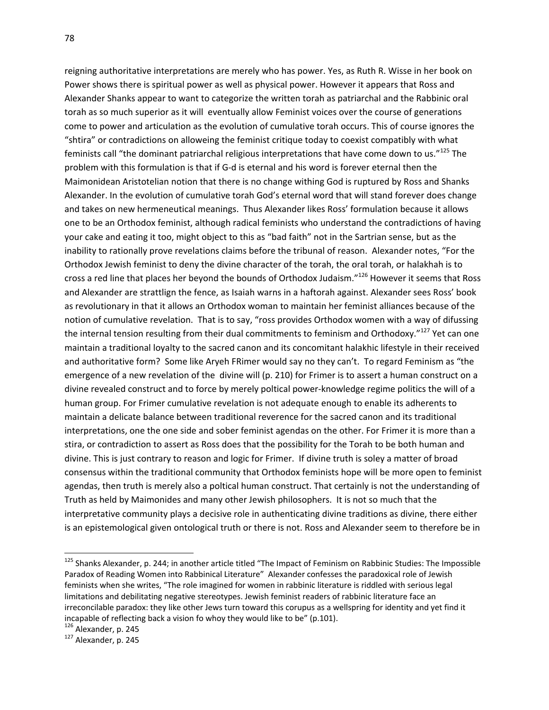reigning authoritative interpretations are merely who has power. Yes, as Ruth R. Wisse in her book on Power shows there is spiritual power as well as physical power. However it appears that Ross and Alexander Shanks appear to want to categorize the written torah as patriarchal and the Rabbinic oral torah as so much superior as it will eventually allow Feminist voices over the course of generations come to power and articulation as the evolution of cumulative torah occurs. This of course ignores the "shtira" or contradictions on alloweing the feminist critique today to coexist compatibly with what feminists call "the dominant patriarchal religious interpretations that have come down to us."<sup>125</sup> The problem with this formulation is that if G‐d is eternal and his word is forever eternal then the Maimonidean Aristotelian notion that there is no change withing God is ruptured by Ross and Shanks Alexander. In the evolution of cumulative torah God's eternal word that will stand forever does change and takes on new hermeneutical meanings. Thus Alexander likes Ross' formulation because it allows one to be an Orthodox feminist, although radical feminists who understand the contradictions of having your cake and eating it too, might object to this as "bad faith" not in the Sartrian sense, but as the inability to rationally prove revelations claims before the tribunal of reason. Alexander notes, "For the Orthodox Jewish feminist to deny the divine character of the torah, the oral torah, or halakhah is to cross a red line that places her beyond the bounds of Orthodox Judaism."<sup>126</sup> However it seems that Ross and Alexander are strattlign the fence, as Isaiah warns in a haftorah against. Alexander sees Ross' book as revolutionary in that it allows an Orthodox woman to maintain her feminist alliances because of the notion of cumulative revelation. That is to say, "ross provides Orthodox women with a way of difussing the internal tension resulting from their dual commitments to feminism and Orthodoxy."<sup>127</sup> Yet can one maintain a traditional loyalty to the sacred canon and its concomitant halakhic lifestyle in their received and authoritative form? Some like Aryeh FRimer would say no they can't. To regard Feminism as "the emergence of a new revelation of the divine will (p. 210) for Frimer is to assert a human construct on a divine revealed construct and to force by merely poltical power‐knowledge regime politics the will of a human group. For Frimer cumulative revelation is not adequate enough to enable its adherents to maintain a delicate balance between traditional reverence for the sacred canon and its traditional interpretations, one the one side and sober feminist agendas on the other. For Frimer it is more than a stira, or contradiction to assert as Ross does that the possibility for the Torah to be both human and divine. This is just contrary to reason and logic for Frimer. If divine truth is soley a matter of broad consensus within the traditional community that Orthodox feminists hope will be more open to feminist agendas, then truth is merely also a poltical human construct. That certainly is not the understanding of Truth as held by Maimonides and many other Jewish philosophers. It is not so much that the interpretative community plays a decisive role in authenticating divine traditions as divine, there either is an epistemological given ontological truth or there is not. Ross and Alexander seem to therefore be in

<sup>&</sup>lt;sup>125</sup> Shanks Alexander, p. 244; in another article titled "The Impact of Feminism on Rabbinic Studies: The Impossible Paradox of Reading Women into Rabbinical Literature" Alexander confesses the paradoxical role of Jewish feminists when she writes, "The role imagined for women in rabbinic literature is riddled with serious legal limitations and debilitating negative stereotypes. Jewish feminist readers of rabbinic literature face an irreconcilable paradox: they like other Jews turn toward this corupus as a wellspring for identity and yet find it incapable of reflecting back a vision fo whoy they would like to be" (p.101).<br>  $^{126}$  Alexander, p. 245<br>  $^{127}$  Alexander. p. 245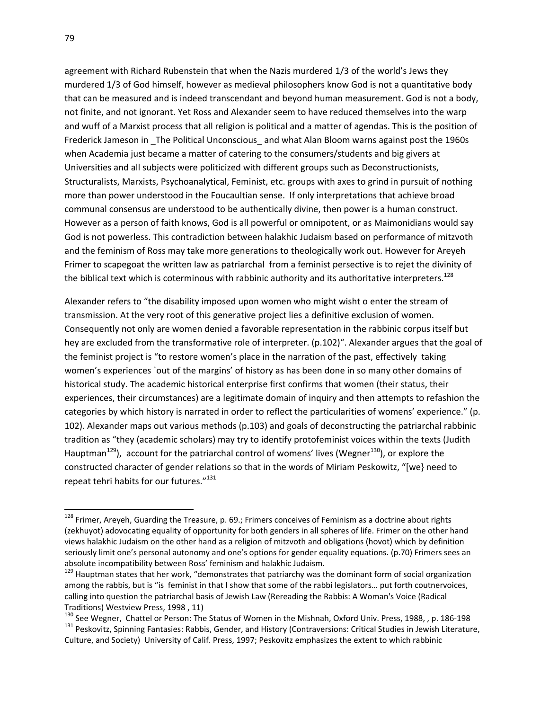agreement with Richard Rubenstein that when the Nazis murdered 1/3 of the world's Jews they murdered 1/3 of God himself, however as medieval philosophers know God is not a quantitative body that can be measured and is indeed transcendant and beyond human measurement. God is not a body, not finite, and not ignorant. Yet Ross and Alexander seem to have reduced themselves into the warp and wuff of a Marxist process that all religion is political and a matter of agendas. This is the position of Frederick Jameson in \_The Political Unconscious\_ and what Alan Bloom warns against post the 1960s when Academia just became a matter of catering to the consumers/students and big givers at Universities and all subjects were politicized with different groups such as Deconstructionists, Structuralists, Marxists, Psychoanalytical, Feminist, etc. groups with axes to grind in pursuit of nothing more than power understood in the Foucaultian sense. If only interpretations that achieve broad communal consensus are understood to be authentically divine, then power is a human construct. However as a person of faith knows, God is all powerful or omnipotent, or as Maimonidians would say God is not powerless. This contradiction between halakhic Judaism based on performance of mitzvoth and the feminism of Ross may take more generations to theologically work out. However for Areyeh Frimer to scapegoat the written law as patriarchal from a feminist persective is to rejet the divinity of the biblical text which is coterminous with rabbinic authority and its authoritative interpreters.<sup>128</sup>

Alexander refers to "the disability imposed upon women who might wisht o enter the stream of transmission. At the very root of this generative project lies a definitive exclusion of women. Consequently not only are women denied a favorable representation in the rabbinic corpus itself but hey are excluded from the transformative role of interpreter. (p.102)". Alexander argues that the goal of the feminist project is "to restore women's place in the narration of the past, effectively taking women's experiences `out of the margins' of history as has been done in so many other domains of historical study. The academic historical enterprise first confirms that women (their status, their experiences, their circumstances) are a legitimate domain of inquiry and then attempts to refashion the categories by which history is narrated in order to reflect the particularities of womens' experience." (p. 102). Alexander maps out various methods (p.103) and goals of deconstructing the patriarchal rabbinic tradition as "they (academic scholars) may try to identify protofeminist voices within the texts (Judith Hauptman<sup>129</sup>), account for the patriarchal control of womens' lives (Wegner<sup>130</sup>), or explore the constructed character of gender relations so that in the words of Miriam Peskowitz, "[we} need to repeat tehri habits for our futures."<sup>131</sup>

 $^{128}$  Frimer, Areyeh, Guarding the Treasure, p. 69.; Frimers conceives of Feminism as a doctrine about rights (zekhuyot) adovocating equality of opportunity for both genders in all spheres of life. Frimer on the other hand views halakhic Judaism on the other hand as a religion of mitzvoth and obligations (hovot) which by definition seriously limit one's personal autonomy and one's options for gender equality equations. (p.70) Frimers sees an absolute incompatibility between Ross' feminism and halakhic Judaism.<br><sup>129</sup> Hauptman states that her work, "demonstrates that patriarchy was the dominant form of social organization

among the rabbis, but is "is feminist in that I show that some of the rabbi legislators… put forth coutnervoices, calling into question the patriarchal basis of Jewish Law (Rereading the Rabbis: A Woman's Voice (Radical

Traditions) Westview Press, 1998, 11)<br><sup>130</sup> See Wegner, Chattel or Person: The Status of Women in the Mishnah, Oxford Univ. Press, 1988, , p. 186-198<br><sup>131</sup> Peskovitz, Spinning Fantasies: Rabbis, Gender, and History (Contra Culture, and Society) University of Calif. Press, 1997; Peskovitz emphasizes the extent to which rabbinic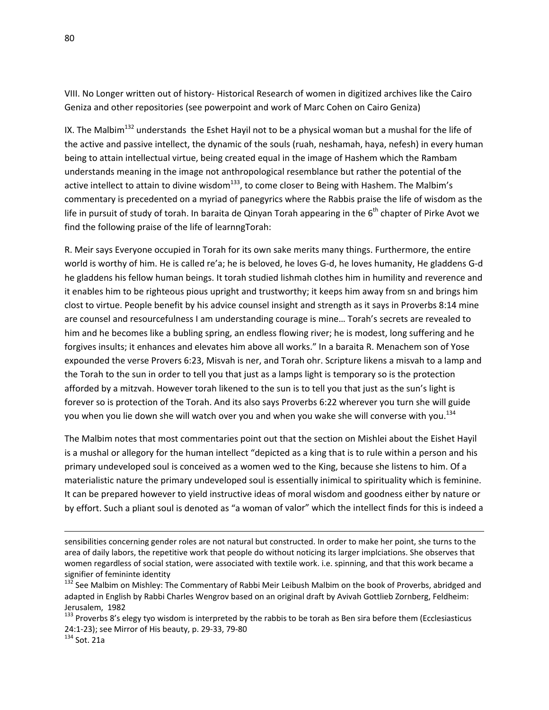VIII. No Longer written out of history- Historical Research of women in digitized archives like the Cairo Geniza and other repositories (see powerpoint and work of Marc Cohen on Cairo Geniza)

IX. The Malbim<sup>132</sup> understands the Eshet Hayil not to be a physical woman but a mushal for the life of the active and passive intellect, the dynamic of the souls (ruah, neshamah, haya, nefesh) in every human being to attain intellectual virtue, being created equal in the image of Hashem which the Rambam understands meaning in the image not anthropological resemblance but rather the potential of the active intellect to attain to divine wisdom $^{133}$ , to come closer to Being with Hashem. The Malbim's commentary is precedented on a myriad of panegyrics where the Rabbis praise the life of wisdom as the life in pursuit of study of torah. In baraita de Qinyan Torah appearing in the  $6<sup>th</sup>$  chapter of Pirke Avot we find the following praise of the life of learnngTorah:

R. Meir says Everyone occupied in Torah for its own sake merits many things. Furthermore, the entire world is worthy of him. He is called re'a; he is beloved, he loves G-d, he loves humanity, He gladdens G-d he gladdens his fellow human beings. It torah studied lishmah clothes him in humility and reverence and it enables him to be righteous pious upright and trustworthy; it keeps him away from sn and brings him clost to virtue. People benefit by his advice counsel insight and strength as it says in Proverbs 8:14 mine are counsel and resourcefulness I am understanding courage is mine… Torah's secrets are revealed to him and he becomes like a bubling spring, an endless flowing river; he is modest, long suffering and he forgives insults; it enhances and elevates him above all works." In a baraita R. Menachem son of Yose expounded the verse Provers 6:23, Misvah is ner, and Torah ohr. Scripture likens a misvah to a lamp and the Torah to the sun in order to tell you that just as a lamps light is temporary so is the protection afforded by a mitzvah. However torah likened to the sun is to tell you that just as the sun's light is forever so is protection of the Torah. And its also says Proverbs 6:22 wherever you turn she will guide you when you lie down she will watch over you and when you wake she will converse with you.<sup>134</sup>

The Malbim notes that most commentaries point out that the section on Mishlei about the Eishet Hayil is a mushal or allegory for the human intellect "depicted as a king that is to rule within a person and his primary undeveloped soul is conceived as a women wed to the King, because she listens to him. Of a materialistic nature the primary undeveloped soul is essentially inimical to spirituality which is feminine. It can be prepared however to yield instructive ideas of moral wisdom and goodness either by nature or by effort. Such a pliant soul is denoted as "a woman of valor" which the intellect finds for this is indeed a

<u> Andrewski politika (za obrazu pod predsjednika u predsjednika u predsjednika u predsjednika (za obrazu pod p</u>

sensibilities concerning gender roles are not natural but constructed. In order to make her point, she turns to the area of daily labors, the repetitive work that people do without noticing its larger implciations. She observes that women regardless of social station, were associated with textile work. i.e. spinning, and that this work became a

signifier of femininte identity<br><sup>132</sup> See Malbim on Mishley: The Commentary of Rabbi Meir Leibush Malbim on the book of Proverbs, abridged and adapted in English by Rabbi Charles Wengrov based on an original draft by Avivah Gottlieb Zornberg, Feldheim: Jerusalem, 1982<br><sup>133</sup> Proverbs 8's elegy tyo wisdom is interpreted by the rabbis to be torah as Ben sira before them (Ecclesiasticus

<sup>24:1-23);</sup> see Mirror of His beauty, p. 29-33, 79-80<br><sup>134</sup> Sot. 21a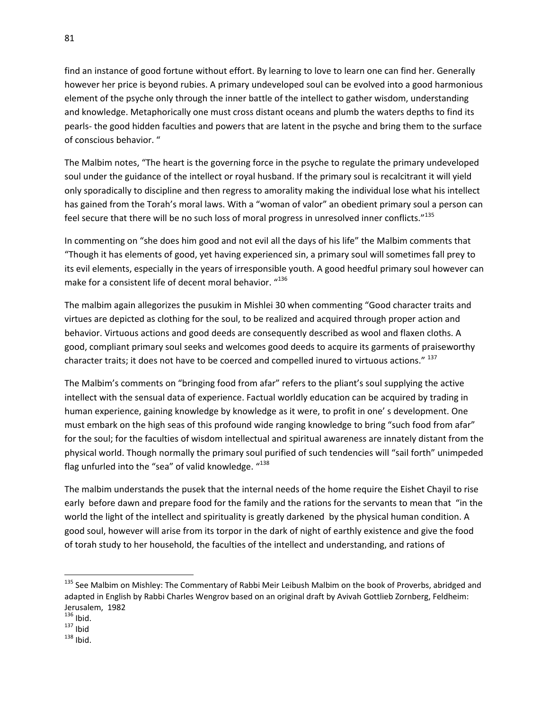find an instance of good fortune without effort. By learning to love to learn one can find her. Generally however her price is beyond rubies. A primary undeveloped soul can be evolved into a good harmonious element of the psyche only through the inner battle of the intellect to gather wisdom, understanding and knowledge. Metaphorically one must cross distant oceans and plumb the waters depths to find its pearls‐ the good hidden faculties and powers that are latent in the psyche and bring them to the surface of conscious behavior. "

The Malbim notes, "The heart is the governing force in the psyche to regulate the primary undeveloped soul under the guidance of the intellect or royal husband. If the primary soul is recalcitrant it will yield only sporadically to discipline and then regress to amorality making the individual lose what his intellect has gained from the Torah's moral laws. With a "woman of valor" an obedient primary soul a person can feel secure that there will be no such loss of moral progress in unresolved inner conflicts."<sup>135</sup>

In commenting on "she does him good and not evil all the days of his life" the Malbim comments that "Though it has elements of good, yet having experienced sin, a primary soul will sometimes fall prey to its evil elements, especially in the years of irresponsible youth. A good heedful primary soul however can make for a consistent life of decent moral behavior. "<sup>136</sup>

The malbim again allegorizes the pusukim in Mishlei 30 when commenting "Good character traits and virtues are depicted as clothing for the soul, to be realized and acquired through proper action and behavior. Virtuous actions and good deeds are consequently described as wool and flaxen cloths. A good, compliant primary soul seeks and welcomes good deeds to acquire its garments of praiseworthy character traits; it does not have to be coerced and compelled inured to virtuous actions." 137

The Malbim's comments on "bringing food from afar" refers to the pliant's soul supplying the active intellect with the sensual data of experience. Factual worldly education can be acquired by trading in human experience, gaining knowledge by knowledge as it were, to profit in one' s development. One must embark on the high seas of this profound wide ranging knowledge to bring "such food from afar" for the soul; for the faculties of wisdom intellectual and spiritual awareness are innately distant from the physical world. Though normally the primary soul purified of such tendencies will "sail forth" unimpeded flag unfurled into the "sea" of valid knowledge. "<sup>138</sup>

The malbim understands the pusek that the internal needs of the home require the Eishet Chayil to rise early before dawn and prepare food for the family and the rations for the servants to mean that "in the world the light of the intellect and spirituality is greatly darkened by the physical human condition. A good soul, however will arise from its torpor in the dark of night of earthly existence and give the food of torah study to her household, the faculties of the intellect and understanding, and rations of

<sup>&</sup>lt;sup>135</sup> See Malbim on Mishley: The Commentary of Rabbi Meir Leibush Malbim on the book of Proverbs, abridged and adapted in English by Rabbi Charles Wengrov based on an original draft by Avivah Gottlieb Zornberg, Feldheim: Jerusalem, 1982<br> $\frac{^{136}}{^{137}}$  Ibid.<br> $\frac{^{138}}{^{138}}$  Ibid.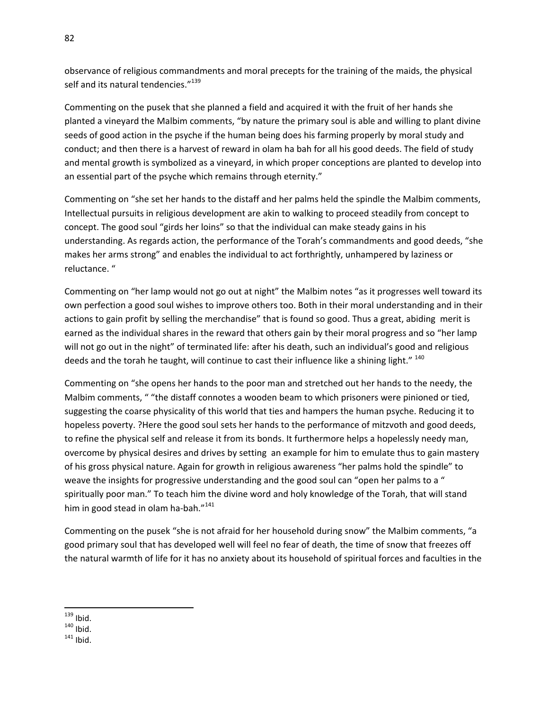observance of religious commandments and moral precepts for the training of the maids, the physical self and its natural tendencies."<sup>139</sup>

Commenting on the pusek that she planned a field and acquired it with the fruit of her hands she planted a vineyard the Malbim comments, "by nature the primary soul is able and willing to plant divine seeds of good action in the psyche if the human being does his farming properly by moral study and conduct; and then there is a harvest of reward in olam ha bah for all his good deeds. The field of study and mental growth is symbolized as a vineyard, in which proper conceptions are planted to develop into an essential part of the psyche which remains through eternity."

Commenting on "she set her hands to the distaff and her palms held the spindle the Malbim comments, Intellectual pursuits in religious development are akin to walking to proceed steadily from concept to concept. The good soul "girds her loins" so that the individual can make steady gains in his understanding. As regards action, the performance of the Torah's commandments and good deeds, "she makes her arms strong" and enables the individual to act forthrightly, unhampered by laziness or reluctance. "

Commenting on "her lamp would not go out at night" the Malbim notes "as it progresses well toward its own perfection a good soul wishes to improve others too. Both in their moral understanding and in their actions to gain profit by selling the merchandise" that is found so good. Thus a great, abiding merit is earned as the individual shares in the reward that others gain by their moral progress and so "her lamp will not go out in the night" of terminated life: after his death, such an individual's good and religious deeds and the torah he taught, will continue to cast their influence like a shining light." 140

Commenting on "she opens her hands to the poor man and stretched out her hands to the needy, the Malbim comments, " "the distaff connotes a wooden beam to which prisoners were pinioned or tied, suggesting the coarse physicality of this world that ties and hampers the human psyche. Reducing it to hopeless poverty. ?Here the good soul sets her hands to the performance of mitzvoth and good deeds, to refine the physical self and release it from its bonds. It furthermore helps a hopelessly needy man, overcome by physical desires and drives by setting an example for him to emulate thus to gain mastery of his gross physical nature. Again for growth in religious awareness "her palms hold the spindle" to weave the insights for progressive understanding and the good soul can "open her palms to a " spiritually poor man." To teach him the divine word and holy knowledge of the Torah, that will stand him in good stead in olam ha-bah."<sup>141</sup>

Commenting on the pusek "she is not afraid for her household during snow" the Malbim comments, "a good primary soul that has developed well will feel no fear of death, the time of snow that freezes off the natural warmth of life for it has no anxiety about its household of spiritual forces and faculties in the

 $\frac{139}{140}$  Ibid.<br> $\frac{140}{141}$  Ibid.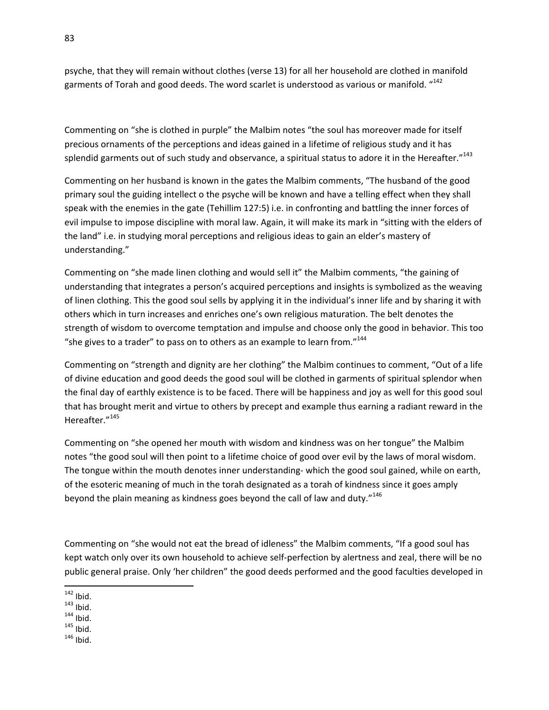psyche, that they will remain without clothes (verse 13) for all her household are clothed in manifold garments of Torah and good deeds. The word scarlet is understood as various or manifold. "<sup>142</sup>

Commenting on "she is clothed in purple" the Malbim notes "the soul has moreover made for itself precious ornaments of the perceptions and ideas gained in a lifetime of religious study and it has splendid garments out of such study and observance, a spiritual status to adore it in the Hereafter."<sup>143</sup>

Commenting on her husband is known in the gates the Malbim comments, "The husband of the good primary soul the guiding intellect o the psyche will be known and have a telling effect when they shall speak with the enemies in the gate (Tehillim 127:5) i.e. in confronting and battling the inner forces of evil impulse to impose discipline with moral law. Again, it will make its mark in "sitting with the elders of the land" i.e. in studying moral perceptions and religious ideas to gain an elder's mastery of understanding."

Commenting on "she made linen clothing and would sell it" the Malbim comments, "the gaining of understanding that integrates a person's acquired perceptions and insights is symbolized as the weaving of linen clothing. This the good soul sells by applying it in the individual's inner life and by sharing it with others which in turn increases and enriches one's own religious maturation. The belt denotes the strength of wisdom to overcome temptation and impulse and choose only the good in behavior. This too "she gives to a trader" to pass on to others as an example to learn from." $144$ 

Commenting on "strength and dignity are her clothing" the Malbim continues to comment, "Out of a life of divine education and good deeds the good soul will be clothed in garments of spiritual splendor when the final day of earthly existence is to be faced. There will be happiness and joy as well for this good soul that has brought merit and virtue to others by precept and example thus earning a radiant reward in the Hereafter."<sup>145</sup>

Commenting on "she opened her mouth with wisdom and kindness was on her tongue" the Malbim notes "the good soul will then point to a lifetime choice of good over evil by the laws of moral wisdom. The tongue within the mouth denotes inner understanding‐ which the good soul gained, while on earth, of the esoteric meaning of much in the torah designated as a torah of kindness since it goes amply beyond the plain meaning as kindness goes beyond the call of law and duty."<sup>146</sup>

Commenting on "she would not eat the bread of idleness" the Malbim comments, "If a good soul has kept watch only over its own household to achieve self-perfection by alertness and zeal, there will be no public general praise. Only 'her children" the good deeds performed and the good faculties developed in

- 
- 
- 

<sup>142</sup> Ibid.<br><sup>143</sup> Ibid.<br><sup>144</sup> Ibid.<br><sup>145</sup> Ibid.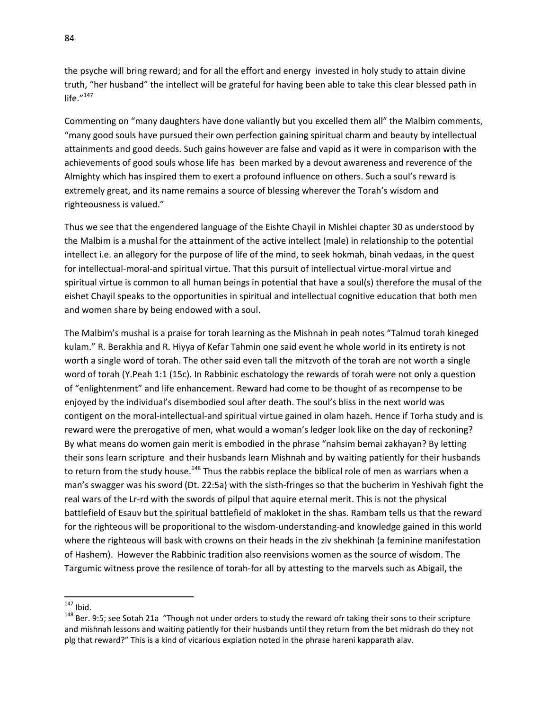the psyche will bring reward; and for all the effort and energy invested in holy study to attain divine truth, "her husband" the intellect will be grateful for having been able to take this clear blessed path in life. $^{\prime\prime}$ <sup>147</sup>

Commenting on "many daughters have done valiantly but you excelled them all" the Malbim comments, "many good souls have pursued their own perfection gaining spiritual charm and beauty by intellectual attainments and good deeds. Such gains however are false and vapid as it were in comparison with the achievements of good souls whose life has been marked by a devout awareness and reverence of the Almighty which has inspired them to exert a profound influence on others. Such a soul's reward is extremely great, and its name remains a source of blessing wherever the Torah's wisdom and righteousness is valued."

Thus we see that the engendered language of the Eishte Chayil in Mishlei chapter 30 as understood by the Malbim is a mushal for the attainment of the active intellect (male) in relationship to the potential intellect i.e. an allegory for the purpose of life of the mind, to seek hokmah, binah vedaas, in the quest for intellectual‐moral‐and spiritual virtue. That this pursuit of intellectual virtue‐moral virtue and spiritual virtue is common to all human beings in potential that have a soul(s) therefore the musal of the eishet Chayil speaks to the opportunities in spiritual and intellectual cognitive education that both men and women share by being endowed with a soul.

The Malbim's mushal is a praise for torah learning as the Mishnah in peah notes "Talmud torah kineged kulam." R. Berakhia and R. Hiyya of Kefar Tahmin one said event he whole world in its entirety is not worth a single word of torah. The other said even tall the mitzvoth of the torah are not worth a single word of torah (Y.Peah 1:1 (15c). In Rabbinic eschatology the rewards of torah were not only a question of "enlightenment" and life enhancement. Reward had come to be thought of as recompense to be enjoyed by the individual's disembodied soul after death. The soul's bliss in the next world was contigent on the moral-intellectual-and spiritual virtue gained in olam hazeh. Hence if Torha study and is reward were the prerogative of men, what would a woman's ledger look like on the day of reckoning? By what means do women gain merit is embodied in the phrase "nahsim bemai zakhayan? By letting their sons learn scripture and their husbands learn Mishnah and by waiting patiently for their husbands to return from the study house.<sup>148</sup> Thus the rabbis replace the biblical role of men as warriars when a man's swagger was his sword (Dt. 22:5a) with the sisth‐fringes so that the bucherim in Yeshivah fight the real wars of the Lr-rd with the swords of pilpul that aquire eternal merit. This is not the physical battlefield of Esauv but the spiritual battlefield of makloket in the shas. Rambam tells us that the reward for the righteous will be proporitional to the wisdom‐understanding‐and knowledge gained in this world where the righteous will bask with crowns on their heads in the ziv shekhinah (a feminine manifestation of Hashem). However the Rabbinic tradition also reenvisions women as the source of wisdom. The Targumic witness prove the resilence of torah‐for all by attesting to the marvels such as Abigail, the

<sup>&</sup>lt;sup>147</sup> Ibid.<br><sup>148</sup> Ber. 9:5; see Sotah 21a "Though not under orders to study the reward ofr taking their sons to their scripture and mishnah lessons and waiting patiently for their husbands until they return from the bet midrash do they not plg that reward?" This is a kind of vicarious expiation noted in the phrase hareni kapparath alav.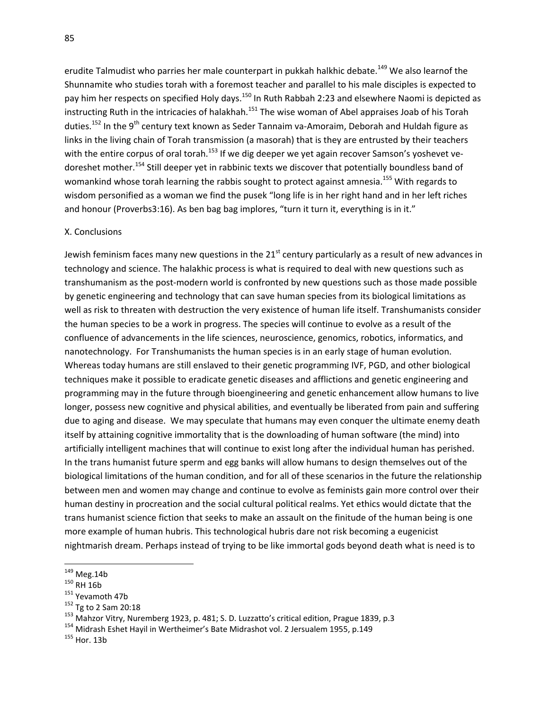erudite Talmudist who parries her male counterpart in pukkah halkhic debate.<sup>149</sup> We also learnof the Shunnamite who studies torah with a foremost teacher and parallel to his male disciples is expected to pay him her respects on specified Holy days.<sup>150</sup> In Ruth Rabbah 2:23 and elsewhere Naomi is depicted as instructing Ruth in the intricacies of halakhah.<sup>151</sup> The wise woman of Abel appraises Joab of his Torah duties.<sup>152</sup> In the 9<sup>th</sup> century text known as Seder Tannaim va-Amoraim, Deborah and Huldah figure as links in the living chain of Torah transmission (a masorah) that is they are entrusted by their teachers with the entire corpus of oral torah.<sup>153</sup> If we dig deeper we yet again recover Samson's yoshevet vedoreshet mother.<sup>154</sup> Still deeper yet in rabbinic texts we discover that potentially boundless band of womankind whose torah learning the rabbis sought to protect against amnesia.<sup>155</sup> With regards to wisdom personified as a woman we find the pusek "long life is in her right hand and in her left riches and honour (Proverbs3:16). As ben bag bag implores, "turn it turn it, everything is in it."

## X. Conclusions

Jewish feminism faces many new questions in the  $21<sup>st</sup>$  century particularly as a result of new advances in technology and science. The halakhic process is what is required to deal with new questions such as transhumanism as the post-modern world is confronted by new questions such as those made possible by genetic engineering and technology that can save human species from its biological limitations as well as risk to threaten with destruction the very existence of human life itself. Transhumanists consider the human species to be a work in progress. The species will continue to evolve as a result of the confluence of advancements in the life sciences, neuroscience, genomics, robotics, informatics, and nanotechnology. For Transhumanists the human species is in an early stage of human evolution. Whereas today humans are still enslaved to their genetic programming IVF, PGD, and other biological techniques make it possible to eradicate genetic diseases and afflictions and genetic engineering and programming may in the future through bioengineering and genetic enhancement allow humans to live longer, possess new cognitive and physical abilities, and eventually be liberated from pain and suffering due to aging and disease. We may speculate that humans may even conquer the ultimate enemy death itself by attaining cognitive immortality that is the downloading of human software (the mind) into artificially intelligent machines that will continue to exist long after the individual human has perished. In the trans humanist future sperm and egg banks will allow humans to design themselves out of the biological limitations of the human condition, and for all of these scenarios in the future the relationship between men and women may change and continue to evolve as feminists gain more control over their human destiny in procreation and the social cultural political realms. Yet ethics would dictate that the trans humanist science fiction that seeks to make an assault on the finitude of the human being is one more example of human hubris. This technological hubris dare not risk becoming a eugenicist nightmarish dream. Perhaps instead of trying to be like immortal gods beyond death what is need is to

 $149$  Meg.14b

<sup>&</sup>lt;sup>150</sup> RH 16b<br>
<sup>151</sup> Yevamoth 47b<br>
<sup>151</sup> Yevamoth 47b<br>
<sup>152</sup> Tg to 2 Sam 20:18<br>
<sup>153</sup> Mahzor Vitry, Nuremberg 1923, p. 481; S. D. Luzzatto's critical edition, Prague 1839, p.3<br>
<sup>154</sup> Midrash Eshet Hayil in Wertheimer's Bat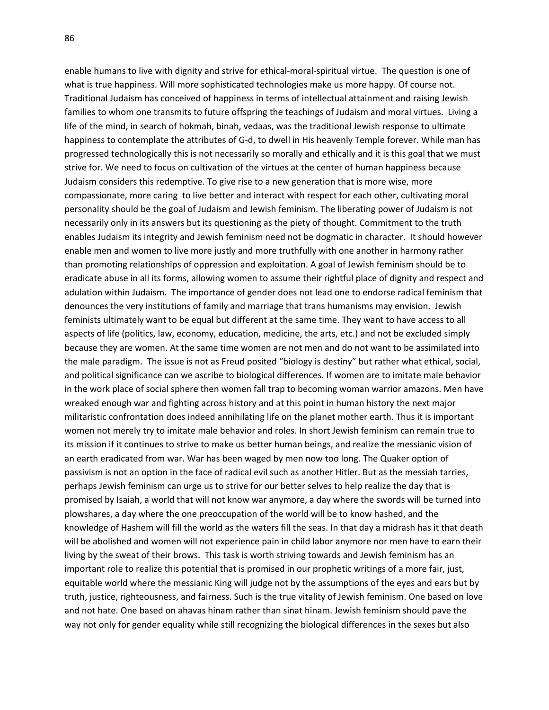enable humans to live with dignity and strive for ethical‐moral‐spiritual virtue. The question is one of what is true happiness. Will more sophisticated technologies make us more happy. Of course not. Traditional Judaism has conceived of happiness in terms of intellectual attainment and raising Jewish families to whom one transmits to future offspring the teachings of Judaism and moral virtues. Living a life of the mind, in search of hokmah, binah, vedaas, was the traditional Jewish response to ultimate happiness to contemplate the attributes of G-d, to dwell in His heavenly Temple forever. While man has progressed technologically this is not necessarily so morally and ethically and it is this goal that we must strive for. We need to focus on cultivation of the virtues at the center of human happiness because Judaism considers this redemptive. To give rise to a new generation that is more wise, more compassionate, more caring to live better and interact with respect for each other, cultivating moral personality should be the goal of Judaism and Jewish feminism. The liberating power of Judaism is not necessarily only in its answers but its questioning as the piety of thought. Commitment to the truth enables Judaism its integrity and Jewish feminism need not be dogmatic in character. It should however enable men and women to live more justly and more truthfully with one another in harmony rather than promoting relationships of oppression and exploitation. A goal of Jewish feminism should be to eradicate abuse in all its forms, allowing women to assume their rightful place of dignity and respect and adulation within Judaism. The importance of gender does not lead one to endorse radical feminism that denounces the very institutions of family and marriage that trans humanisms may envision. Jewish feminists ultimately want to be equal but different at the same time. They want to have access to all aspects of life (politics, law, economy, education, medicine, the arts, etc.) and not be excluded simply because they are women. At the same time women are not men and do not want to be assimilated into the male paradigm. The issue is not as Freud posited "biology is destiny" but rather what ethical, social, and political significance can we ascribe to biological differences. If women are to imitate male behavior in the work place of social sphere then women fall trap to becoming woman warrior amazons. Men have wreaked enough war and fighting across history and at this point in human history the next major militaristic confrontation does indeed annihilating life on the planet mother earth. Thus it is important women not merely try to imitate male behavior and roles. In short Jewish feminism can remain true to its mission if it continues to strive to make us better human beings, and realize the messianic vision of an earth eradicated from war. War has been waged by men now too long. The Quaker option of passivism is not an option in the face of radical evil such as another Hitler. But as the messiah tarries, perhaps Jewish feminism can urge us to strive for our better selves to help realize the day that is promised by Isaiah, a world that will not know war anymore, a day where the swords will be turned into plowshares, a day where the one preoccupation of the world will be to know hashed, and the knowledge of Hashem will fill the world as the waters fill the seas. In that day a midrash has it that death will be abolished and women will not experience pain in child labor anymore nor men have to earn their living by the sweat of their brows. This task is worth striving towards and Jewish feminism has an important role to realize this potential that is promised in our prophetic writings of a more fair, just, equitable world where the messianic King will judge not by the assumptions of the eyes and ears but by truth, justice, righteousness, and fairness. Such is the true vitality of Jewish feminism. One based on love and not hate. One based on ahavas hinam rather than sinat hinam. Jewish feminism should pave the way not only for gender equality while still recognizing the biological differences in the sexes but also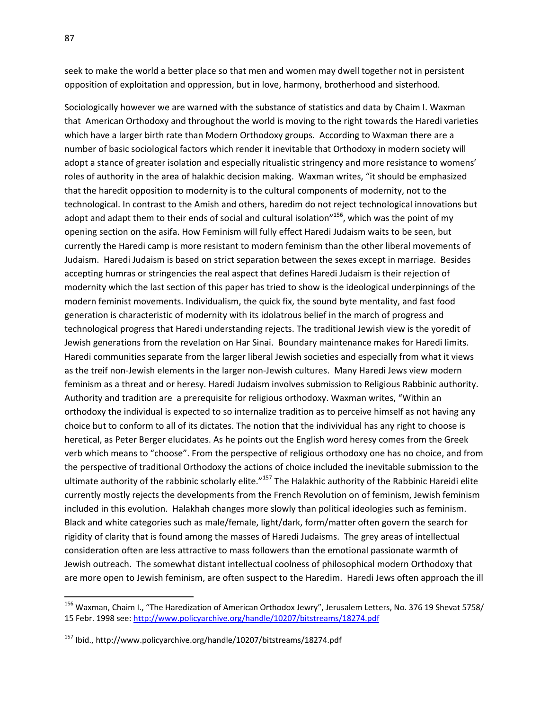seek to make the world a better place so that men and women may dwell together not in persistent opposition of exploitation and oppression, but in love, harmony, brotherhood and sisterhood.

Sociologically however we are warned with the substance of statistics and data by Chaim I. Waxman that American Orthodoxy and throughout the world is moving to the right towards the Haredi varieties which have a larger birth rate than Modern Orthodoxy groups. According to Waxman there are a number of basic sociological factors which render it inevitable that Orthodoxy in modern society will adopt a stance of greater isolation and especially ritualistic stringency and more resistance to womens' roles of authority in the area of halakhic decision making. Waxman writes, "it should be emphasized that the haredit opposition to modernity is to the cultural components of modernity, not to the technological. In contrast to the Amish and others, haredim do not reject technological innovations but adopt and adapt them to their ends of social and cultural isolation"<sup>156</sup>, which was the point of my opening section on the asifa. How Feminism will fully effect Haredi Judaism waits to be seen, but currently the Haredi camp is more resistant to modern feminism than the other liberal movements of Judaism. Haredi Judaism is based on strict separation between the sexes except in marriage. Besides accepting humras or stringencies the real aspect that defines Haredi Judaism is their rejection of modernity which the last section of this paper has tried to show is the ideological underpinnings of the modern feminist movements. Individualism, the quick fix, the sound byte mentality, and fast food generation is characteristic of modernity with its idolatrous belief in the march of progress and technological progress that Haredi understanding rejects. The traditional Jewish view is the yoredit of Jewish generations from the revelation on Har Sinai. Boundary maintenance makes for Haredi limits. Haredi communities separate from the larger liberal Jewish societies and especially from what it views as the treif non-Jewish elements in the larger non-Jewish cultures. Many Haredi Jews view modern feminism as a threat and or heresy. Haredi Judaism involves submission to Religious Rabbinic authority. Authority and tradition are a prerequisite for religious orthodoxy. Waxman writes, "Within an orthodoxy the individual is expected to so internalize tradition as to perceive himself as not having any choice but to conform to all of its dictates. The notion that the indivividual has any right to choose is heretical, as Peter Berger elucidates. As he points out the English word heresy comes from the Greek verb which means to "choose". From the perspective of religious orthodoxy one has no choice, and from the perspective of traditional Orthodoxy the actions of choice included the inevitable submission to the ultimate authority of the rabbinic scholarly elite."<sup>157</sup> The Halakhic authority of the Rabbinic Hareidi elite currently mostly rejects the developments from the French Revolution on of feminism, Jewish feminism included in this evolution. Halakhah changes more slowly than political ideologies such as feminism. Black and white categories such as male/female, light/dark, form/matter often govern the search for rigidity of clarity that is found among the masses of Haredi Judaisms. The grey areas of intellectual consideration often are less attractive to mass followers than the emotional passionate warmth of Jewish outreach. The somewhat distant intellectual coolness of philosophical modern Orthodoxy that are more open to Jewish feminism, are often suspect to the Haredim. Haredi Jews often approach the ill

<sup>&</sup>lt;sup>156</sup> Waxman, Chaim I., "The Haredization of American Orthodox Jewry", Jerusalem Letters, No. 376 19 Shevat 5758/ 15 Febr. 1998 see: http://www.policyarchive.org/handle/10207/bitstreams/18274.pdf

<sup>157</sup> Ibid., http://www.policyarchive.org/handle/10207/bitstreams/18274.pdf